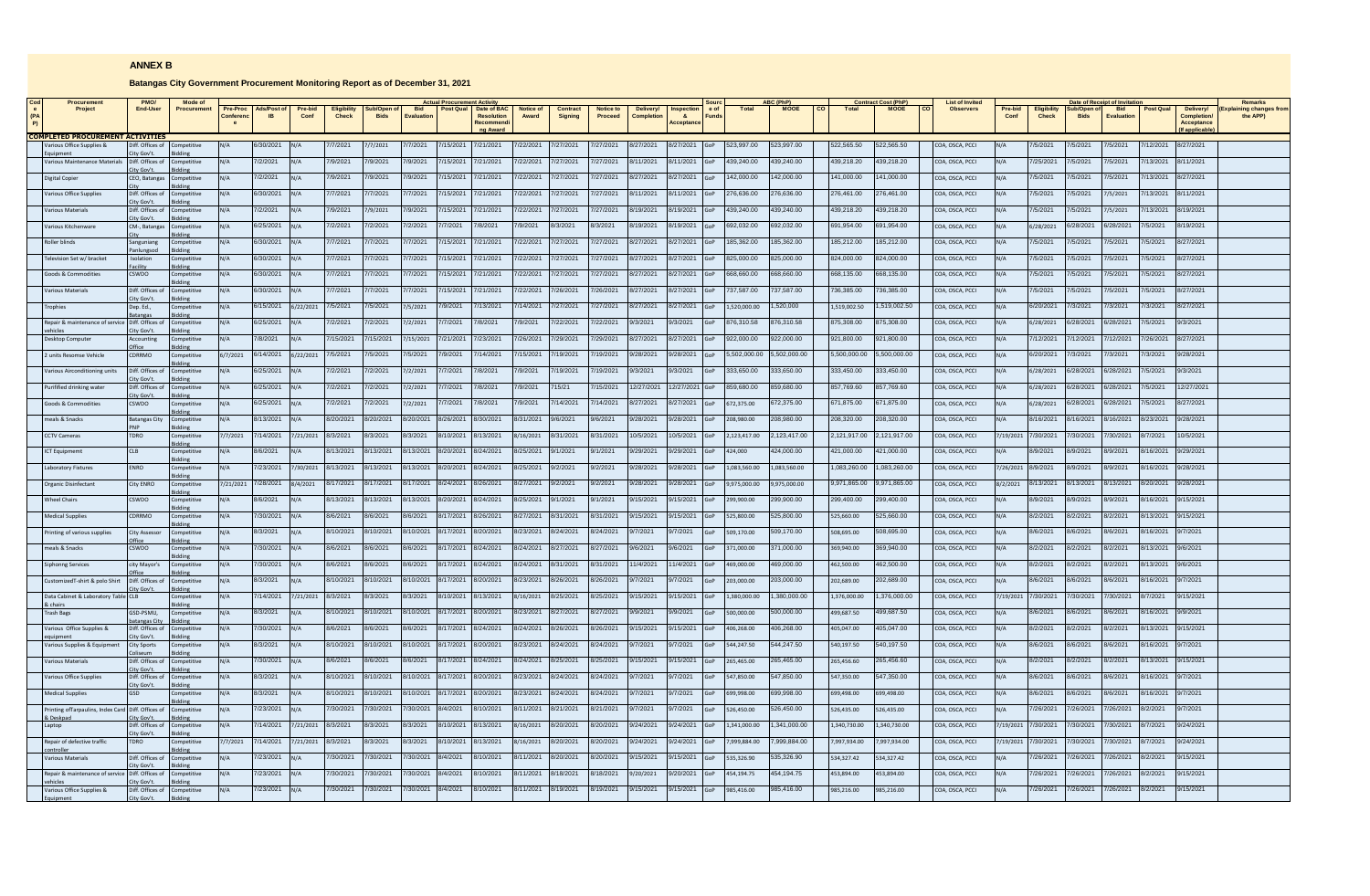## **ANNEX B**

## **Batangas City Government Procurement Monitoring Report as of December 31, 2021**

| <b>Procurement</b>                      | PMO/                          | Mode of            |                      |             |                 |                             |                            |                         |           |                           |                    |                            |                      |                    |                            | SOUT          |              | <b>ABC (PhP</b> |              | <b>Contract Cost (PhP)</b> | <b>List of Invited</b> |                    |                             |                            | Date of Receipt of Invitati     |           |                         | <b>Remarks</b>                 |
|-----------------------------------------|-------------------------------|--------------------|----------------------|-------------|-----------------|-----------------------------|----------------------------|-------------------------|-----------|---------------------------|--------------------|----------------------------|----------------------|--------------------|----------------------------|---------------|--------------|-----------------|--------------|----------------------------|------------------------|--------------------|-----------------------------|----------------------------|---------------------------------|-----------|-------------------------|--------------------------------|
| Project                                 | End-User                      | <b>Procurement</b> | Pre-Proc<br>Conferen | Ads/Post of | Pre-bid<br>Conf | <b>Eligibility</b><br>Check | Sub/Open of<br><b>Bids</b> | <b>Bid</b><br>Evaluatio | Post Qual | Date of BAC<br>Resolution | Notice of<br>Award | Contract<br><b>Signing</b> | Notice to<br>Proceed | Delivery/<br>Compl | Inspection<br>$\mathbf{a}$ | e of<br>Funds | <b>Total</b> | <b>MOOE</b>     | Total        | <b>MOOE</b>                | <b>Observers</b>       | Pre-bid<br>Conf    | <b>Eligibility</b><br>Check | Sub/Open of<br><b>Bids</b> | <b>Bid</b><br><b>Evaluation</b> | Post Qual | Delivery/<br>Completion | ining changes from<br>the APP) |
|                                         |                               |                    |                      |             |                 |                             |                            |                         |           | Recommen                  |                    |                            |                      |                    | Acceptano                  |               |              |                 |              |                            |                        |                    |                             |                            |                                 |           | Acceptance              |                                |
| <b>COMPLETED PROCUREMENT ACTIVITIES</b> |                               |                    |                      |             |                 |                             |                            |                         |           | <b>a Awar</b>             |                    |                            |                      |                    |                            |               |              |                 |              |                            |                        |                    |                             |                            |                                 |           |                         |                                |
| arious Office Supplies &                | iff. Offices of               |                    |                      | 6/30/2021   |                 | 7/2021                      | 7/2021                     | 7/2021                  | /15/2021  | 7/21/2021                 | /22/2021           | 7/27/2021                  | /27/2021             | 8/27/2021          | 8/27/2021                  |               | 523,997.00   | 523,997.00      | 522,565.50   | 522,565.50                 | COA, OSCA, PCCI        |                    | 15/2021                     | 7/5/2021                   | 7/5/2021                        | /12/2021  | 8/27/2021               |                                |
|                                         | ty Gov't                      |                    |                      |             |                 |                             |                            |                         |           |                           |                    |                            |                      |                    |                            |               |              |                 |              |                            |                        |                    |                             |                            |                                 |           |                         |                                |
| Various Maintenance Materials           | Diff. Offices of<br>tv Gov't. | ompetitive         | N/A                  | 7/2/2021    | N/A             | 7/9/2021                    | 7/9/2021                   | 7/9/2021                | /15/2021  | 7/21/2021                 | /22/2021           | 7/27/2021                  | 7/27/2021            | 8/11/2021          | 8/11/2021                  |               | 139.240.00   | 139.240.00      | 439.218.20   | 439.218.20                 | COA, OSCA, PCCI        |                    | 7/25/2021                   | 7/5/2021                   | 7/5/2021                        | /13/2021  | 8/11/2021               |                                |
| Digital Copier                          | CEO, Batangas                 | ompetitive         | N/A                  | 7/2/2021    | N/A             | 7/9/2021                    | 7/9/2021                   | 7/9/2021                | /15/2021  | 7/21/2021                 | //22/2021          | 7/27/2021                  | //27/2021            | 8/27/2021          | 8/27/2021                  |               | 42,000.00    | 142,000.00      | 141,000.00   | 141.000.00                 | COA, OSCA, PCCI        | J A                | 7/5/2021                    | 7/5/2021                   | 7/5/2021                        | 7/13/2021 | 8/27/2021               |                                |
|                                         |                               |                    |                      |             |                 |                             |                            |                         |           |                           |                    |                            |                      |                    |                            |               |              |                 |              |                            |                        |                    |                             |                            |                                 |           |                         |                                |
| <b>Jarious Office Supplie</b>           | Diff. Offices of<br>ty Gov't  | <b>Competitive</b> | N/A                  | 6/30/2021   | N/A             | 7/7/2021                    | /7/2021                    | 77/2021                 | 15/2021   | 7/21/2021                 | /22/2021           | 7/27/2021                  | /27/2021             | 8/11/2021          | 3/11/2021                  |               | 276.636.00   | 76.636.00       | 276.461.00   | 276.461.00                 | COA, OSCA, PCCI        | u7∆                | 7/5/2021                    | 7/5/2021                   | 7/5/2021                        | /13/2021  | 8/11/2021               |                                |
| <b>Arious Materials</b>                 | Diff. Offices of              | mnetitive          |                      | 7/2/2021    | $N/\Delta$      | 7/9/2021                    | 7/9/2021                   | /9/2021                 | /15/2021  | 7/21/2021                 | /22/2021           | 7/27/2021                  | /27/2021             | 8/19/2021          | 3/19/2021                  |               | 139,240.00   | 39,240.00       | 439,218.20   | 139,218.20                 | COA, OSCA, PCCI        |                    | 7/5/2021                    | 15/2021                    | 7/5/2021                        | /13/2021  | V19/2021                |                                |
|                                         | ity Gov't                     |                    |                      |             |                 |                             |                            |                         |           |                           |                    |                            |                      |                    |                            |               |              |                 |              |                            |                        |                    |                             |                            |                                 |           |                         |                                |
| arious Kitchenware                      | CM-, Batanga:                 | ompetitive         | V/A                  | 6/25/2021   | N/A             | 7/2/2021                    | /2/2021                    | /2/2021                 | /7/2021   | 7/8/2021                  | /9/2021            | 3/3/2021                   | 3/3/2021             | 8/19/2021          | 3/19/2021                  |               | 92,032.00    | 92,032.00       | 691,954.00   | 91.954.00                  | COA, OSCA, PCCI        |                    | 6/28/2021                   | 6/28/2021                  | 6/28/2021                       | /5/2021   | V19/2021                |                                |
| <b>Oller blinds</b>                     | Sanguniang                    | <b>ompetitive</b>  |                      | 6/30/2021   |                 | /7/2021                     | 7/2021                     | /7/2021                 | /15/2021  | 7/21/2021                 | /22/2021           | 7/27/2021                  | /27/2021             | 8/27/2021          | 3/27/2021                  |               | 85,362.00    | 85.362.00       | 185.212.00   | 185.212.00                 | COA, OSCA, PCCI        |                    | 7/5/2021                    | /5/2021                    | 7/5/2021                        | /5/2021   | 3/27/2021               |                                |
|                                         | anlungsoc                     |                    | I/A                  | 6/30/2021   |                 | /7/2021                     | 7/2021                     | 7/2021                  | /15/202   | 7/21/2021                 | 22/2021            | 7/27/2021                  | /27/2021             | 8/27/2021          | 3/27/2021                  |               | 25,000.00    | 25,000.00       | 824,000.00   | 324,000.00                 |                        |                    | 7/5/2021                    | 15/2021                    | 7/5/202                         | /5/2021   | V27/2021                |                                |
| elevision Set w/ bracket                | solation<br>acility           | mpetitive          |                      |             |                 |                             |                            |                         |           |                           |                    |                            |                      |                    |                            |               |              |                 |              |                            | OA, OSCA, PCCI         |                    |                             |                            |                                 |           |                         |                                |
| ioods & Commodities                     | CSWDO                         | <b>Competitive</b> | N/A                  | 6/30/2021   | N/A             | 7/7/2021                    | 7/2021                     | 77/2021                 | /15/2021  | 7/21/2021                 | /22/2021           | 7/27/2021                  | /27/2021             | 8/27/2021          | 8/27/2021                  |               | 68,660.00    | 68,660.00       | 668,135.00   | 668,135.00                 | COA, OSCA, PCCI        |                    | 7/5/2021                    | 7/5/2021                   | 7/5/2021                        | /5/2021   | 8/27/2021               |                                |
| arious Materials                        | Diff. Offices of              | ompetitive         | $N/\Delta$           | 6/30/2021   | $N/\Delta$      | 7/7/2021                    | /7/2021                    | /7/2021                 | /15/2021  | 7/21/2021                 | /22/2021           | 7/26/2021                  | /26/2021             | 8/27/2021          | 8/27/2021                  |               | 737.587.00   | 737,587.00      | 736,385.00   | 736,385.00                 | COA, OSCA, PCCI        |                    | 7/5/2021                    | 7/5/2021                   | 7/5/2021                        | 7/5/2021  | 8/27/2021               |                                |
|                                         | ity Gov't                     |                    |                      |             |                 |                             |                            |                         |           |                           |                    |                            |                      |                    |                            |               |              |                 |              |                            |                        |                    |                             |                            |                                 |           |                         |                                |
| ophies                                  | Dep. Ed.,                     | ompetitive         | N/A                  | 6/15/2021   | 6/22/2021       | 7/5/2021                    | /5/2021                    | /5/2021                 | /9/2021   | /13/2021                  | /14/2021           | 7/27/2021                  | /27/2021             | 8/27/2021          | 8/27/2021                  |               | .520.000.00  | 520.000         | 1,519,002.50 | .519.002.50                | COA, OSCA, PCCI        | J A                | 6/20/2021                   | 7/3/2021                   | 7/3/2021                        | /3/2021   | 3/27/2021               |                                |
| enair & maintenance of servic           | atangas<br>Diff. Offices o    | mnetitive          | N/A                  | 6/25/2021   |                 | 7/2/2021                    | //2/2021                   | 7/2/2021                | 7/7/2021  | 7/8/2021                  | /9/2021            | 7/22/2021                  | 7/22/2021            | 9/3/2021           | 9/3/2021                   |               | 876,310.58   | 376,310.58      | 875.308.00   | 875.308.00                 | OA, OSCA, PCCI         |                    | 6/28/2021                   | 6/28/2021                  | 6/28/2021                       | 7/5/2021  | 9/3/2021                |                                |
|                                         | ity Gov't                     |                    |                      |             |                 |                             |                            |                         |           |                           |                    |                            |                      |                    |                            |               |              |                 |              |                            |                        |                    |                             |                            |                                 |           |                         |                                |
| esktop Computer                         | Accounting                    | <b>Competitive</b> | N/A                  | 7/8/2021    | N/A             | 7/15/2021                   | 15/2021                    | 7/15/2021               | /21/2021  | 7/23/2021                 | /26/2021           | 7/29/2021                  | /29/2021             | 8/27/2021          | 8/27/2021                  |               | 322.000.00   | 22.000.00       | 921.800.00   | 921.800.00                 | COA, OSCA, PCCI        |                    | /12/2021                    | /12/2021                   | 7/12/2021                       | /26/2021  | 8/27/2021               |                                |
| units Resomse Vehicle                   | CDRRMO                        | ompetitive         | 6/7/2021             | 6/14/2021   | 6/22/2021       | 7/5/2021                    | /5/2021                    | /5/2021                 | /9/2021   | /14/2021                  | /15/2021           | 19/2021                    | /19/2021             | 9/28/2021          | 1/28/2021                  |               | .502.000.00  | 502,000.00      | 5,500,000,00 | ,500,000.00                | COA, OSCA, PCCI        |                    | 6/20/2021                   | /3/2021                    | 7/3/2021                        | /3/2021   | /28/2021                |                                |
|                                         |                               |                    |                      |             |                 |                             |                            |                         |           |                           |                    |                            |                      |                    |                            |               |              |                 |              |                            |                        |                    |                             |                            |                                 |           |                         |                                |
| arious Airconditioning units            | iff. Offices of<br>ty Gov't   | ompetitive         | I/A                  | 6/25/2021   |                 | 7/2/2021                    | /2/2021                    | /2/2021                 | /7/2021   | /8/2021                   | /9/2021            | 19/2021                    | /19/2021             | 9/3/2021           | 9/3/2021                   |               | 33,650.00    | 33,650.00       | 333,450.00   | 333,450.00                 | OA, OSCA, PCCI         |                    | 5/28/2021                   | 6/28/2021                  | 6/28/2021                       | /5/2021   | 1/3/2021                |                                |
| urifified drinking water                | Diff. Offices of              | Competitive        | N/A                  | 6/25/2021   | N/A             | 7/2/2021                    | /2/2021                    | 1/2/2021                | /7/2021   | 7/8/2021                  | /9/2021            | 715/21                     | /15/2021             | 12/27/2021         | 12/27/2021                 |               | 859,680.00   | 59,680.00       | 857,769.60   | 857,769.60                 | COA, OSCA, PCCI        |                    | 5/28/2021                   | 6/28/2021                  | 6/28/2021                       | /5/2021   | 12/27/2021              |                                |
|                                         | ity Gov't.                    | Riddine            |                      |             |                 |                             |                            |                         |           |                           |                    |                            |                      |                    |                            |               |              |                 |              |                            |                        |                    |                             |                            |                                 |           |                         |                                |
| pods & Commodities                      | SWDO                          | mpetitive          | N/A                  | 6/25/2021   | N/A             | 7/2/2021                    | /2/2021                    | /2/2021                 | //7/2021  | 7/8/2021                  | /9/2021            | 14/2021                    | /14/2021             | 8/27/2021          | 8/27/2021                  |               | 72.375.00    | 72.375.00       | 671.875.00   | 371.875.00                 | COA, OSCA, PCCI        |                    | 5/28/2021                   | 6/28/2021                  | 6/28/2021                       | 7/5/2021  | 3/27/2021               |                                |
| eals & Snacks                           | <b>Batangas City</b>          | ompetitive         | N/A                  | 8/13/2021   | N/A             | 8/20/2021                   | 8/20/2021                  | 8/20/2021               | 3/26/2021 | 8/30/2021                 | 3/31/2021          | 9/6/2021                   | 9/6/2021             | 9/28/2021          | 9/28/2021                  |               | 00.089,809   | 08,980.00       | 208,320.00   | 208,320.00                 | COA, OSCA, PCCI        | N/A                | 8/16/2021                   | 8/16/2021                  | 8/16/2021                       | 8/23/2021 | 9/28/2021               |                                |
|                                         |                               |                    |                      | 7/14/2021   |                 | 8/3/2021                    | 8/3/2021                   | 8/3/2021                | 8/10/2021 | 8/13/2021                 |                    | 8/31/2021                  | 8/31/2021            | 10/5/2021          | 0/5/2021                   |               |              | 2.123.417.00    | 2.121.917.00 | 2.121.917.00               |                        |                    | 7/30/2021                   | 7/30/2021                  | 7/30/2021                       | 8/7/2021  | 0/5/2021                |                                |
| CTV Cameras                             | TDRO                          | mpetitive<br>ddine | 7/7/2021             |             | 7/21/2021       |                             |                            |                         |           |                           | 3/16/2021          |                            |                      |                    |                            |               | 2,123,417.00 |                 |              |                            | COA, OSCA, PCCI        | 7/19/2021          |                             |                            |                                 |           |                         |                                |
| CT Equipmemt                            | ΠB                            | <b>ompetitive</b>  | J/A                  | 8/6/2021    |                 | 8/13/2021                   | 3/13/2021                  | 3/13/2021               | 3/20/2021 | 8/24/2021                 | 3/25/2021          | 9/1/2021                   | /1/2021              | 9/29/2021          | 1/29/2021                  |               | 24,000       | 24.000.00       | 421.000.00   | 121.000.00                 | COA, OSCA, PCCI        | I/A                | 8/9/2021                    | 8/9/2021                   | 8/9/2021                        | /16/2021  | /29/2021                |                                |
| aboratory Fixtures                      | <b>ENRO</b>                   | ompetitive         | N/A                  | 7/23/2021   | /30/2021        | 8/13/2021                   | 8/13/2021                  | 8/13/2021               | 8/20/2021 | 8/24/2021                 | 8/25/2021          | 9/2/2021                   | 9/2/2021             | 9/28/2021          | 9/28/2021                  |               | 1.083.560.00 | 1.083.560.00    | 1.083.260.00 | .083.260.00                | COA, OSCA, PCCI        | 7/26/2021 8/9/2021 |                             | 8/9/2021                   | 8/9/2021                        | 3/16/2021 | 9/28/2021               |                                |
|                                         |                               |                    |                      |             |                 |                             |                            |                         |           |                           |                    |                            |                      |                    |                            |               |              |                 |              |                            |                        |                    |                             |                            |                                 |           |                         |                                |
| <b>Organic Disinfectant</b>             | City ENRO                     | ompetitive         | 7/21/2021            | 7/28/2021   | 8/4/2021        | 8/17/2021                   | 3/17/2021                  | 3/17/2021               | 3/24/2021 | 8/26/2021                 | /27/2021           | 9/2/2021                   | 9/2/2021             | 9/28/2021          | 9/28/2021                  |               | 9.975.000.00 | .975.000.00     | 9,971,865.00 | 9,971,865.00               | COA, OSCA, PCCI        | 3/2/2021           | 8/13/2021                   | 8/13/2021                  | 8/13/2021                       | 3/20/2021 | /28/2021                |                                |
| <b>Vheel Chairs</b>                     | CSWDO                         | ompetitive         | I/A                  | 8/6/2021    |                 | 8/13/2021                   | /13/2021                   | 3/13/202                | 3/20/202  | 8/24/2021                 | /25/2021           | 9/1/2021                   | /1/2021              | 9/15/2021          | 15/2021                    |               | 299,900.00   | 99.900.00       | 299.400.00   | 99.400.00                  | COA, OSCA, PCCI        |                    | 8/9/2021                    | 3/9/2021                   | 8/9/202                         | /16/2021  | 15/2021                 |                                |
|                                         |                               |                    |                      |             |                 |                             |                            |                         |           |                           |                    |                            |                      |                    |                            |               |              |                 |              |                            |                        |                    |                             |                            |                                 |           |                         |                                |
| ledical Supplies                        | DRRMO                         | ompetitive         | N/A                  | 7/30/2021   | N/A             | 8/6/2021                    | 3/6/2021                   | 16/2021                 | 8/17/2021 | 8/26/2021                 | 3/27/2021          | 8/31/2021                  | /31/2021             | 9/15/2021          | 15/2021                    |               | 25.800.00    | 25.800.00       | 525.660.00   | 525.660.00                 | OA, OSCA, PCCI         |                    | 8/2/2021                    | 8/2/2021                   | 8/2/2021                        | 3/13/2021 | /15/2021                |                                |
| inting of various supplie:              | <b>City Assessor</b>          | ompetitive         | N/A                  | 8/3/2021    | N/A             | 8/10/2021                   | 8/10/2021                  | 8/10/2021               | 8/17/2021 | 8/20/2021                 | 3/23/2021          | 8/24/2021                  | 3/24/2021            | 9/7/2021           | 9/7/2021                   |               | 609,170.00   | 509,170.00      | 508.695.00   | 508,695.00                 | COA, OSCA, PCCI        |                    | 8/6/2021                    | 8/6/2021                   | 8/6/2021                        | 8/16/2021 | 9/7/2021                |                                |
|                                         |                               |                    |                      |             |                 |                             |                            |                         |           |                           |                    |                            |                      |                    |                            |               |              |                 |              |                            |                        |                    |                             |                            |                                 |           |                         |                                |
| eals & Snacks                           | CSWDO                         | mpetitive          | N/A                  | 7/30/2021   | N/A             | 8/6/2021                    | 8/6/2021                   | 8/6/2021                | 8/17/2021 | 8/24/2021                 | 3/24/2021          | 8/27/2021                  | 8/27/2021            | 9/6/2021           | 9/6/2021                   |               | 71,000.00    | 71.000.00       | 369,940.00   | 369.940.00                 | COA, OSCA, PCCI        |                    | 8/2/2021                    | 8/2/2021                   | 8/2/2021                        | 8/13/2021 | 9/6/2021                |                                |
| iphonng Services                        | city Mayor's                  | ompetitive         | J/A                  | 7/30/2021   | N/A             | 8/6/2021                    | 3/6/2021                   | 8/6/2021                | 3/17/2021 | 8/24/2021                 | /24/2021           | 8/31/2021                  | /31/2021             | 11/4/2021          | 1/4/2021                   |               | 69,000.00    | 69,000.00       | 462,500.00   | 162,500.00                 | COA, OSCA, PCCI        | J/A                | 8/2/2021                    | 8/2/2021                   | 8/2/2021                        | 3/13/2021 | 9/6/2021                |                                |
|                                         |                               |                    |                      | 8/3/2021    |                 |                             | 8/10/2021                  | 8/10/2021               | 8/17/2021 | 8/20/2021                 |                    |                            | 8/26/2021            | 9/7/2021           |                            |               |              | 203.000.00      |              | 202.689.00                 |                        |                    | 8/6/2021                    | 8/6/2021                   |                                 | 8/16/2021 |                         |                                |
| ustomizedT-shirt & polo Shirt           | Diff. Offices of<br>ty Gov't  | mpetitive          | N/A                  |             | N/A             | 8/10/2021                   |                            |                         |           |                           | 8/23/2021          | 8/26/2021                  |                      |                    | 9/7/2021                   |               | 203.000.00   |                 | 202.689.00   |                            | COA, OSCA, PCCI        | N/A                |                             |                            | 8/6/2021                        |           | 9/7/2021                |                                |
| lata Cabinet & Laboratory Tabl          | CI <sub>R</sub>               | mnetitive          | J/A                  | /14/2021    | 7/21/2021       | 8/3/2021                    | 3/3/2021                   | 3/3/2021                | 3/10/2021 | 8/13/2021                 | 3/16/2021          | 8/25/2021                  | 3/25/2021            | 9/15/2021          | 15/2021                    |               | 380,000.00   | 380,000.00      | 1.376.000.00 | ,376,000.00                | COA, OSCA, PCCI        | 1/19/2021          | 7/30/2021                   | 7/30/2021                  | 7/30/202 <sup>-</sup>           | 3/7/2021  | /15/2021                |                                |
| <b>Trash Bags</b>                       | GSD-PSMU,                     | ompetitive         | J/A                  | 8/3/2021    |                 | 8/10/2021                   | 8/10/2021                  | 8/10/2021               | 8/17/2021 | 8/20/2021                 | 3/23/2021          | 8/27/2021                  | 3/27/2021            | 9/9/2021           | 9/9/2021                   |               | 00.000,006   | 00.000,00       | 199.687.50   | 99,687.50                  | COA, OSCA, PCCI        |                    | 8/6/2021                    | 8/6/2021                   | 8/6/2021                        | 3/16/2021 | 9/9/2021                |                                |
|                                         | atangas Cit                   |                    |                      |             |                 |                             |                            |                         |           |                           |                    |                            |                      |                    |                            |               |              |                 |              |                            |                        |                    |                             |                            |                                 |           |                         |                                |
| arious Office Supplies &                | Diff. Offices of              | Competitive        | J/A                  | /30/2021    | N/A             | 8/6/2021                    | 6/2021                     | /6/2021                 | /17/2021  | 3/24/2021                 | /24/2021           | /26/2021                   | /26/2021             | 9/15/2021          | /15/2021                   |               | 06.268.00    | 06.268.00       | 105.047.00   | 05.047.00                  | COA, OSCA, PCCI        |                    | 3/2/2021                    | 3/2/2021                   | 8/2/2021                        | /13/2021  | 15/2021                 |                                |
| arious Supplies & Equipment             | tv Gov't<br>City Sports       | ompetitive         | V/A                  | 3/3/2021    | N/A             | 8/10/2021                   | 3/10/2021                  | 3/10/2021               | 3/17/2021 | 8/20/2021                 | /23/2021           | 8/24/2021                  | /24/2021             | 9/7/2021           | 17/2021                    |               | 44,247.50    | 544,247.50      | 540,197.50   | 540.197.50                 | COA, OSCA, PCCI        |                    | 8/6/2021                    | 8/6/2021                   | 8/6/2021                        | 3/16/2021 | /7/2021                 |                                |
|                                         |                               |                    |                      |             |                 |                             |                            |                         |           |                           |                    |                            |                      |                    |                            |               |              |                 |              |                            |                        |                    |                             |                            |                                 |           |                         |                                |
| arious Materials                        | Diff. Offices of<br>ty Gov't  | mpetitiv           | N/A                  | 7/30/2021   | N/A             | 8/6/2021                    | 8/6/2021                   | 3/6/2021                | 8/17/2021 | 8/24/2021                 | /24/2021           | 8/25/2021                  | /25/2021             | 9/15/2021          | 15/2021                    |               | 265,465.00   | 265,465.00      | 265,456.60   | 265,456.60                 | COA, OSCA, PCCI        |                    | 8/2/2021                    | 8/2/2021                   | 8/2/2021                        | 8/13/2021 | /15/2021                |                                |
| arious Office Supplie                   | Diff. Offices of              | Competitive        | N/A                  | 3/3/2021    | N/A             | 8/10/2021                   | 3/10/2021                  | 3/10/2021               | 3/17/2021 | 8/20/2021                 | 3/23/2021          | 8/24/2021                  | /24/2021             | 9/7/2021           | 17/2021                    |               | 47,850.00    | 547,850.00      | 547,350.00   | 547,350.00                 | COA, OSCA, PCCI        |                    | 8/6/2021                    | 8/6/2021                   | 8/6/2021                        | 3/16/2021 | 9/7/2021                |                                |
|                                         | ity Gov't.                    | tiddina            |                      |             |                 |                             |                            |                         |           |                           |                    |                            |                      |                    |                            |               |              |                 |              |                            |                        |                    |                             |                            |                                 |           |                         |                                |
| <b>Aedical Supplies</b>                 | GS                            | ompetitive         | N/A                  | 8/3/2021    | N/A             | 8/10/2021                   | 8/10/2021                  | 8/10/2021               | 8/17/2021 | 8/20/2021                 | 3/23/2021          | 8/24/2021                  | 3/24/2021            | 9/7/2021           | 9/7/2021                   |               | 99,998.00    | 99,998.00       | 599,498.00   | 699,498.00                 | COA, OSCA, PCCI        | J A                | 8/6/2021                    | 8/6/2021                   | 8/6/2021                        | 8/16/2021 | 9/7/2021                |                                |
| rinting of Tarpaulins, Index Card       | Diff. Offices of              | <b>Competitive</b> | √V ⊌                 | 7/23/2021   | N/A             | 7/30/2021                   | 7/30/2021                  | 7/30/2021               | 8/4/2021  | 8/10/2021                 | 3/11/2021          | 8/21/2021                  | 8/21/2021            | 9/7/2021           | 9/7/2021                   |               | 26.450.00    | 526.450.00      | 526.435.00   | 26.435.00                  | COA, OSCA, PCCI        | N/A                | 7/26/2021                   | 7/26/2021                  | 7/26/2021                       | 8/2/2021  | 9/7/2021                |                                |
|                                         | ty Gov't                      |                    |                      | 7/14/2021   |                 | 8/3/2021                    | 8/3/2021                   | 8/3/2021                | 3/10/2021 | 8/13/2021                 |                    | 8/20/2021                  | 8/20/2021            | 9/24/2021          | 9/24/2021                  |               |              | 341,000.00      |              |                            |                        |                    | 7/30/2021                   | 7/30/2021                  | 7/30/2021                       | 8/7/2021  | 3/24/2021               |                                |
| iptop                                   | Diff. Offices of<br>ty Gov't  | mnetitiv           |                      |             | 7/21/2021       |                             |                            |                         |           |                           | 8/16/2021          |                            |                      |                    |                            |               | 1,341,000.00 |                 | 1.340.730.00 | 1.340.730.00               | OA, OSCA, PCCI         | 7/19/2021          |                             |                            |                                 |           |                         |                                |
| Repair of defective traffic             | <b>TDRO</b>                   | ompetitive         | 7/7/2021             | 7/14/2021   | 7/21/2021       | 8/3/2021                    | 3/3/2021                   | 8/3/2021                | 3/10/2021 | 8/13/2021                 | 16/2021            | 8/20/2021                  | 3/20/2021            | 9/24/2021          | 9/24/2021                  |               | 999.884.00   | 999.884.00      | 7.997.934.00 | 997.934.00                 | COA, OSCA, PCCI        | /19/2021           | 7/30/2021                   | 7/30/2021                  | 7/30/2021                       | 3/7/2021  | 3/24/2021               |                                |
| arious Materials                        | liff. Offices of              | ompetitive         | V/A                  | 7/23/2021   | N/A             | /30/2021                    | 30/2021                    | /30/2021                | 3/4/2021  | V10/2021                  | /11/2021           | 3/20/2021                  | /20/2021             | 9/15/2021          | 15/2021                    |               | 35,326.90    | 35,326.90       | 534,327.42   | 34,327.42                  | OA, OSCA, PCCI         |                    | /26/2021                    | /26/2021                   | 7/26/2021                       | 8/2/2021  | /15/2021                |                                |
|                                         | ty Gov't.                     |                    |                      |             |                 |                             |                            |                         |           |                           |                    |                            |                      |                    |                            |               |              |                 |              |                            |                        |                    |                             |                            |                                 |           |                         |                                |
| epair & maintenance of service          | liff. Offices of              | ompetitive         | I/A                  | '/23/202    |                 | /30/2021                    | 30/2021                    | 30/202                  | 3/4/202   | V10/202                   | 11/2021            | /18/2021                   | 18/2021              | 3/20/2021          | /20/2021                   |               | 54,194.75    | 54,194.75       | 153,894.00   | 53,894.00                  | OA, OSCA, PCCI         |                    | /26/2021                    | /26/2021                   | 7/26/202                        | /2/2021   | 15/2021                 |                                |
| arious Office Supplies &                | ty Gov't<br>Diff. Offices of  | Competitive        | N/A                  | 7/23/2021   |                 | 7/30/2021                   | /30/2021                   | /30/2021                | 8/4/2021  | 8/10/2021                 | /11/2021           | 8/19/2021                  | /19/2021             | 9/15/2021          | 15/2021                    |               | 85,416.00    | 85,416.00       | 985.216.00   | 985.216.00                 | COA, OSCA, PCCI        |                    | /26/2021                    | /26/2021                   | 7/26/2021                       | 3/2/2021  | 1/15/2021               |                                |
|                                         | hy Gow't                      |                    |                      |             |                 |                             |                            |                         |           |                           |                    |                            |                      |                    |                            |               |              |                 |              |                            |                        |                    |                             |                            |                                 |           |                         |                                |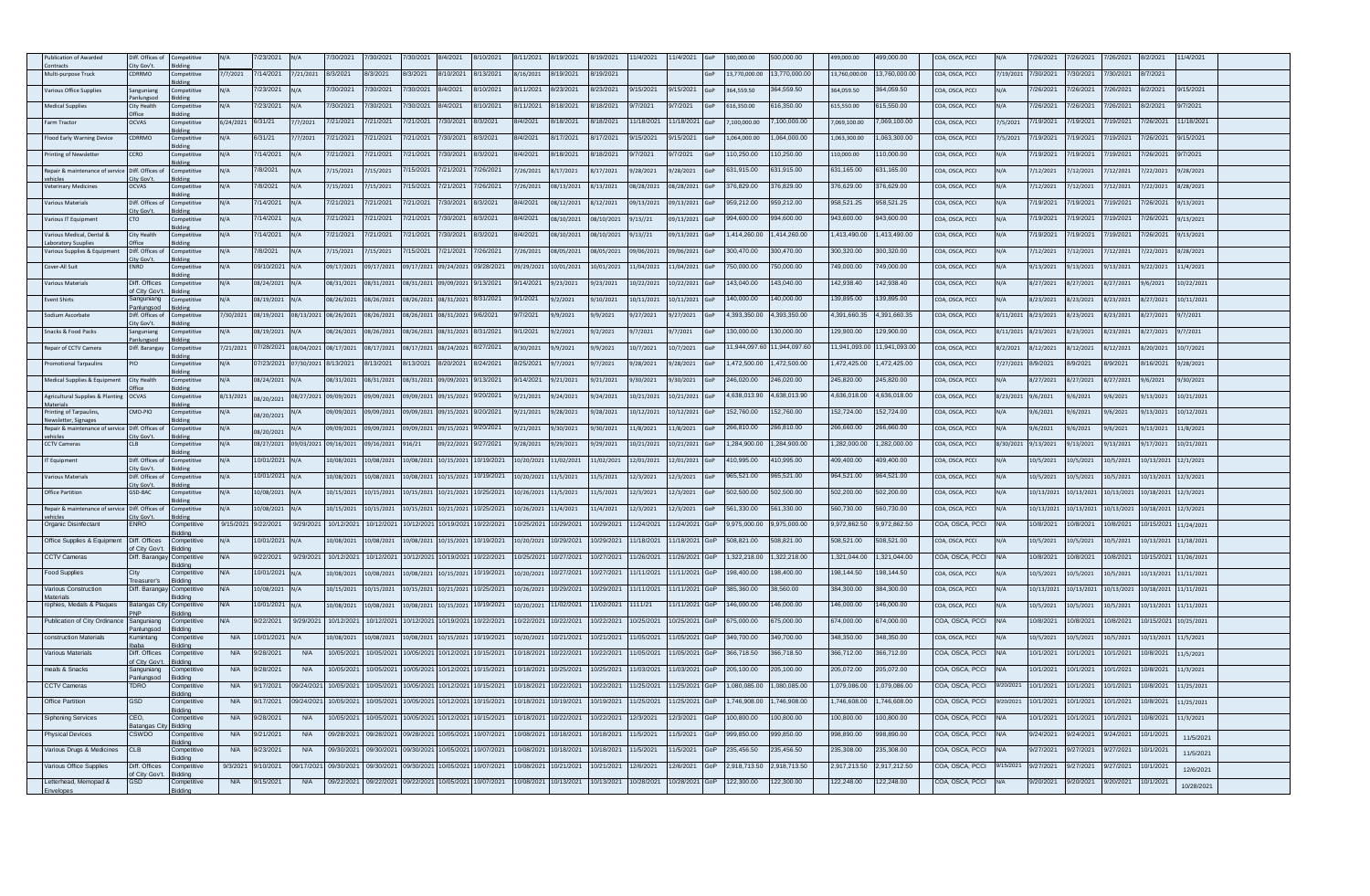| blication of Awarde                       | iff. Offices                   |                               |            | 23/202     |            | /30/202    | /30/2021              | 30/202     | /4/2021    | 10/202                | 11/202     | 19/202     | 19/2021   | 1/4/2021   | 1/4/2021  | 00,000.00     | 00.000.00    | 99,000.00     | 99,000.00   | OA, OSCA, PCCI  |           | /26/202    | /26/202    | /26/2021   | B/2/202 <sup>-</sup> | 1/4/2021            |  |
|-------------------------------------------|--------------------------------|-------------------------------|------------|------------|------------|------------|-----------------------|------------|------------|-----------------------|------------|------------|-----------|------------|-----------|---------------|--------------|---------------|-------------|-----------------|-----------|------------|------------|------------|----------------------|---------------------|--|
| Multi-purpose Truck                       | ity Gov't<br><b>DRRMO</b>      | ompetitive                    | 77/2021    | /14/2021   | /21/2021   | 8/3/2021   | 3/3/2021              | 8/3/2021   | 8/10/2021  | V13/2021              | 8/16/2021  | /19/2021   | /19/2021  |            |           | 13.770.000.00 | 3,770,000.0  | 13.760.000.00 | 3,760,000.0 | OA, OSCA, PCCI  | /19/2021  | 7/30/2021  | 7/30/2021  | /30/2021   | 8/7/2021             |                     |  |
|                                           |                                |                               |            |            |            |            |                       |            |            |                       |            |            |           |            |           |               |              |               |             |                 |           |            |            |            |                      |                     |  |
| arious Office Supplies                    | anguniang                      |                               |            | /23/2021   |            | /30/202    | 30/202                | /30/2021   | 8/4/2021   | /10/2021              | 3/11/202   | /23/2021   | /23/2021  | /15/2021   | /15/2021  | 364,559.50    | 64.559.50    | 364,059.50    | 64.059.50   | OA, OSCA, PCCI  |           | '/26/202   | 7/26/202   | /26/2021   | 8/2/202              | 15/202 <sup>-</sup> |  |
| <b>Medical Supplies</b>                   | <b>City Health</b>             | mnetitivi                     |            | /23/2021   |            | "/30/2021  | /30/2021              | /30/2021   | 8/4/2021   | /10/2021              | 3/11/2021  | 3/18/2021  | 3/18/2021 | 3/7/2021   | /7/2021   | 16.350.00     | 16.350.00    | 615.550.00    | 15.550.00   | OA, OSCA, PCCI  |           | /26/2021   | /26/2021   | /26/2021   | 8/2/2021             | 17/2021             |  |
| arm Tractor                               | OCVAS                          | ompetitive                    | 5/24/2021  | /31/21     | /7/2021    | 7/21/2021  | /21/2021              | /21/2021   | /30/202    | /3/2021               | 3/4/2021   | /18/2021   | 3/18/2021 | 1/18/2021  | 1/18/2021 | ,100,000.00   | 100.000.00   | ,069,100.00   | ,069,100.00 | OA, OSCA, PCCI  | /5/2021   | /19/2021   | 7/19/2021  | /19/2021   | /26/2021             | 1/18/202            |  |
|                                           |                                |                               |            |            |            |            |                       |            |            |                       |            |            |           |            |           |               |              |               |             |                 |           |            |            |            |                      |                     |  |
| lood Early Warning Device                 | <b>DRRMO</b>                   | ompetitive                    |            | 3/31/21    | /7/2021    | 7/21/2021  | /21/2021              | 7/21/2021  | /30/2021   | 8/3/2021              | 8/4/2021   | 3/17/2021  | /17/2021  | 9/15/2021  | /15/2021  | 1.064.000.00  | .064.000.00  | 1.063.300.00  | 063.300.00  | OA, OSCA, PCCI  | /5/2021   | /19/2021   | 19/2021    | /19/2021   | 7/26/2021            | 9/15/2021           |  |
| rinting of Newsletter                     | <b>CCRO</b>                    | mpetitive                     | $1/\Delta$ | /14/2021   | $1/\Delta$ | /21/2021   | /21/2021              | /21/2021   | /30/2021   | V3/2021               | 8/4/2021   | 3/18/2021  | /18/2021  | 9/7/2021   | /7/2021   | 110.250.00    | 10.250.00    | 110,000,00    | 10.000.00   | OA, OSCA, PCCI  |           | /19/2021   | 19/2021    | 7/19/2021  | 7/26/2021            | 9/7/2021            |  |
| epair & maintenance of service            | Diff. Offices of               | mpetitive                     | I/A        | /8/2021    |            | 7/15/2021  | /15/2021              | /15/2021   | /21/2021   | /26/2021              | /26/2021   | 3/17/2021  | 3/17/2021 | 9/28/2021  | /28/2021  | 631,915.00    | 31,915.00    | 331,165.00    | 31,165.00   | OA, OSCA, PCCI  |           | 7/12/2021  | /12/2021   | 7/12/2021  | 1/22/2021            | 3/28/2021           |  |
|                                           | ty Gov't                       |                               |            |            |            |            |                       |            |            |                       |            |            |           |            |           |               |              |               |             |                 |           |            |            |            |                      |                     |  |
| eterinary Medicine                        | <b>OCVAS</b>                   |                               | $1/\Delta$ | /8/2021    |            | /15/2021   | 15/2021               | 15/202     | /21/2021   | /26/202               | /26/202    | 8/13/2021  | 13/2021   | 08/28/202  | 8/28/2021 | 376,829.00    | 76,829.00    | 376,629.00    | 76,629.00   | OA, OSCA, PCCI  |           | 7/12/2021  | /12/2021   | /12/2021   | /22/2021             | /28/2021            |  |
| arious Materials                          | Diff. Offices of<br>ity Gov't  | ompetitive                    | I/A        | /14/2021   |            | 7/21/2021  | /21/2021              | /21/2021   | /30/2021   | 3/3/2021              | 8/4/2021   | 08/12/2021 | /12/2021  | 09/13/202  | 9/13/2021 | 959,212.00    | 159,212.00   | 958,521.25    | 358,521.25  | OA, OSCA, PCCI  |           | 7/19/2021  | 7/19/2021  | /19/2021   | 7/26/2021            | 9/13/2021           |  |
| <b>arious IT Equipmer</b>                 |                                |                               |            | 14/2021    |            | /21/202    | /21/202 <sup>-</sup>  | 21/202     | /30/202    | /3/2021               | 3/4/202    | 8/10/2021  | 3/10/2021 | 13//21     | 9/13/2021 | 94,600.00     | 94,600.00    | 943,600.00    | 43,600.00   | OA, OSCA, PCCI  |           | /19/2021   | /19/202    | /19/202    | 26/202               | /13/2021            |  |
| arious Medical, Dental &                  | <b>City Health</b>             | mnetitiv                      |            | 14/2021    |            | 7/21/2021  | /21/2021              | '/21/2021  | /30/202    | /3/2021               | 3/4/2021   | 8/10/2021  | 8/10/2021 | 9/13//21   | 9/13/2021 | .414.260.00   | 414,260.00   | .413.490.00   | 413,490.00  | OA, OSCA, PCCI  |           | /19/2021   | /19/2021   | /19/2021   | /26/2021             | /13/2021            |  |
| boratory Suupli                           |                                |                               |            |            |            |            |                       |            |            |                       |            |            |           |            |           |               |              |               |             |                 |           |            |            |            |                      |                     |  |
| <b>Jarious Supplies &amp; Equipment</b>   | Diff. Offices o<br>City Gov't  | npetitive                     | $1/\Delta$ | /8/2021    |            | 7/15/2021  | /15/2021              | /15/2021   | /21/2021   | /26/2021              | /26/2021   | 8/05/2021  | 8/05/2021 | 09/06/2021 | 9/06/2021 | 300.470.00    | 00.470.00    | 300.320.00    | 00.320.00   | OA, OSCA, PCCI  |           | 7/12/2021  | /12/2021   | 7/12/2021  | /22/2021             | 3/28/2021           |  |
| Cover-All Suit                            | ENRO                           | ompetitive                    | I/A        | 9/10/2021  |            | 09/17/2021 | 9/17/2021             | 9/17/2021  | 09/24/2021 | 09/28/2021            | 09/29/2021 | 0/01/2021  | 0/01/2021 | 11/04/2021 | 1/04/2021 | '50,000.00    | 50,000.00    | 749,000.00    | 49,000.00   | OA, OSCA, PCCI  |           | 9/13/2021  | 9/13/2021  | 9/13/2021  | 9/22/2021            | 11/4/2021           |  |
| arious Materials                          | Diff. Offices                  | npetitive                     | I/A        | 08/24/2021 |            | 08/31/2021 | 8/31/2021             | 8/31/202   | 19/09/202  | /13/2021              | 14/2021    | /23/2021   | /23/2021  | 0/22/2021  | 0/22/2021 | 143,040.00    | 43,040.00    | 142,938.40    | 42,938.40   | OA, OSCA, PCCI  |           | 8/27/2021  | 8/27/2021  | 3/27/2021  | 1/6/2021             | 0/22/2021           |  |
| vent Shirts                               | f City Gov'<br>Sanguniang      |                               |            |            |            | 08/26/2021 | 8/26/2021             |            |            | V31/2021              | 9/1/2021   | 1212021    |           |            |           | 40,000.00     | 40,000.00    | 39,895.00     | 39.895.00   | DA. OSCA. PCCL  |           |            |            |            |                      |                     |  |
|                                           | anlungsod                      | mnetitive                     | I/A        | 18/19/2021 |            |            |                       | 18/26/2021 | 08/31/202: |                       |            |            | /10/2021  | 10/11/2021 | 0/11/2021 |               |              |               |             |                 |           | 8/23/2021  | R/23/2021  | 8/23/2021  | 8/27/2021            | 10/11/2021          |  |
| odium Ascorbate                           | Diff. Offices o<br>ity Gov't.  | mpetitiv                      | /30/2021   | 08/19/2021 | 08/13/202  | 08/26/2021 | 8/26/2021             | 8/26/202   | 08/31/202  | 1/6/2021              | 3/7/2021   | /9/2021    | 9/2021    | 1/27/2021  | /27/2021  | 4.393.350.00  | .393.350.00  | 4.391.660.35  | ,391,660.35 | OA, OSCA, PCCI  | /11/2021  | 8/23/2021  | 8/23/2021  | 3/23/2021  | 8/27/2021            | 1/7/2021            |  |
| nacks & Food Packs                        | ianguniang                     | mpetitive                     | I/A        | 08/19/2021 |            | 08/26/2021 | 08/26/2021            | 08/26/2021 | 08/31/2021 | 8/31/2021             | 9/1/2021   | 9/2/2021   | /2/2021   | 17/2021    | /7/2021   | 130.000.00    | 30,000,00    | 129.900.00    | 29,900.00   | OA, OSCA, PCCI  | 3/11/2021 | 8/23/2021  | 8/23/2021  | 8/23/2021  | 8/27/2021            | 9/7/2021            |  |
| epair of CCTV Camera                      | anlungsoc<br>Diff. Barangay    | mpetitive                     | /21/2021   | 7/28/2021  | 08/04/202  | 08/17/2021 | 8/17/2021             | 8/17/202   | 08/24/2021 | 3/27/2021             | 3/30/2021  | /9/2021    | /9/2021   | 0/7/2021   | 0/7/2021  | 1,944,097.60  | 1.944.097.6  | 1.941.093.00  | 1.941.093.0 | OA, OSCA, PCCI  | /2/2021   | 8/12/2021  | 8/12/2021  | 3/12/2021  | 8/20/2021            | 0/7/2021            |  |
|                                           |                                |                               |            |            |            |            |                       |            |            |                       |            |            |           |            |           |               |              |               |             |                 |           |            |            |            |                      |                     |  |
| omotional Tarpaulins                      | IO                             | ompetitiv                     |            | 7/23/2021  | 17/30/202  | 8/13/2021  | /13/2021              | /13/2021   | /20/202    | /24/2021              | /25/202    | /7/2021    | /7/2021   | 128/2021   | /28/2021  | 472,500.00    | 472,500.00   | ,472,425.00   | 472,425.00  | OA, OSCA, PCCI  | 27/2021   | /9/2021    | /9/2021    | /9/2021    | /16/2021             | /28/2021            |  |
| Medical Supplies & Equipr                 | City Health                    |                               | V/A        | 8/24/2021  | $N/\Delta$ | 08/31/2021 | 8/31/2021             | 8/31/202   | 09/09/2021 | 1/13/2021             | 9/14/2021  | /21/2021   | /21/2021  | /30/2021   | /30/2021  | 46,020.00     | 46,020.00    | 245,820.00    | 45,820.00   | OA, OSCA, PCCI  |           | 8/27/2021  | 8/27/2021  | 3/27/2021  | 9/6/2021             | /30/2021            |  |
| Agricultural Supplies & Plantin           | <b>DCVAS</b>                   | nmnetitive                    | 8/13/2021  |            | 08/27/202  | 19/09/2021 | 9/09/2021             | 9/09/202   | 09/15/2023 | 9/20/2021             | 9/21/2021  | 1/24/2021  | /24/2021  | 10/21/2021 | 0/21/2021 | 1,638,013.90  | 1,638,013.90 | 1,636,018.00  | ,636,018.00 | OA, OSCA, PCCI  | 3/23/2021 | 1/6/2021   | 16/2021    | 3/6/2021   | 9/13/2021            | 10/21/2021          |  |
| Aaterials                                 |                                |                               |            | 8/20/2021  |            |            |                       |            |            |                       |            |            |           |            |           |               |              |               |             |                 |           |            |            |            |                      |                     |  |
| inting of Tarpaulins<br>wsletter. Signage | MO-PIO                         |                               |            | 8/20/2021  |            | 9/09/2021  | 9/09/2021             | 9/09/202   | 19/15/202  | 1/20/202 <sup>-</sup> | 9/21/2021  | /28/2021   | /28/2021  | 0/12/2021  | 0/12/2021 | 52,760.00     | 52,760.00    | 152,724.00    | 52,724.00   | OA, OSCA, PCCI  |           | 1/6/2021   | 1/6/2021   | /6/2021    | /13/2021             | 0/12/2021           |  |
| epair & maintenance of service            | Diff. Offices of               | mnetitive                     |            | 8/20/2021  |            | 19/09/2021 | 9/09/2021             | 9/09/202   | 09/15/2021 | 9/20/2021             | 3/21/2021  | /30/2021   | /30/2021  | 11/8/2021  | 1/8/2021  | 266,810.00    | 166,810.00   | 266,660.00    | 00.008.00   | OA, OSCA, PCCI  |           | 3/6/2021   | 1/6/2021   | 3/6/2021   | 9/13/2021            | 1/8/2021            |  |
| CCTV Cameras                              | CLB                            | ompetitive                    | N/A        | 08/27/2021 | 09/03/202  | 09/16/2021 | 9/16/2021             | 316/21     | 09/22/202  | 9/27/2021             | 9/28/2021  | /29/2021   | /29/2021  | 0/21/2021  | 0/21/2021 | 1,284,900.00  | ,284,900.00  | 1,282,000.00  | ,282,000.00 | OA, OSCA, PCCI  | /30/2021  | 9/13/2021  | (13/2021   | 9/13/2021  | 9/17/2021            | 10/21/2021          |  |
| F Equipment                               | Diff. Offices of               | ompetitive                    | N/A        | 0/01/2021  |            | 10/08/2021 | 0/08/2021             | 0/08/2021  | 10/15/2021 | 10/19/2021            | 10/20/2021 | 1/02/2021  | 1/02/2021 | 12/01/202: | 2/01/2021 | 410,995.00    | 10,995.00    | 109,400.00    | 09,400.00   | OA, OSCA, PCCI  |           | 10/5/2021  | 10/5/2021  | 10/5/2021  | 10/13/2021           | 12/1/2021           |  |
|                                           | ity Gov't                      |                               |            |            |            |            |                       |            |            |                       |            |            |           |            |           |               |              |               |             |                 |           |            |            |            |                      |                     |  |
| <b>Irious Materials</b>                   | Diff. Offices of<br>ity Gov't  |                               |            | 0/01/2021  |            | 0/08/2021  | 0/08/2021             | 0/08/202   | 10/15/2021 | 10/19/2021            | 0/20/2021  | 1/5/2021   | 1/5/2021  | 2/3/2021   | 2/3/2021  | 965,521.00    | 65,521.00    | 964,521.00    | 64,521.00   | OA, OSCA, PCCI  |           | 10/5/2021  | 10/5/2021  | 10/5/2021  | 0/13/2021            | 12/3/2021           |  |
| Office Partition                          | GSD-BAC                        | ompetitive                    | N/A        | 0/08/2021  | N/A        | 10/15/2021 | 0/15/2021             | 10/15/2021 | 10/21/2023 | 10/25/2021            | 0/26/2021  | 1/5/2021   | 1/5/2021  | 12/3/2021  | 2/3/2021  | 502,500.00    | 02,500.00    | 502,200.00    | 02,200.00   | COA, OSCA, PCCI |           | 10/13/2021 | 10/13/2021 | 10/13/2021 | 10/18/2021           | 12/3/2021           |  |
| epair & maintenance of servi              | Diff. Offices o                | mpetitiv                      | I/A        | 0/08/2021  |            | 10/15/2021 | 0/15/2021             | 0/15/202   | 10/21/202  | 0/25/2021             | 0/26/202   | 1/4/2021   | 1/4/2021  | 12/3/2021  | 2/3/2021  | 561,330.00    | 61,330.00    | 560,730.00    | 60,730.00   | OA, OSCA, PCCI  |           | 10/13/2021 | 10/13/2021 | 10/13/2021 | 10/18/2021           | 12/3/2021           |  |
| Organic Disinfectant                      | ity Gov't<br><b>ENRO</b>       | competitive                   | 9/15/2021  | 3/22/2021  | 9/29/202   | 10/12/202  | 0/12/2021             | 0/12/202   | 0/19/202   | 10/22/2021            | 0/25/202   | 0/29/2021  | 1/29/202  | 1/24/202   | 1/24/2021 | 9,975,000.00  | 9,975,000.00 | 9,972,862.50  | ,972,862.50 | OA, OSCA, PCCI  |           | 0/8/2021   | 0/8/2021   | 0/8/2021   | 10/15/2021           | 11/24/2021          |  |
|                                           |                                |                               |            |            |            |            |                       |            |            |                       |            |            |           |            |           |               |              |               |             |                 |           |            |            |            |                      |                     |  |
| Office Supplies & Equipment               | Diff. Offices<br>City Gov't    | ompetitiv<br>ddina            |            | 0/01/2021  |            | 0/08/2021  | 0/08/2021             | 1/08/202   | .0/15/202  | 0/19/2021             | 0/20/2021  | 0/29/2021  | 1/29/202  | 1/18/2021  | 1/18/2021 | 508,821.00    | 08,821.00    | 508,521.00    | 08,521.00   | OA, OSCA, PCCI  |           | 10/5/2021  | 0/5/2021   | 0/5/2021   | 0/13/2021            | 11/18/2021          |  |
| <b>CTV Cameras</b>                        | Jiff. Baranga                  | ompetitive                    |            | /22/2021   | 9/29/202   | 0/12/202   | 0/12/202              | 0/12/202   | 0/19/202   | 0/22/202              | )/25/202   | 0/27/2021  | 1/27/202  | /26/2021   | 1/26/2021 | 322,218.00    | ,322,218.00  | ,321,044.00   | 321,044.00  | OA, OSCA, PCCI  |           | 0/8/2021   | 0/8/2021   | 0/8/2021   | 0/15/2021            | 11/26/2021          |  |
| Food Supplies                             | City                           | tiddina<br>Competitiv         | MΙ.        | 0/01/2021  | N/A        | 10/08/2021 | 0/08/2021             | 0/08/2021  | 10/15/2021 | 10/19/2021            | 0/20/2021  | 0/27/2021  | 0/27/2021 | 1/11/2021  | 1/11/2021 | 198.400.00    | 98.400.00    | 198.144.50    | 98.144.50   | OA, OSCA, PCCI  |           | 10/5/2021  | 10/5/2021  | 10/5/2021  | 10/13/2021           | 11/11/2021          |  |
| arious Construction                       | Diff. Baranga                  | ddina                         |            |            |            |            |                       |            |            | 10/25/2021            |            | 0/29/2021  | 0/29/2021 | 1/11/2021  | 1/11/2021 | 385,360.00    | 8,560.00     | 384,300.00    | 84,300.00   |                 |           |            |            |            |                      |                     |  |
| <b>Materials</b>                          |                                | competitive<br>ddina          |            | 0/08/2021  |            | 10/15/2021 | 10/15/2021            | 0/15/202   | 10/21/2023 |                       | 0/26/2021  |            |           |            |           |               |              |               |             | OA, OSCA, PCCI  |           | 10/13/2021 | 10/13/202  | 10/13/2021 | 10/18/2021           | 11/11/2021          |  |
| ophies, Medals & Plaques                  | atangas Cit                    | Competitiv<br>ddina           |            | 0/01/2021  |            | 0/08/2021  | 08/2021               | 08/202     | 0/15/2021  | 10/19/2021            | 0/20/2021  | 1/02/202   | 1/02/202  | 111/21     | 1/11/2021 | 46,000.00     | 46,000.00    | 46,000.00     | 46,000.00   | OA, OSCA, PCCI  |           | 0/5/2021   | 0/5/2021   | .0/5/2021  | 0/13/2021            | 11/11/2021          |  |
| Publication of City Ordinance             | anguniang                      | Competitive                   | VA.        | /22/2021   | 9/29/202   | 10/12/202  | 0/12/2021             | 0/12/202   | 0/19/202   | 10/22/2021            | 0/22/2021  | 0/22/2021  | 1/22/202  | 0/25/202   | 0/25/2021 | 675.000.00    | 75.000.00    | 374.000.00    | 74.000.00   | COA, OSCA, PCCI |           | 0/8/2021   | 0/8/2021   | 10/8/2021  | 10/15/2021           | 10/25/2021          |  |
| construction Materials                    | inlungsoc<br>Kumintang         | iddina<br>competitive         | <b>N/A</b> | 0/01/2021  | N/A        | 10/08/2021 | 0/08/2021             | 10/08/2021 | 10/15/2021 | 10/19/2021            | 10/20/2021 | 0/21/2021  | 0/21/2021 | 1/05/2021  | 1/05/2021 | 349,700.00    | 49,700.00    | 348,350.00    | 348,350.00  | OA, OSCA, PCCI  |           | 10/5/2021  | 10/5/2021  | 10/5/2021  | 10/13/2021           | 11/5/2021           |  |
|                                           |                                | ddina                         |            |            |            |            |                       |            |            |                       |            |            |           |            |           |               |              |               |             |                 |           |            |            |            |                      |                     |  |
| arious Materials                          | Diff. Offices<br>of City Gov't | Competitive<br>tidding        | <b>N/A</b> | 3/28/2021  | <b>N/A</b> | 10/05/202  | 0/05/2021             | 0/05/202   | 0/12/202   | 10/15/2021            | 0/18/2021  | 0/22/2021  | 1/22/202  | 1/05/2021  | 1/05/2021 | 366.718.50    | 66.718.50    | 366.712.00    | 66.712.00   | OA, OSCA, PCCI  |           | 0/1/2021   | 0/1/2021   | 10/1/2021  | 10/8/2021            | 11/5/2021           |  |
| eals & Snacks                             | Sanguniang                     | ompetiti                      | <b>N/A</b> | /28/2021   | <b>N/A</b> | 0/05/202   | 0/05/202              | /05/20     | 0/12/202   | 0/15/2021             | 0/18/2021  | 0/25/2021  | )/25/202  | 1/03/2021  | 1/03/2021 | 205,100.00    | 05.100.00    | 205,072.00    | 05,072.00   | OA, OSCA, PCCI  |           | 10/1/2021  | 0/1/202    | 0/1/2021   | 0/8/2021             | 1/3/2021            |  |
| <b>CTV Cameras</b>                        | anlungs<br><b>TDRO</b>         | ddinc<br>competitive.         | <b>N/A</b> | /17/2021   | 09/24/202  | 10/05/2021 | 0/05/2021             | 0/05/202   | 0/12/202   | 10/15/2021            | 0/18/2021  | 0/22/2021  | 1/22/202  | 1/25/2021  | 1/25/2021 | 080,085.00    | 080,085.00   | ,079,086.00   | ,079,086.00 | OA, OSCA, PCCI  | /20/2021  | 10/1/2021  | 0/1/2021   | 10/1/2021  | 0/8/2021             | 11/25/2021          |  |
| Office Partition                          | GSD                            | iddina<br><b>Competitiv</b>   | <b>N/A</b> | /17/2021   | 09/24/202  | 10/05/202  | 0/05/2021             | 0/05/202   | 0/12/202   | 10/15/2021            | 0/18/202   | 0/19/2021  | 19/202    | 1/25/2021  | 1/25/2021 | 746,908.00    | 746,908.00   | ,746,608.00   | 746,608.00  | COA, OSCA, PCCI | 20/2021   | 10/1/2021  | 0/1/202    | 10/1/2021  | 0/8/2021             | 1/25/2021           |  |
|                                           |                                | ddina                         |            |            |            |            |                       |            |            |                       |            |            |           |            |           |               |              |               |             |                 |           |            |            |            |                      |                     |  |
| Siphoning Services                        | CEO.<br>satangas City          | competitive<br><b>Biddina</b> | <b>N/A</b> | /28/2021   | <b>N/A</b> | 10/05/2021 | 0/05/2021             | 0/05/202   | 0/12/202   | 10/15/2021            | 0/18/2021  | 0/22/2021  | 1/22/202  | 12/3/2021  | 2/3/2021  | 100,800.00    | 00,800.00    | 00.000.001    | 00.000,00   | OA, OSCA, PCCI  |           | 10/1/2021  | 0/1/2021   | 0/1/2021   | 10/8/2021            | 11/3/2021           |  |
| hysical Devices                           | CSWDO                          |                               | <b>N/A</b> | /21/2021   | <b>N/A</b> | 09/28/202  | 9/28/202 <sup>-</sup> | 9/28/20    | 0/05/202   | 0/07/2021             | )/08/202   | )/18/2021  | )/18/2021 | 1/5/2021   | 1/5/2021  | 99,850.00     | 99,850.00    | 98,890.00     | 98,890.00   | OA, OSCA, PCCI  |           | 9/24/2021  | 9/24/2021  | /24/202    | 0/1/202              | 11/5/2021           |  |
| arious Drugs & Medicines                  | CLB                            | iddina<br>competitive         | <b>N/A</b> | /23/2021   | <b>N/A</b> | 09/30/202  | 09/30/2021            | 09/30/202  | 0/05/202   | 0/07/2021             | 0/08/2021  | 0/18/2021  | 0/18/2021 | 1/5/2021   | 1/5/2021  | 235.456.50    | 35.456.50    | 235.308.00    | 35.308.00   | COA, OSCA, PCCI |           | 3/27/2021  | 9/27/2021  | 9/27/2021  | 10/1/2021            |                     |  |
|                                           |                                | iddina                        |            |            |            |            |                       |            |            |                       |            |            |           |            |           |               |              |               |             |                 |           |            |            |            |                      | 11/5/2021           |  |
| arious Office Supplies                    | Diff. Offices<br>f City Gov't  | Competitive<br>iddina         | 9/3/2021   | /10/2021   | 09/17/202  | 09/30/2021 | 09/30/2021            | 09/30/202  | 0/05/202   | 10/07/2021            | 0/08/2021  | 0/21/2021  | )/21/2021 | 12/6/2021  | 2/6/2021  | 2,918,713.50  | 918,713.50   | 2,917,213.50  | 917,212.50  | COA, OSCA, PCCI | /15/2021  | 9/27/2021  | 9/27/2021  | 9/27/2021  | 10/1/2021            | 12/6/2021           |  |
| Letterhead, Memopad &                     | 3SD                            | ompetitive                    | <b>N/A</b> | /15/2021   | <b>N/A</b> | 09/22/202  | 09/22/2021            | 09/22/2021 | 0/05/2021  | 10/07/2021            | 0/08/2021  | 0/13/2021  | 0/13/2021 | 0/28/2021  | 0/28/2021 | 122,300.00    | 22,300.00    | 122,248.00    | 22,248.00   | OA, OSCA, PCCI  |           | 3/20/2021  | 9/20/2021  | 1/20/2021  | 10/1/2021            | 10/28/2021          |  |
|                                           |                                |                               |            |            |            |            |                       |            |            |                       |            |            |           |            |           |               |              |               |             |                 |           |            |            |            |                      |                     |  |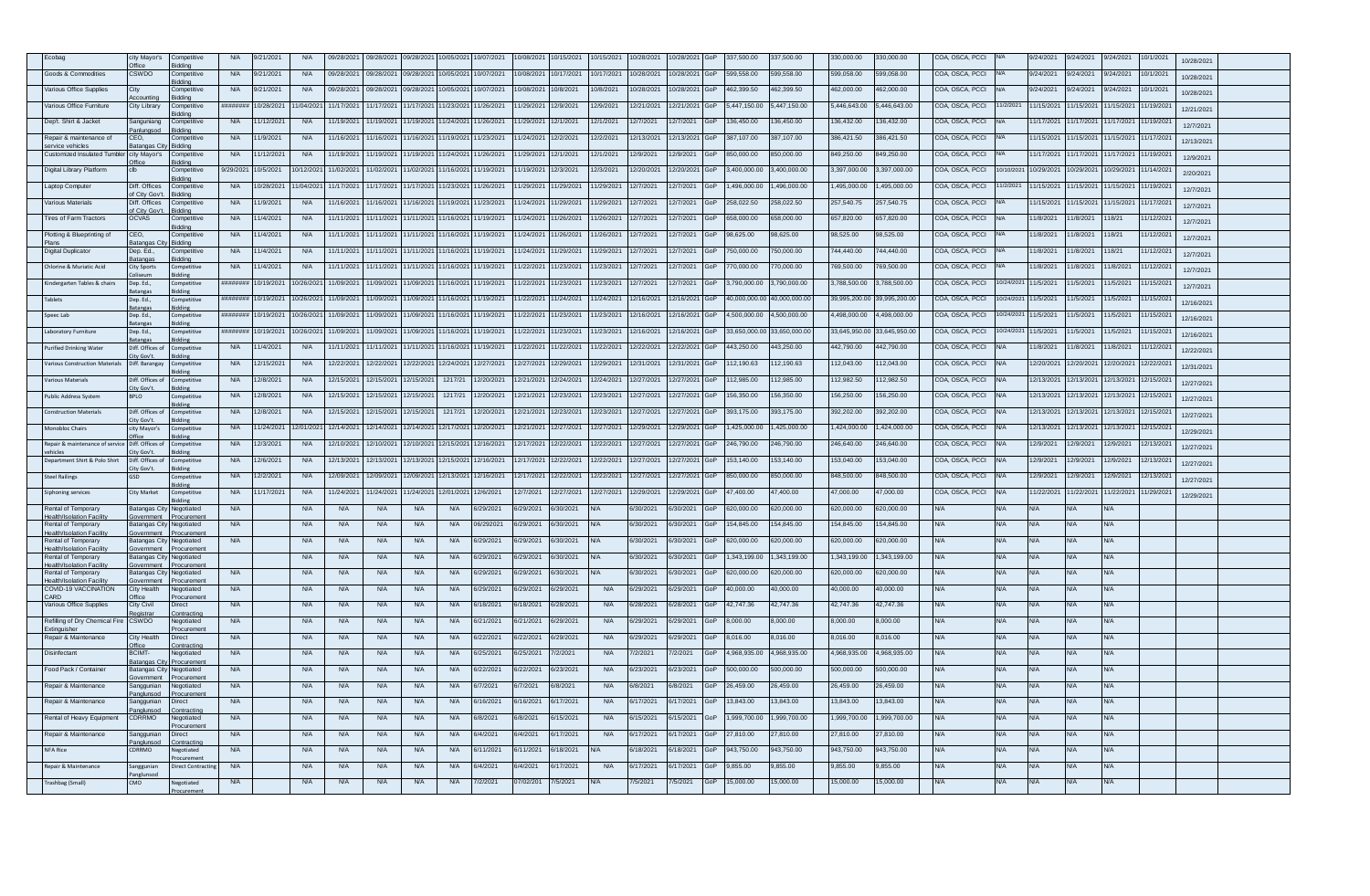|                                                               | city Mayor's                                 | Competitive                      | <b>N/A</b> | /21/2021   | <b>N/A</b> | 09/28/2021 | 09/28/2021 | 09/28/202  | 0/05/202   | 0/07/2021  | 0/08/2021            | 0/15/2021  | )/15/2021  | 0/28/2021  | 0/28/202  | 337,500.00    | 37,500.00    | 30,000.00     | 30,000.00    | COA, OSCA, PCCI |            | /24/2021   | /24/2021   | 1/24/2021            | 10/1/2021  | 10/28/2021 |  |
|---------------------------------------------------------------|----------------------------------------------|----------------------------------|------------|------------|------------|------------|------------|------------|------------|------------|----------------------|------------|------------|------------|-----------|---------------|--------------|---------------|--------------|-----------------|------------|------------|------------|----------------------|------------|------------|--|
| Goods & Commodities                                           | <b>Hice</b><br>CSWDO                         | iddina<br>Competitive            | <b>N/A</b> | 9/21/2021  | <b>N/A</b> | 09/28/2021 | 09/28/2021 | 09/28/202  | 0/05/202   | 10/07/2021 | 0/08/2021            | 10/17/2021 | 0/17/2021  | 0/28/2021  | 0/28/2021 | 599,558.00    | 99,558.00    | 599,058.00    | 599.058.00   | COA, OSCA, PCCI |            | 9/24/2021  | 9/24/2021  | 9/24/2021            | 10/1/2021  | 10/28/2021 |  |
| arious Office Supplies                                        |                                              | idding<br>ompetit                | <b>N/A</b> | 9/21/2021  | <b>N/A</b> | 09/28/202  | 9/28/202   | 9/28/20    | 0/05/202   | 10/07/2021 | 0/08/202             | 0/8/2021   | 0/8/2021   | 0/28/2021  | 0/28/202  | 162,399.50    | 62,399.50    | 62,000.00     | 462,000.00   | OA, OSCA, PCCI  |            | 9/24/2021  | /24/202    | 1/24/2021            | 10/1/2021  |            |  |
|                                                               |                                              | iddina                           |            |            |            |            |            |            |            |            |                      |            |            |            |           |               |              |               |              |                 |            |            |            |                      |            | 10/28/2021 |  |
| Various Office Furniture                                      | City Library                                 | Competitive<br>dding             | '######    | 10/28/2021 | 1/04/2021  | 11/17/2021 | 11/17/2021 | 1/17/2021  | 1/23/202   | 1/26/2021  | 1/29/2021            | 12/9/2021  | 2/9/2021   | 12/21/2021 | 2/21/2021 | 5.447.150.00  | 5.447.150.00 | 5.446.643.00  | .446.643.00  | COA, OSCA, PCCI | /2/2021    | 1/15/2021  | 1/15/2021  | 11/15/2021 11/19/202 |            | 12/21/2021 |  |
| Dep't. Shirt & Jacket                                         | Sanguniang<br>anlungsg                       | <b>Competitive</b><br>iddina     | <b>N/A</b> | 1/12/2021  | <b>N/A</b> | 11/19/2021 | 11/19/2021 | 11/19/202  | 1/24/202   | 1/26/2021  | 1/29/2021            | 12/1/2021  | 2/1/2021   | 12/7/2021  | 2/7/2021  | 136,450.00    | 36,450.00    | 136,432.00    | 136,432.00   | COA, OSCA, PCCI |            | 11/17/2021 | 11/17/2021 | 11/17/2021           | 11/19/202  | 12/7/2021  |  |
| Renair & maintenance of                                       | CEO.                                         | Competitive                      | N/A        | 1/9/2021   | <b>N/A</b> | 11/16/2021 | 11/16/2021 | 1/16/202   | 1/19/202   | 1/23/2021  | 1/24/2021            | 12/2/2021  | 2/2/2021   | 12/13/2021 | 2/13/2021 | 387.107.00    | 887.107.00   | 386.421.50    | 86.421.50    | COA, OSCA, PCCI |            | 1/15/2021  | 11/15/2021 | 11/15/2021           | 11/17/202  | 12/13/2021 |  |
| rvice vehicles<br>ustomized Insulated Tumb                    | <b>Batangas City</b><br>city Mayor's         | Ridding<br>ompetitive            | <b>N/A</b> | 1/12/202   | <b>N/A</b> | 11/19/202  | 1/19/202   | /19/202    | 1/24/202   | 1/26/2021  | /29/202 <sup>-</sup> | 2/1/2021   | 2/1/2021   | 2/9/2021   | 2/9/2021  | 350,000.00    | 50,000.00    | 849,250.00    | 49,250.00    | COA, OSCA, PCCI |            | 1/17/202   | 1/17/202   | 11/17/2021           | 1/19/202   | 12/9/2021  |  |
| Digital Library Platform                                      | зb.                                          | dino<br>Competitive              | 9/29/202   | 10/5/2021  | 10/12/2021 | 11/02/2021 | 11/02/2021 | 1/02/202   | 1/16/202   | 1/19/2021  | /19/2021             | 12/3/2021  | 2/3/2021   | 12/20/2021 | 2/20/2021 | 3.400.000.00  | 1,400,000.00 | 3.397.000.00  | 3.397.000.00 | COA, OSCA, PCCI | 0/10/2021  | 0/29/2021  | 10/29/2021 | 10/29/2021           | 11/14/2021 |            |  |
|                                                               |                                              | idding                           |            |            |            |            |            |            |            |            |                      |            |            |            |           |               |              |               |              |                 |            |            |            |                      |            | 2/20/2021  |  |
| aptop Computer                                                | Diff. Offices<br>City Gov't                  | Competitive<br>iddina            | <b>N/A</b> | 10/28/202  | 1/04/202   | 11/17/202  | 1/17/2021  | 1/17/202   | 1/23/202   | 1/26/2021  | /29/202              | 1/29/2021  | /29/202    | 12/7/2021  | 2/7/2021  | ,496,000.00   | 496,000.00   | 1,495,000.00  | ,495,000.00  | COA, OSCA, PCCI | /2/2021    | 1/15/2021  | 11/15/202  | 11/15/202            | 11/19/202  | 12/7/2021  |  |
| arious Materials                                              | Diff. Offices<br>f City Gov't                | ompetitive<br><b>Bidding</b>     | <b>N/A</b> | 1/9/2021   | <b>N/A</b> | 11/16/2021 | 11/16/2021 | 1/16/202   | 1/19/202   | 1/23/2021  | 1/24/2021            | 1/29/2021  | /29/2021   | 12/7/2021  | 2/7/2021  | 258.022.50    | 58.022.50    | 257,540,75    | 257.540.75   | COA, OSCA, PCCI |            | 1/15/2021  | 11/15/2021 | 11/15/2021           | 11/17/2021 | 12/7/2021  |  |
| res of Farm Tractor                                           | <b>CVAS</b>                                  | mpet                             | <b>N/A</b> | 1/4/2021   | <b>N/A</b> | 1/11/202   | 1/11/202   | 1/11/202   | 1/16/202   | 1/19/2021  | 1/24/2021            | 1/26/2021  | 1/26/2021  | 12/7/2021  | 2/7/2021  | 658,000.00    | 58,000.00    | 657,820.00    | 57,820.00    | COA, OSCA, PCCI |            | 1/8/2021   | 1/8/2021   | 18/21                | 1/12/202   | 12/7/2021  |  |
| lotting & Blueprinting of                                     | CEO.                                         | iddina<br>Competitive            | <b>N/A</b> | 1/4/2021   | <b>N/A</b> | 11/11/2021 | 11/11/2021 | 1/11/202   | 1/16/202   | 1/19/2021  | 1/24/2021            | 1/26/2021  | 1/26/2021  | 12/7/2021  | 2/7/2021  | 98.625.00     | 8.625.00     | 98.525.00     | 98.525.00    | COA. OSCA. PCCI |            | 1/8/2021   | 1/8/2021   | 118/21               | 11/12/202  | 12/7/2021  |  |
| Digital Duplicator                                            | atangs<br>Dep. Ed.,                          | idding<br>ompetitiv              | <b>N/A</b> | 1/4/2021   | <b>N/A</b> | 11/11/2021 | 11/11/2021 | 11/11/2021 | 1/16/202   | 11/19/2021 | 1/24/2021            | 1/29/2021  | /29/2021   | 12/7/2021  | 2/7/2021  | 750,000.00    | 50,000.00    | 744,440.00    | 744,440.00   | COA, OSCA, PCCI |            | 11/8/2021  | 1/8/2021   | 118/21               | 11/12/2021 |            |  |
|                                                               | atangas                                      | iddina                           | <b>N/A</b> | 1/4/2021   | <b>N/A</b> | 11/11/2021 | 11/11/2021 | 1/11/202   | 1/16/2021  | 1/19/2021  | /22/2021             | 1/23/2021  | /23/2021   | 12/7/2021  | 2/7/2021  | 70,000.00     | 70,000.00    | 769,500.00    | 69,500.00    | COA, OSCA, PCCI |            | 1/8/2021   | 1/8/2021   | 1/8/2021             | 11/12/2021 | 12/7/2021  |  |
| hlorine & Muriatic Acid                                       | <b>City Sports</b>                           | omnetitiv                        |            |            |            |            |            |            |            |            |                      |            |            |            |           |               |              |               |              |                 |            |            |            |                      |            | 12/7/2021  |  |
| ndergarten Tables & chairs                                    | ep. Ed.,<br>tanga                            | mpetitiv                         | '#####     | 0/19/202   | 0/26/202   | 11/09/202  | 1/09/202   | /09/20     | 1/16/202   | 1/19/2021  | 1/22/202             | 1/23/2021  | /23/202    | 2/7/2021   | 2/7/2021  | 3,790,000.00  | 790,000.00   | 3,788,500.00  | ,788,500.00  | COA, OSCA, PCCI | 0/24/202   | 1/5/2021   | 1/5/202    | 1/5/2021             | 1/15/202   | 12/7/2021  |  |
| ablets                                                        | Dep. Ed.,                                    | ompetitive<br>dding              | '######    | 10/19/2021 | 10/26/2021 | 11/09/2021 | 11/09/2021 | 1/09/202   | 1/16/202   | 1/19/2021  | /22/2021             | 1/24/2021  | /24/2021   | 12/16/2021 | 2/16/2021 | 40.000.000.00 | 10.000.000.0 | 39.995.200.00 | 39.995.200.0 | COA, OSCA, PCCI | 0/24/202   | 1/5/2021   | 1/5/2021   | 1/5/2021             | 11/15/202  | 12/16/2021 |  |
| peec Lab                                                      | atangas<br>Dep. Ed.,                         | ompetitiv                        | ,,,,,,,,   | 10/19/202  | 10/26/202  | 11/09/202  | 1/09/2021  | 1/09/202   | 1/16/202   | 1/19/2021  | 1/22/202             | 1/23/2021  | 1/23/2021  | 12/16/2021 | 2/16/2021 | 4,500,000.00  | ,500,000.00  | 4,498,000.00  | 1,498,000.00 | COA, OSCA, PCCI | /24/202    | 1/5/2021   | 1/5/202    | 1/5/2021             | 11/15/202  | 12/16/2021 |  |
| aboratory Furniture                                           | latangas<br>Dep. Ed.,                        | ompetitiv                        | ,,,,,,,,,  | 10/19/2021 | 10/26/2021 | 11/09/2021 | 11/09/2021 | 11/09/202  | 1/16/202   | 1/19/2021  | /22/2021             | 1/23/2021  | /23/2021   | 12/16/2021 | 2/16/2021 | 33,650,000.00 | 33.650.000.0 | 33,645,950.00 | 33.645.950.0 | COA, OSCA, PCCI | 0/24/2021  | 11/5/2021  | 11/5/2021  | 1/5/2021             | 11/15/2021 |            |  |
| urified Drinking Water                                        | atanga<br>Diff. Offices of                   | ompetitiv                        | <b>N/A</b> | 1/4/2021   | N/A        | 11/11/2021 | 11/11/2021 | 1/11/202   | 1/16/202   | 1/19/2021  | 1/22/2021            | 1/22/2021  | 1/22/2021  | 2/22/2021  | 2/22/2021 | 443,250.00    | 43,250.00    | 442,790.00    | 442,790.00   | COA, OSCA, PCCI |            | 1/8/2021   | 11/8/2021  | 1/8/2021             | 11/12/2021 | 12/16/2021 |  |
|                                                               | ity Gov't.                                   |                                  |            |            |            |            |            |            |            |            |                      |            |            |            |           |               |              |               |              |                 |            |            |            |                      |            | 12/22/2021 |  |
| arious Construction Material:                                 | Diff, Barangay                               | ompetitive                       | <b>N/A</b> | 2/15/202   | <b>N/A</b> | 12/22/2021 | 12/22/2021 | 2/22/202   | 2/24/202   | 12/27/2021 | 2/27/2021            | 2/29/2021  | 2/29/2021  | 12/31/2021 | 2/31/2021 | 112,190.63    | 12,190.63    | 12,043.00     | 12,043.00    | COA, OSCA, PCCI |            | 2/20/2021  | 2/20/202   | 12/20/2021           | 12/22/202  | 12/31/2021 |  |
| arious Materials                                              | Diff. Offices of<br>ity Gov't.               | mpetitiv                         | <b>N/A</b> | 12/8/2021  | <b>N/A</b> | 12/15/2021 | 12/15/2021 | 12/15/202  | 1217/21    | 12/20/2021 | 12/21/2021           | 12/24/2021 | 2/24/2021  | 12/27/2021 | 2/27/2021 | 112,985.00    | 12,985.00    | 12,982.50     | 12,982.50    | COA, OSCA, PCCI |            | 12/13/2021 | 12/13/2021 | 12/13/2021           | 12/15/202  | 12/27/2021 |  |
| Public Address System                                         | O IRE                                        | mnetitive                        | <b>N/A</b> | 12/8/2021  | <b>N/A</b> | 12/15/2021 | 12/15/2021 | 12/15/202  | 1217/21    | 12/20/2021 | 2/21/2021            | 12/23/2021 | 2/23/2021  | 12/27/2021 | 2/27/2021 | 156,350.00    | 56,350.00    | 156,250.00    | 56,250.00    | COA, OSCA, PCCI |            | 12/13/2021 | 12/13/2021 | 12/13/2021           | 12/15/202  | 12/27/2021 |  |
| nstruction Materials                                          | liff. Offices of                             | npetitiv                         | <b>N/A</b> | 2/8/202    | N/A        | 12/15/202  | 12/15/2021 | 2/15/202   | 1217/21    | 12/20/2021 | 2/21/202             | 2/23/2021  | 2/23/202   | 2/27/2021  | 2/27/2021 | 393,175.00    | 93,175.00    | 392,202.00    | 92,202.00    | OA, OSCA, PCCI  |            | 12/13/2021 | 12/13/202  | 12/13/2021           | 12/15/202  | 12/27/2021 |  |
| <b>Ionobloc Chairs</b>                                        | ty Gov't<br>tity Mayor's                     | ompetitive                       | <b>N/A</b> | 1/24/202   | 12/01/2021 | 12/14/2021 | 12/14/2021 | 12/14/202  | 2/17/202   | 12/20/2021 | 2/21/2021            | 12/27/2021 | 2/27/2021  | 12/29/2021 | 2/29/2021 | .425.000.00   | .425.000.00  | 1.424.000.00  | .424.000.00  | COA, OSCA, PCCI |            | 2/13/2021  | 12/13/2021 | 12/13/2021           | 12/15/202  | 12/29/2021 |  |
| Repair & maintenance of service                               | Diff. Offices of                             | <b>Competitiv</b>                | <b>N/A</b> | 2/3/2021   | <b>N/A</b> | 12/10/2021 | 12/10/2021 | 12/10/202  | 2/15/202   | 12/16/2021 | 2/17/2021            | 2/22/2021  | 2/22/2021  | 12/27/2021 | 2/27/2021 | 246,790.00    | 46,790.00    | 246,640.00    | 46,640.00    | COA, OSCA, PCCI |            | 12/9/2021  | 12/9/2021  | 12/9/2021            | 12/13/202  |            |  |
| <b>cles</b><br>Department Shirt & Polo Shirt                  | ity Gov't.<br>Diff. Offices of               | idine<br>mpetitive               | N/A        | 2/6/2021   | <b>N/A</b> | 12/13/2021 | 12/13/2021 | 2/13/202   | 2/15/202   | 2/16/2021  | 2/17/2021            | 12/22/2021 | 2/22/2021  | 2/27/2021  | 2/27/2021 | 53,140.00     | 53,140.00    | 153,040.00    | 53,040.00    | COA, OSCA, PCCI |            | 2/9/2021   | 2/9/2021   | 12/9/2021            | 12/13/202  | 12/27/2021 |  |
|                                                               | ity Gov't                                    |                                  |            |            |            |            |            |            |            |            |                      |            |            |            |           |               |              |               |              |                 |            |            |            |                      |            | 12/27/202  |  |
| <b>Steel Railings</b>                                         | GS5                                          |                                  | <b>N/A</b> | 12/2/2021  | N/A        | 12/09/2021 | 12/09/2021 | 2/09/202   | 12/13/2021 | 12/16/2021 | 12/17/2021           | 12/22/2021 | 2/22/2021  | 2/27/2021  | 2/27/2021 | 850,000.00    | 50.000.00    | 848,500.00    | 48.500.00    | COA, OSCA, PCCI |            | 12/9/2021  | 12/9/2021  | 12/9/2021            | 12/13/202  | 12/27/2021 |  |
| Siphoning services                                            | City Market                                  | <b>Competitive</b>               | <b>N/A</b> | 1/17/2021  | <b>N/A</b> | 1/24/2021  | 1/24/2021  | 1/24/202   | 2/01/202   | 2/6/2021   | 2/7/2021             | 2/27/2021  | 2/27/2021  | 2/29/2021  | 2/29/2021 | 17,400.00     | 7,400.00     | 47,000.00     | 7,000.00     | COA, OSCA, PCCI |            | 1/22/2021  | 11/22/2021 | 1/22/2021            | 1/29/202   | 12/29/202  |  |
| Rental of Temporary<br>lealth/Isolation Facilit               | <b>Batangas City</b><br>yernmen              | legotiated<br>ocuremen           | <b>N/A</b> |            | <b>N/A</b> | <b>N/A</b> | N/A        | <b>N/A</b> | <b>N/A</b> | 129/2021   | 6/29/2021            | /30/2021   |            | 6/30/2021  | /30/2021  | 620.000.00    | 20.000.00    | 620,000.00    | 20,000.00    | <b>N/A</b>      | <b>N/A</b> | N/A        |            | VA.                  |            |            |  |
| <b>Rental of Temporary</b><br><b>Health/Isolation Facilit</b> | <b>Batangas City</b><br>overnment            | <b>Negotiated</b>                | <b>N/A</b> |            | <b>N/A</b> | <b>N/A</b> | N/A        | <b>N/A</b> | <b>N/A</b> | 06/292021  | 6/29/2021            | 6/30/2021  |            | 6/30/2021  | /30/2021  | 154,845.00    | 54,845.00    | 154,845.00    | 54,845.00    |                 | N/A        | VA         |            |                      |            |            |  |
| Rental of Temporary                                           | <b>Batangas City</b>                         | Procurement<br>egotiated         | <b>N/A</b> |            | <b>N/A</b> | <b>N/A</b> | <b>N/A</b> | <b>N/A</b> | <b>N/A</b> | 6/29/2021  | 6/29/2021            | 6/30/2021  |            | 6/30/2021  | /30/2021  | 620,000.00    | 20.000.00    | 620,000.00    | 20,000.00    | <b>N/A</b>      | <b>N/A</b> | N/A        |            | VA.                  |            |            |  |
| lealth/Isolation Facili<br>Rental of Temporary                | vernmen<br><b>Batangas City</b>              | curemer<br>legotiated            |            |            | <b>N/A</b> | <b>N/A</b> | <b>N/A</b> | <b>N/A</b> | <b>N/A</b> | /29/2021   | 3/29/2021            | 3/30/2021  |            | 3/30/2021  | /30/2021  | ,343,199.00   | ,343,199.00  | ,343,199.00   | ,343,199.00  |                 |            |            |            |                      |            |            |  |
| lealth/Isolation Facilit<br>Rental of Temporary               | vernment<br>Batangas City                    | curemen<br>Negotiated            | <b>N/A</b> |            | N/A        | N/A        | N/A        | N/A        | <b>N/A</b> | /29/2021   | 6/29/2021            | /30/2021   |            | 6/30/2021  | 30/2021   | 620,000.00    | 20,000.00    | 620,000.00    | 20,000.00    | <b>NVA</b>      | N/A        | <b>N/A</b> | A\V        | N/A                  |            |            |  |
| lealth/Isolation Facilit                                      | overnment                                    | ocurement                        |            |            |            |            | N/A        |            |            |            |                      |            |            |            |           |               |              |               |              |                 | <b>N/A</b> | <b>N/A</b> |            | <b>VA</b>            |            |            |  |
| COVID-19 VACCINATION<br>APP                                   | City Health                                  | legotiated<br>ocuremen           | <b>N/A</b> |            | <b>N/A</b> | <b>N/A</b> |            | <b>N/A</b> | <b>N/A</b> | 1/29/2021  | 6/29/2021            | 6/29/2021  | <b>N/A</b> | 6/29/2021  | /29/2021  | 40,000.00     | 0,000.00     | 10,000.00     | 0,000.00     | <b>NA</b>       |            |            | VΑ         |                      |            |            |  |
| Various Office Supplies                                       | City Civil                                   | ntractin                         | <b>N/A</b> |            | <b>N/A</b> | <b>N/A</b> | <b>N/A</b> | <b>N/A</b> | <b>N/A</b> | %/18/2021  | 6/18/2021            | 3/28/2021  | <b>N/A</b> | 6/28/2021  | /28/2021  | 42.747.36     | 2.747.36     | 42,747.36     | 42.747.36    |                 | <b>N/A</b> |            |            |                      |            |            |  |
| Refilling of Dry Chemical Fire<br>stinguisher                 | CSWDO                                        | legotiated<br><b>Curemen</b>     | <b>N/A</b> |            | <b>N/A</b> | <b>N/A</b> | <b>N/A</b> | <b>N/A</b> | <b>N/A</b> | /21/2021   | 6/21/2021            | 6/29/2021  | <b>N/A</b> | 6/29/2021  | /29/2021  | 8,000.00      | 0.000, 00    | 8,000.00      | ,000.00      |                 | <b>N/A</b> | N/A        |            | ٧A                   |            |            |  |
| Repair & Maintenance                                          | City Health                                  | <b>Direct</b>                    | <b>N/A</b> |            | <b>N/A</b> | <b>N/A</b> | N/A        | <b>N/A</b> | <b>N/A</b> | /22/2021   | 3/22/2021            | /29/2021   | <b>N/A</b> | 6/29/2021  | /29/2021  | 8.016.00      | 00.016.00    | 8.016.00      | 8.016.00     |                 | <b>N/A</b> | N/A        | N/A        | VA.                  |            |            |  |
| Disinfectant                                                  | ffice<br><b>BCIMT-</b>                       | Contracting<br><b>Negotiated</b> | <b>N/A</b> |            | <b>N/A</b> | <b>N/A</b> | N/A        | <b>N/A</b> | <b>N/A</b> | 6/25/2021  | 3/25/2021            | /2/2021    | <b>N/A</b> | 7/2/2021   | /2/2021   | ,968,935.00   | ,968,935.00  | 4,968,935.00  | 1,968,935.00 |                 | <b>N/A</b> | N/A        |            |                      |            |            |  |
| ood Pack / Container                                          | <b>Batangas City</b><br><b>Batangas City</b> | rocuremen<br>legotiated          | <b>N/A</b> |            | <b>N/A</b> | <b>N/A</b> | <b>N/A</b> | <b>N/A</b> | <b>N/A</b> | 122/2021   | 6/22/2021            | 6/23/2021  | <b>N/A</b> | 6/23/2021  | 3/23/2021 | 500,000.00    | 00.000.00    | 500,000.00    | 00,000.00    | <b>N/A</b>      | <b>N/A</b> | N/A        |            | VA.                  |            |            |  |
|                                                               | vernmer                                      | ocuremer                         |            |            |            |            |            |            |            |            |                      |            |            |            |           |               |              |               |              |                 |            |            |            |                      |            |            |  |
| Repair & Maintenance                                          | Sanggunian<br>anglunsoc                      | egotiated                        | <b>N/A</b> |            | <b>N/A</b> | <b>N/A</b> | N/A        | <b>N/A</b> | <b>N/A</b> | /7/2021    | 3/7/2021             | /8/2021    | <b>N/A</b> | 6/8/2021   | /8/2021   | 26,459.00     | 6.459.00     | 26,459.00     | 16,459.00    |                 | <b>N/A</b> |            |            |                      |            |            |  |
| Repair & Maintenance                                          | Sanggunian<br>anglunsod                      | Direct<br>ontracting             | <b>N/A</b> |            | N/A        | <b>N/A</b> | <b>N/A</b> | <b>N/A</b> | <b>N/A</b> | /16/2021   | 6/16/2021            | 3/17/2021  | <b>N/A</b> | 6/17/2021  | /17/2021  | 13,843.00     | 3,843.00     | 13,843.00     | 13,843.00    | <b>NVA</b>      | N/A        | $N/\Delta$ |            | N/A                  |            |            |  |
| Rental of Heavy Equipment                                     | <b>DRRMO</b>                                 | legotiated                       | <b>N/A</b> |            | <b>N/A</b> | <b>N/A</b> | N/A        | <b>N/A</b> | <b>N/A</b> | 3/8/2021   | 6/8/2021             | /15/2021   | <b>N/A</b> | /15/2021   | /15/2021  | 1,999,700.00  | ,999,700.00  | ,999,700.00   | ,999,700.00  |                 | <b>N/A</b> | <b>N/A</b> | VA.        | <b>VA</b>            |            |            |  |
| Repair & Maintenance                                          | anggunian                                    | ocuremen<br><b>Direct</b>        | <b>N/A</b> |            | <b>N/A</b> | N/A        | N/A        | <b>N/A</b> | <b>N/A</b> | /4/2021    | 3/4/2021             | /17/2021   | <b>N/A</b> | 6/17/2021  | /17/2021  | 7.810.00      | 810.00       | 27,810.00     | 7.810.00     |                 |            |            |            |                      |            |            |  |
| <b>NFA Rice</b>                                               | anglunsc<br>DRRMO                            | ntractin<br>egotiated            | <b>N/A</b> |            | <b>N/A</b> | <b>N/A</b> | <b>N/A</b> | <b>N/A</b> | <b>N/A</b> | /11/2021   | 6/11/2021            | /18/2021   |            | /18/2021   | /18/2021  | 943,750.00    | 43,750.00    | 943,750.00    | 43,750.00    |                 | <b>N/A</b> |            |            | VA                   |            |            |  |
| Repair & Maintenance                                          | anggunian                                    | irect Contract                   | <b>N/A</b> |            | <b>N/A</b> | <b>N/A</b> | N/A        | <b>N/A</b> | <b>N/A</b> | /4/2021    | 3/4/2021             | /17/2021   | <b>N/A</b> | 6/17/2021  | /17/2021  | 9.855.00      | .855.00      | 9.855.00      | .855.00      |                 | <b>N/A</b> | N/A        | <b>V/A</b> | VA.                  |            |            |  |
|                                                               | angluns                                      |                                  |            |            |            |            |            |            |            |            |                      |            |            |            |           |               |              |               |              |                 |            |            |            |                      |            |            |  |
| rashbag (Small)                                               | MO:                                          | legotiated                       | <b>N/A</b> |            | <b>N/A</b> | <b>N/A</b> | <b>N/A</b> | <b>N/A</b> | <b>N/A</b> | /2/2021    | 7/02/201             | /5/2021    |            | 7/5/2021   | /5/2021   | 5,000.00      | 5.000.00     | 15,000.00     | 5.000.00     |                 |            | N/A        |            |                      |            |            |  |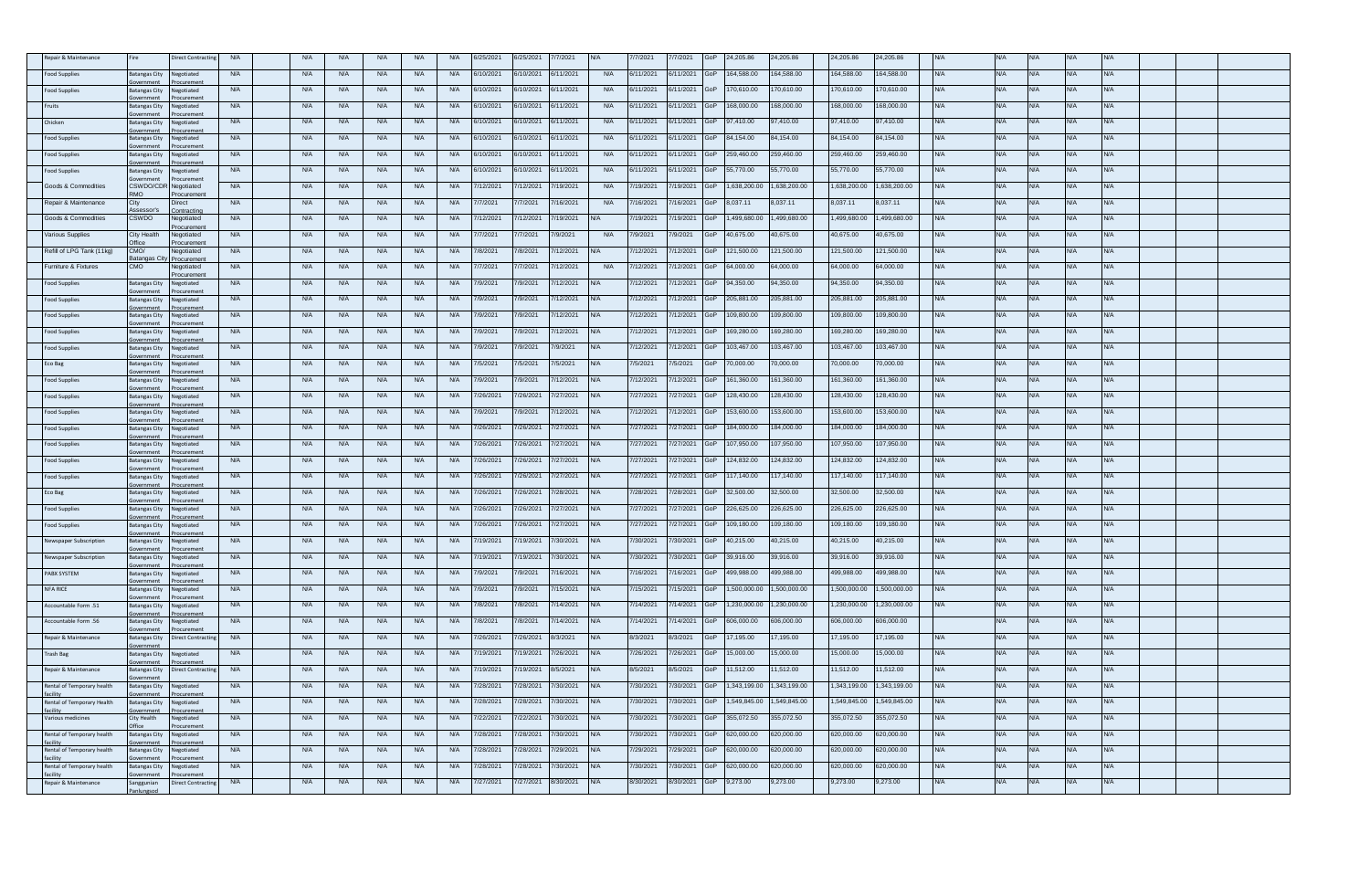| Repair & Maintenance           |                                      | <b>lirect Contraction</b> | <b>N/A</b> | <b>N/A</b> | <b>N/A</b> | <b>N/A</b> | <b>N/A</b> | <b>N/A</b> | /25/2021  | 6/25/2021 | 7/2021    |            | 7/2021    | /7/2021       |     | 24.205.86    | 24.205.86   | 24.205.86    | 24.205.86   |            |            |            |            |            |  |  |
|--------------------------------|--------------------------------------|---------------------------|------------|------------|------------|------------|------------|------------|-----------|-----------|-----------|------------|-----------|---------------|-----|--------------|-------------|--------------|-------------|------------|------------|------------|------------|------------|--|--|
| ood Supplies                   | <b>Batangas City</b>                 | legotiated                | <b>N/A</b> | <b>N/A</b> | <b>N/A</b> | <b>N/A</b> | <b>N/A</b> | <b>N/A</b> | /10/2021  | 6/10/2021 | 6/11/2021 | <b>N/A</b> | 6/11/2021 | 3/11/2021     |     | 164,588.00   | 164,588.00  | 164,588.00   | 164,588.00  | <b>VA</b>  | <b>N/A</b> | N/A        |            | N/A        |  |  |
| <b>Food Supplies</b>           | <b>Batangas City</b>                 | <b>potiated</b>           | <b>N/A</b> | <b>N/A</b> | <b>N/A</b> | <b>N/A</b> | <b>N/A</b> | <b>N/A</b> | 6/10/2021 | 6/10/2021 | 6/11/2021 | <b>N/A</b> | 6/11/2021 | 6/11/2021     | GoP | 170,610.00   | 70,610.00   | 170.610.00   | 70,610.00   | VA.        | <b>N/A</b> |            |            | N/A        |  |  |
| Fruits                         | atangas City                         | egotiated                 | <b>N/A</b> | <b>N/A</b> | <b>N/A</b> | <b>N/A</b> | <b>N/A</b> | <b>N/A</b> | /10/2021  | /10/2021  | 3/11/2021 | <b>N/A</b> | 6/11/2021 | /11/2021      |     | 68,000.00    | 68,000.00   | 68,000.00    | 68,000.00   | VA.        | <b>N/A</b> |            |            | <b>VA</b>  |  |  |
| Chicken                        | <b>Batangas City</b>                 | egotiated                 | <b>N/A</b> | N/A        | <b>N/A</b> | <b>N/A</b> | <b>N/A</b> | <b>N/A</b> | 6/10/2021 | 6/10/2021 | 6/11/2021 | <b>N/A</b> | 6/11/2021 | 3/11/2021     | G∩P | 97.410.00    | 37.410.00   | 97.410.00    | 97.410.00   | N/A        | <b>N/A</b> | N/A        | VA         | <b>N/A</b> |  |  |
| Food Supplies                  | atangas City                         | egotiated                 | <b>N/A</b> | <b>N/A</b> | <b>N/A</b> | <b>N/A</b> | <b>N/A</b> | <b>N/A</b> | V10/2021  | 6/10/2021 | 6/11/2021 | <b>N/A</b> | 6/11/2021 | /11/2021      |     | 84,154.00    | 4,154.00    | 84,154.00    | 4,154.00    |            | <b>N/A</b> |            |            | <b>N/A</b> |  |  |
| Food Supplies                  | <b>Batangas City</b>                 | gotiated                  | <b>N/A</b> | <b>N/A</b> | <b>N/A</b> | <b>N/A</b> | <b>N/A</b> | <b>N/A</b> | i/10/2021 | 6/10/2021 | 6/11/2021 | <b>N/A</b> | 6/11/2021 | i/11/2021     | GoP | 259.460.00   | 259,460.00  | 259,460.00   | 259,460.00  | <b>N/A</b> | <b>N/A</b> | N/A        | <b>AV</b>  | N/A        |  |  |
| ood Supplies                   | <b>Batangas City</b>                 | egotiated                 | N/A        | <b>N/A</b> | <b>N/A</b> | <b>N/A</b> | <b>N/A</b> | <b>N/A</b> | /10/2021  | 10/2021   | /11/2021  | <b>N/A</b> | 6/11/2021 | /11/2021      |     | 55,770.00    | 5,770.00    | 55,770.00    | 55,770.00   |            | <b>N/A</b> |            |            |            |  |  |
| Goods & Commodities            | <b>CSWDO/CDF</b>                     | curement<br>Vegotiated    | <b>N/A</b> | <b>N/A</b> | <b>N/A</b> | <b>N/A</b> | <b>N/A</b> | <b>N/A</b> | /12/2021  | 7/12/2021 | /19/2021  | <b>N/A</b> | 7/19/2021 | /19/2021      |     | 1,638,200.00 | .638.200.00 | 1.638.200.00 | ,638,200.00 | <b>NA</b>  | <b>N/A</b> | N/A        | <b>N/A</b> | <b>N/A</b> |  |  |
| Repair & Maintenance           | ИO<br>City                           | pcuremen<br>irect         | <b>N/A</b> | <b>N/A</b> | <b>N/A</b> | <b>N/A</b> | <b>N/A</b> | <b>N/A</b> | 7/7/2021  | 7/7/2021  | /16/2021  | <b>N/A</b> | 7/16/2021 | /16/2021      |     | 8,037.11     | ,037.11     | 8,037.11     | 3,037.11    | <b>NA</b>  | <b>N/A</b> | <b>N/A</b> |            | <b>N/A</b> |  |  |
|                                | sessor's                             | ontracting                |            |            |            |            |            |            |           |           |           |            |           |               |     |              |             |              |             |            |            |            |            |            |  |  |
| Goods & Commodities            | <b>CSWDO</b>                         | egotiated<br>ocuremen     | <b>N/A</b> | <b>N/A</b> | <b>N/A</b> | <b>N/A</b> | <b>N/A</b> | <b>N/A</b> | 7/12/2021 | 7/12/2021 | /19/2021  |            | /19/2021  | /19/2021      |     | 1,499,680.00 | ,499,680.00 | 1,499,680.00 | ,499,680.00 |            | <b>N/A</b> |            |            | N/A        |  |  |
| <b>/arious Supplies</b>        | City Health                          | legotiated<br>ocurement   | <b>N/A</b> | <b>N/A</b> | <b>N/A</b> | <b>N/A</b> | <b>N/A</b> | <b>N/A</b> | /7/2021   | /7/2021   | /9/2021   | <b>N/A</b> | 7/9/2021  | /9/2021       |     | 40,675.00    | 0,675.00    | 40,675.00    | 0,675.00    | ¥Α         | <b>N/A</b> |            |            | <b>VA</b>  |  |  |
| Refill of LPG Tank (11kg)      | CMO/<br>satangas Ci                  | Vegotiated<br>curement    | <b>N/A</b> | <b>N/A</b> | <b>N/A</b> | <b>N/A</b> | <b>N/A</b> | <b>N/A</b> | /8/2021   | 7/8/2021  | /12/2021  | N/A        | 7/12/2021 | /12/2021      |     | 121.500.00   | 21,500.00   | 121.500.00   | 121.500.00  | <b>N/A</b> | <b>N/A</b> | N/A        | N/A        | N/A        |  |  |
| Furniture & Fixtures           | CMO                                  | egotiated<br>ocurement    | <b>N/A</b> | <b>N/A</b> | <b>N/A</b> | <b>N/A</b> | <b>N/A</b> | <b>N/A</b> | 7/7/2021  | 7/7/2021  | /12/2021  | <b>N/A</b> | 7/12/2021 | /12/2021      |     | 64,000.00    | 4,000.00    | 64,000.00    | 64,000.00   | <b>VA</b>  | <b>N/A</b> | N/A        |            | N/A        |  |  |
| Food Supplies                  | <b>Batangas City</b>                 | egotiated                 | <b>N/A</b> | <b>N/A</b> | <b>N/A</b> | <b>N/A</b> | <b>N/A</b> | <b>N/A</b> | 7/9/2021  | 7/9/2021  | 7/12/2021 |            | 7/12/2021 | 7/12/2021     | GoP | 94.350.00    | 34.350.00   | 94.350.00    | 94.350.00   | <b>N/A</b> | <b>N/A</b> | N/A        | N/A        | <b>N/A</b> |  |  |
| Food Supplies                  | Batangas City                        | legotiated<br>urement     | <b>N/A</b> | <b>N/A</b> | <b>N/A</b> | <b>N/A</b> | <b>N/A</b> | <b>N/A</b> | /9/2021   | /9/2021   | /12/2021  |            | /12/2021  | /12/2021      |     | 205,881.00   | 05,881.00   | 205,881.00   | 205,881.00  |            | <b>N/A</b> |            |            |            |  |  |
| Food Supplies                  | <b>Batangas City</b>                 | Vegotiated<br>uremer      | <b>N/A</b> | <b>N/A</b> | <b>N/A</b> | <b>N/A</b> | <b>N/A</b> | <b>N/A</b> | /9/2021   | 7/9/2021  | /12/2021  |            | 7/12/2021 | /12/2021      |     | 109,800.00   | 09,800.00   | 109,800.00   | 09.800.00   | VA.        | <b>N/A</b> | NI/A.      | VA.        | N/A        |  |  |
| ood Supplies                   | atangas City                         | egotiated<br>urement      | <b>N/A</b> | <b>N/A</b> | <b>N/A</b> | <b>N/A</b> | <b>N/A</b> | <b>N/A</b> | 7/9/2021  | 7/9/2021  | /12/2021  |            | 7/12/2021 | /12/2021      |     | 169,280.00   | 69,280.00   | 169,280.00   | 69,280.00   | <b>VA</b>  | <b>N/A</b> | <b>N/A</b> | <b>VA</b>  | N/A        |  |  |
| <b>Food Supplies</b>           | <b>Batangas City</b>                 | gotiated                  | <b>N/A</b> | <b>N/A</b> | <b>N/A</b> | N/A        | <b>N/A</b> | <b>N/A</b> | 7/9/2021  | 7/9/2021  | 7/9/2021  |            | 7/12/2021 | 7/12/2021     | GoP | 103.467.00   | 03.467.00   | 103,467.00   | 03,467.00   | <b>N/A</b> | <b>N/A</b> | N/A        | J/A        | N/A        |  |  |
| Eco Bag                        | <b>Batangas City</b>                 | egotiated                 | <b>N/A</b> | <b>N/A</b> | <b>N/A</b> | <b>N/A</b> | <b>N/A</b> | <b>N/A</b> | //5/2021  | 7/5/2021  | /5/2021   |            | 7/5/2021  | /5/2021       |     | 70,000.00    | 0,000.00    | 70,000.00    | 0,000.00    |            | <b>N/A</b> |            |            | ۷A         |  |  |
| Food Supplies                  | <b>Batangas City</b>                 | egotiated                 | <b>N/A</b> | <b>N/A</b> | <b>N/A</b> | <b>N/A</b> | <b>N/A</b> | <b>N/A</b> | /9/2021   | 7/9/2021  | /12/2021  |            | 7/12/2021 | /12/2021      |     | 161.360.00   | 61,360.00   | 161,360.00   | 161,360.00  | <b>N/A</b> | <b>N/A</b> | N/A        | VA.        | N/A        |  |  |
| <b>Food Supplies</b>           | Batangas City                        | egotiated                 | <b>N/A</b> | <b>N/A</b> | <b>N/A</b> | <b>N/A</b> | <b>N/A</b> | <b>N/A</b> | /26/2021  | /26/2021  | /27/2021  |            | 7/27/2021 | /27/2021      |     | 128,430.00   | 28,430.00   | 128,430.00   | 28,430.00   |            | <b>N/A</b> | <b>VA</b>  |            | <b>N/A</b> |  |  |
| <b>Food Supplies</b>           | mment<br><b>Batangas City</b>        | gotiated                  | <b>N/A</b> | N/A        | <b>N/A</b> | <b>N/A</b> | <b>N/A</b> | <b>N/A</b> | /9/2021   | 7/9/2021  | /12/2021  |            | 7/12/2021 | /12/2021      |     | 153,600.00   | 53,600.00   | 153,600.00   | 53.600.00   | ¥Α.        | N/A        | NΙΔ        |            | N/A        |  |  |
| Food Supplies                  | <b>Batangas City</b>                 | egotiated                 | <b>N/A</b> | <b>N/A</b> | <b>N/A</b> | <b>N/A</b> | <b>N/A</b> | <b>N/A</b> | /26/2021  | 7/26/2021 | 7/27/2021 |            | 7/27/2021 | /27/2021      |     | 184,000.00   | 84,000.00   | 184,000.00   | 84,000.00   | <b>VA</b>  | <b>N/A</b> |            |            | <b>VA</b>  |  |  |
| Food Supplies                  | atangas City                         | egotiated                 | <b>N/A</b> | <b>N/A</b> | N/A        | N/A        | <b>N/A</b> | <b>N/A</b> | 7/26/2021 | 7/26/2021 | 7/27/2021 |            | 7/27/2021 | 7/27/2021     |     | 107.950.00   | 07,950.00   | 107.950.00   | 107.950.00  | <b>N/A</b> | <b>N/A</b> | N/Δ        | I/A        | N/A        |  |  |
| ood Supplies                   | vernmen<br><b>Batangas City</b>      | uremer<br>egotiated       | <b>N/A</b> | <b>N/A</b> | <b>N/A</b> | <b>N/A</b> | <b>N/A</b> | <b>N/A</b> | "/26/2021 | //26/2021 | 7/27/2021 |            | 7/27/2021 | /27/2021      |     | 124,832.00   | 24,832.00   | 124,832.00   | 24,832.00   | ٧A.        | <b>N/A</b> | N/A        |            | N/A        |  |  |
| Food Supplies                  | <b>Batangas City</b>                 | <b>potiated</b>           | <b>N/A</b> | <b>N/A</b> | <b>N/A</b> | <b>N/A</b> | <b>N/A</b> | <b>N/A</b> | 7/26/2021 | 7/26/2021 | 7/27/2021 |            | 7/27/2021 | 7/27/2021     |     | 117,140.00   | 17,140.00   | 117,140.00   | 17.140.00   | N/A        | <b>N/A</b> | N/A        |            | <b>N/A</b> |  |  |
| Eco Bag                        | <b>Batangas City</b>                 | egotiated                 | <b>N/A</b> | <b>N/A</b> | <b>N/A</b> | <b>N/A</b> | <b>N/A</b> | <b>N/A</b> | /26/2021  | /26/2021  | /28/2021  |            | /28/2021  | /28/2021      |     | 32,500.00    | 2,500.00    | 32,500.00    | 32,500.00   | <b>VA</b>  | <b>N/A</b> |            |            | <b>VA</b>  |  |  |
|                                |                                      | egotiated                 | <b>N/A</b> | <b>N/A</b> | <b>N/A</b> | <b>N/A</b> | <b>N/A</b> | <b>N/A</b> | "/26/2021 | 7/26/2021 | /27/2021  |            | 7/27/2021 | /27/2021      |     | 226,625.00   | 26,625.00   | 226,625.00   | 226,625.00  |            | N/A        |            |            | VA.        |  |  |
| Food Supplies<br>Food Supplies | <b>Batangas City</b><br>atangas City |                           | <b>N/A</b> | <b>N/A</b> | <b>N/A</b> | N/A        | <b>N/A</b> | <b>N/A</b> | /26/2021  | /26/2021  | /27/2021  |            | 7/27/2021 | /27/2021      |     | 109,180.00   | 09,180.00   | 109,180.00   | 09,180.00   | <b>VA</b>  | <b>N/A</b> |            |            | <b>N/A</b> |  |  |
|                                |                                      | egotiated                 |            |            |            |            |            | <b>N/A</b> | 7/19/2021 |           |           |            |           | /30/2021      |     |              |             |              |             | <b>N/A</b> | <b>N/A</b> | N/A        | <b>AV</b>  |            |  |  |
| ewspaper Subscription          | <b>Batangas City</b>                 | gotiated                  | <b>N/A</b> | <b>N/A</b> | <b>N/A</b> | <b>N/A</b> | <b>N/A</b> |            |           | 7/19/2021 | 7/30/2021 |            | 7/30/2021 |               |     | 40,215.00    | 10,215.00   | 40,215.00    | 40,215.00   |            |            |            |            | <b>N/A</b> |  |  |
| lewspaper Subscription         | atangas City                         | egotiated                 | <b>N/A</b> | <b>N/A</b> | <b>N/A</b> | <b>N/A</b> | <b>N/A</b> | <b>N/A</b> | 19/2021   | /19/2021  | /30/2021  |            | 7/30/2021 | /30/2021      |     | 39,916.00    | 39,916.00   | 39,916.00    | 39,916.00   |            | <b>N/A</b> |            |            | ۷A         |  |  |
| PABX SYSTEM                    | <b>Batangas City</b>                 | egotiated                 | <b>N/A</b> | <b>N/A</b> | <b>N/A</b> | <b>N/A</b> | <b>N/A</b> | <b>N/A</b> | '/9/2021  | 7/9/2021  | /16/2021  |            | 7/16/2021 | /16/2021      |     | 499,988.00   | 99,988.00   | 499.988.00   | 199.988.00  | WA.        | <b>N/A</b> | N/A        | J/A        | <b>N/A</b> |  |  |
| NFA RICE                       | <b>Batangas City</b>                 | egotiated                 | <b>N/A</b> | <b>N/A</b> | <b>N/A</b> | <b>N/A</b> | <b>N/A</b> | <b>N/A</b> | 7/9/2021  | 7/9/2021  | /15/2021  |            | 7/15/2021 | /15/2021      | GoP | 1,500,000.00 | ,500,000.00 | 1,500,000.00 | ,500,000.00 | <b>NA</b>  | <b>N/A</b> | <b>N/A</b> |            | <b>N/A</b> |  |  |
| Accountable Form .51           | <b>Batangas City</b>                 | gotiated                  | <b>N/A</b> | <b>N/A</b> | <b>N/A</b> | <b>N/A</b> | <b>N/A</b> | <b>N/A</b> | 7/8/2021  | 7/8/2021  | /14/2021  |            | 7/14/2021 | /14/2021      |     | 1,230,000.00 | ,230,000.00 | 1,230,000.00 | ,230,000.00 | WА         | <b>N/A</b> | N/A        |            | <b>N/A</b> |  |  |
| Accountable Form .56           | atangas City                         | legotiated                | <b>N/A</b> | <b>N/A</b> | <b>N/A</b> | <b>N/A</b> | <b>N/A</b> | <b>N/A</b> | /8/2021   | /8/2021   | /14/2021  |            | /14/2021  | /14/2021      |     | 606,000.00   | 06,000.00   | 606,000.00   | 00.000,00   |            | <b>N/A</b> |            |            | WA.        |  |  |
| Repair & Maintenance           | atangas City                         | Direct Contractir         | <b>N/A</b> | <b>N/A</b> | <b>N/A</b> | <b>N/A</b> | <b>N/A</b> | <b>N/A</b> | 7/26/2021 | 7/26/2021 | 8/3/2021  |            | 8/3/2021  | 3/3/2021      |     | 7.195.00     | 7.195.00    | 17.195.00    | 7.195.00    | WA.        | <b>N/A</b> | N/A        | N/A .      | N/A        |  |  |
| <b>Trash Bag</b>               | atangas City                         | legotiated                | <b>N/A</b> | <b>N/A</b> | <b>N/A</b> | N/A        | <b>N/A</b> | <b>N/A</b> | /19/2021  | 19/2021   | /26/2021  |            | 7/26/2021 | /26/2021      |     | 15,000.00    | 5,000.00    | 15,000.00    | 5,000.00    |            | <b>N/A</b> |            |            | N/A        |  |  |
| Repair & Maintenance           | <b>Batangas City</b>                 | irect Contracti           | <b>N/A</b> | <b>N/A</b> | <b>N/A</b> | <b>N/A</b> | <b>N/A</b> | <b>N/A</b> | 7/19/2021 | 7/19/2021 | 8/5/2021  |            | 8/5/2021  | 8/5/2021      |     | 11.512.00    | 1,512.00    | 11.512.00    | 1,512.00    | <b>WA</b>  | N/A        | N/A        | <b>N/A</b> | <b>N/A</b> |  |  |
| Rental of Temporary health     | <b>Batangas City</b>                 | egotiated                 | <b>N/A</b> | <b>N/A</b> | <b>N/A</b> | <b>N/A</b> | <b>N/A</b> | <b>N/A</b> | /28/2021  | /28/2021  | /30/2021  |            | 7/30/2021 | /30/2021      |     | 1,343,199.00 | ,343,199.00 | 1,343,199.00 | ,343,199.00 |            | <b>N/A</b> |            |            | <b>VA</b>  |  |  |
| Rental of Temporary Health     | <b>Batangas City</b>                 | Vegotiated                | <b>N/A</b> | <b>N/A</b> | <b>N/A</b> | <b>N/A</b> | <b>N/A</b> | <b>N/A</b> | 7/28/2021 | 7/28/2021 | /30/2021  |            | 7/30/2021 | //30/2021     |     | 1,549,845.00 | ,549,845.00 | 1,549,845.00 | ,549,845.00 | <b>NA</b>  | <b>N/A</b> | N/A        | <b>N/A</b> | <b>N/A</b> |  |  |
| :ility<br>Various medicines    | ity Health                           | uremer<br>egotiated       | <b>N/A</b> | <b>N/A</b> | <b>N/A</b> | <b>N/A</b> | <b>N/A</b> | <b>N/A</b> | 7/22/2021 | 7/22/2021 | /30/2021  |            | 7/30/2021 | /30/2021      | GoP | 355,072.50   | 55,072.50   | 355,072.50   | 55,072.50   | <b>VA</b>  | <b>N/A</b> | <b>N/A</b> | <b>VA</b>  | N/A        |  |  |
| Rental of Temporary health     | atangas City                         | gotiated                  | <b>N/A</b> | <b>N/A</b> | <b>N/A</b> | <b>N/A</b> | <b>N/A</b> | <b>N/A</b> | 7/28/2021 | /28/2021  | /30/2021  |            | 7/30/2021 | /30/2021      |     | 620,000.00   | 20.000.00   | 620,000.00   | 20,000.00   |            | <b>N/A</b> |            |            | VA.        |  |  |
| Rental of Temporary health     | atangas City                         | egotiated                 | <b>N/A</b> | <b>N/A</b> | <b>N/A</b> | <b>N/A</b> | <b>N/A</b> | <b>N/A</b> | /28/2021  | /28/2021  | /29/2021  |            | 7/29/2021 | /29/2021      |     | 620,000.00   | 20,000.00   | 620,000.00   | 320,000.00  |            | <b>N/A</b> |            |            | <b>VA</b>  |  |  |
| Rental of Temporary health     | atangas City                         | egotiated                 | <b>N/A</b> | <b>N/A</b> | <b>N/A</b> | <b>N/A</b> | <b>N/A</b> | <b>N/A</b> | /28/2021  | /28/2021  | /30/2021  |            | 7/30/2021 | /30/2021      | GoP | 620,000.00   | 20,000.00   | 620,000,00   | 620.000.00  | WA.        | <b>N/A</b> | N/A        | VA.        | N/A        |  |  |
| Repair & Maintenance           | anggunian                            | Direct Contractin         | <b>N/A</b> | <b>N/A</b> | <b>N/A</b> | <b>N/A</b> | <b>N/A</b> | <b>N/A</b> | 7/27/2021 | /27/2021  | 3/30/2021 |            | 8/30/2021 | 8/30/2021 GoP |     | 9,273.00     | ,273.00     | 9,273.00     | ,273.00     |            | <b>N/A</b> |            |            | <b>VA</b>  |  |  |
|                                |                                      |                           |            |            |            |            |            |            |           |           |           |            |           |               |     |              |             |              |             |            |            |            |            |            |  |  |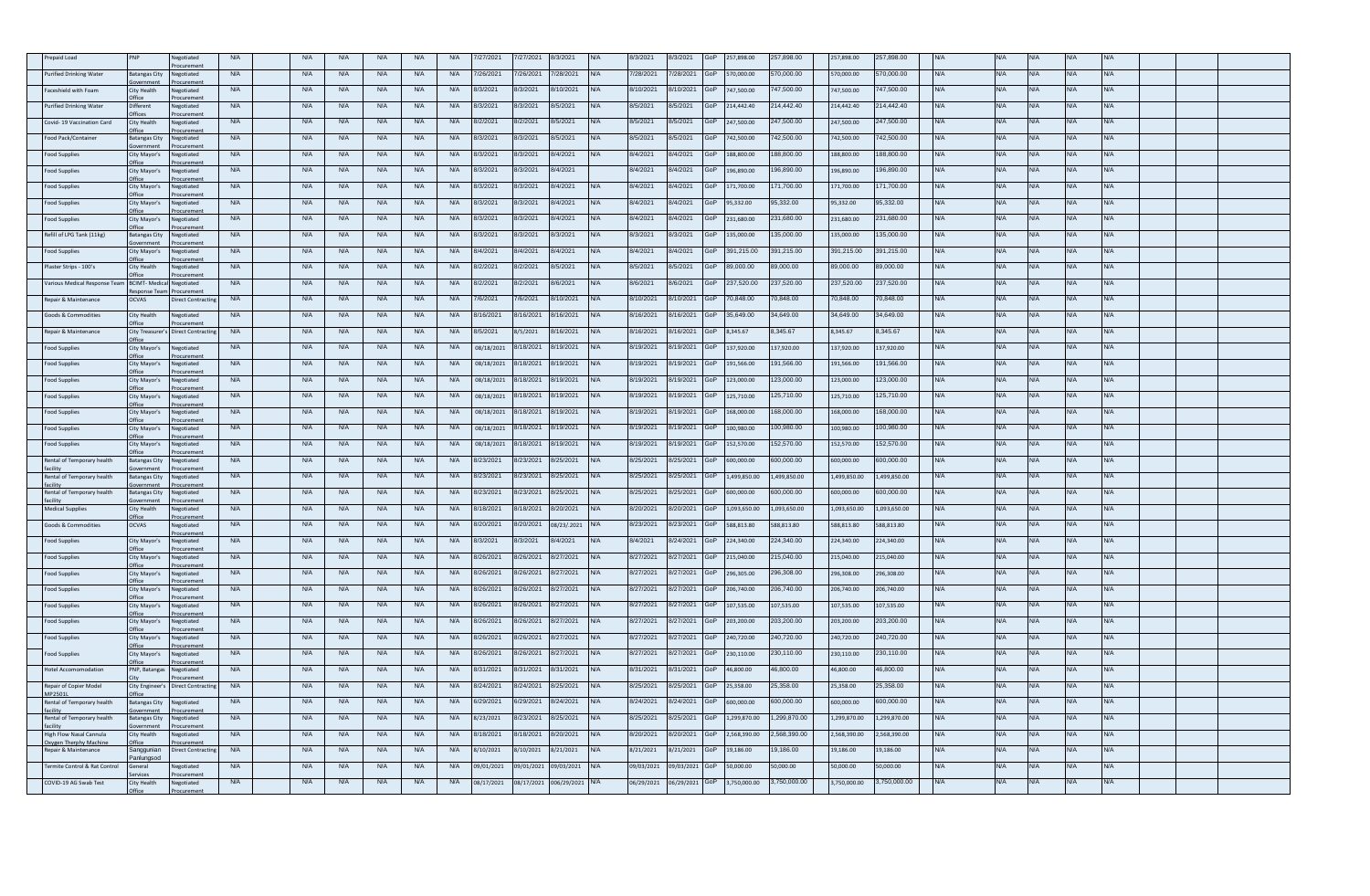| epaid Load                                    |                                        | egotiated             | <b>N/A</b> | <b>N/A</b> | <b>N/A</b> | <b>N/A</b> | <b>N/A</b> | <b>N/A</b> | /27/2021   | 7/27/2021  | /3/2021     |            | 8/3/2021   | /3/2021    |     | 57.898.00    | 57,898.00   | 257,898.00   | 257.898.00   |            |            |            |            |            |  |  |
|-----------------------------------------------|----------------------------------------|-----------------------|------------|------------|------------|------------|------------|------------|------------|------------|-------------|------------|------------|------------|-----|--------------|-------------|--------------|--------------|------------|------------|------------|------------|------------|--|--|
| urified Drinking Water                        | Batangas City                          | legotiated            | <b>N/A</b> | <b>N/A</b> | N/A        | <b>N/A</b> | <b>N/A</b> | <b>N/A</b> | 26/2021    | 7/26/2021  | /28/2021    | N/A        | 7/28/2021  | /28/2021   |     | 70,000.00    | 70,000.00   | 70,000.00    | 570,000.00   | <b>NA</b>  | <b>N/A</b> | <b>N/A</b> | <b>VA</b>  | N/A        |  |  |
| aceshield with Foam                           | City Health                            | egotiated             | <b>N/A</b> | N/A        | <b>N/A</b> | <b>N/A</b> | <b>N/A</b> | <b>N/A</b> | 8/3/2021   | 8/3/2021   | 3/10/2021   |            | 8/10/2021  | /10/2021   |     | 747,500.00   | 47,500.00   | 747,500.00   | 47,500.00    | VΑ         | N/A        | WA.        |            | N/A        |  |  |
| urified Drinking Water                        | <i>different</i>                       | legotiated            | <b>N/A</b> | <b>N/A</b> | <b>N/A</b> | <b>N/A</b> | <b>N/A</b> | <b>N/A</b> | /3/2021    | 8/3/2021   | /5/2021     |            | 8/5/2021   | /5/2021    |     | 214,442.40   | 14,442.40   | 214,442.40   | 14,442.40    | <b>VA</b>  | <b>N/A</b> |            |            | <b>VA</b>  |  |  |
| Covid-19 Vaccination Card                     | City Health                            | legotiated            | <b>N/A</b> | N/A        | <b>N/A</b> | <b>N/A</b> | <b>N/A</b> | <b>N/A</b> | 8/2/2021   | 8/2/2021   | 3/5/2021    | N/A.       | 8/5/2021   | 3/5/2021   |     | 247,500.00   | 47,500.00   | 247,500.00   | 247,500.00   | N/A        | <b>N/A</b> | N/A        | VA.        | <b>N/A</b> |  |  |
| Food Pack/Container                           | <b>Batangas City</b>                   | legotiated            | <b>N/A</b> | <b>N/A</b> | <b>N/A</b> | <b>N/A</b> | <b>N/A</b> | <b>N/A</b> | /3/2021    | 8/3/2021   | 3/5/2021    | N/A        | 8/5/2021   | /5/2021    |     | 42,500.00    | 42,500.00   | 742,500.00   | 42,500.00    | <b>VA</b>  | <b>N/A</b> |            |            | N/A        |  |  |
|                                               |                                        | egotiated             | <b>N/A</b> |            |            | N/A        | <b>N/A</b> | <b>N/A</b> | 3/3/2021   |            |             | $N/\Delta$ |            |            |     | 188,800.00   | 88,800.00   | 188,800.00   | 88,800.00    | <b>N/A</b> | N/A        | N/A        | <b>N/A</b> | <b>N/A</b> |  |  |
| ood Supplies                                  | City Mayor's                           |                       |            | <b>N/A</b> | <b>N/A</b> |            |            |            |            | 8/3/2021   | 3/4/2021    |            | 8/4/2021   | 3/4/2021   |     |              |             |              |              |            |            |            |            |            |  |  |
| ood Supplies                                  | City Mayor's                           | legotiated            | <b>N/A</b> | <b>N/A</b> | <b>N/A</b> | N/A        | N/A        | <b>N/A</b> | /3/2021    | 8/3/2021   | 3/4/2021    |            | 3/4/2021   | /4/2021    |     | 96,890.00    | 96,890.00   | 196,890.00   | 96,890.00    |            | N/A        |            |            | VA.        |  |  |
| ood Supplies                                  | City Mayor's                           | legotiated            | <b>N/A</b> | <b>N/A</b> | <b>N/A</b> | <b>N/A</b> | <b>N/A</b> | <b>N/A</b> | /3/2021    | 8/3/2021   | 3/4/2021    | N/A        | 8/4/2021   | /4/2021    |     | 171,700.00   | 71,700.00   | 171,700.00   | 71,700.00    | <b>NA</b>  | <b>N/A</b> | N/A        | VA.        | <b>N/A</b> |  |  |
| ood Supplies                                  | City Mayor's<br><b>ffice</b>           | legotiated            | <b>N/A</b> | <b>N/A</b> | <b>N/A</b> | N/A        | <b>N/A</b> | <b>N/A</b> | 8/3/2021   | 8/3/2021   | 3/4/2021    | N/A        | 8/4/2021   | /4/2021    |     | 95,332.00    | 5,332.00    | 95,332.00    | 95,332.00    | <b>NA</b>  | <b>N/A</b> | <b>N/A</b> | <b>VA</b>  | <b>N/A</b> |  |  |
| Food Supplies                                 | City Mayor's                           | legotiated            | <b>N/A</b> | <b>N/A</b> | N/A        | <b>N/A</b> | <b>N/A</b> | <b>N/A</b> | 3/3/2021   | 8/3/2021   | 3/4/2021    |            | 8/4/2021   | /4/2021    |     | 231,680.00   | 231,680.00  | 231,680.00   | 231,680.00   |            | <b>N/A</b> |            |            | N/A        |  |  |
| Refill of LPG Tank (11kg)                     | <b>Batangas City</b>                   | legotiated            | <b>N/A</b> | <b>N/A</b> | <b>N/A</b> | <b>N/A</b> | <b>N/A</b> | <b>N/A</b> | /3/2021    | 8/3/2021   | 3/3/2021    |            | 8/3/2021   | /3/2021    |     | 135,000.00   | 35,000.00   | 135,000.00   | 35,000.00    | ΨA         | <b>N/A</b> |            | VА         | <b>VA</b>  |  |  |
| ood Supplies                                  | City Mayor's                           | legotiated            | <b>N/A</b> | <b>N/A</b> | <b>N/A</b> | <b>N/A</b> | <b>N/A</b> | <b>N/A</b> | /4/2021    | 8/4/2021   | 3/4/2021    | N/A        | 8/4/2021   | /4/2021    |     | 391,215.00   | 91,215.00   | 391.215.00   | 391,215.00   | <b>N/A</b> | <b>N/A</b> | N/A        | N/A        | <b>N/A</b> |  |  |
| Plaster Strips - 100's                        | <b>ffice</b><br>City Health            | legotiated            | <b>N/A</b> | <b>N/A</b> | N/4        | <b>N/A</b> | <b>N/A</b> | <b>N/A</b> | 3/2/2021   | 8/2/2021   | 3/5/2021    | N/A        | 8/5/2021   | 3/5/2021   |     | 89,000.00    | 9,000.00    | 89,000.00    | 9,000.00     | <b>VA</b>  | <b>N/A</b> | $\Delta U$ |            | N/A        |  |  |
| arious Medical Response                       | <b>BCIMT-Medic</b>                     | egotiated             | <b>N/A</b> | <b>N/A</b> | <b>N/A</b> | <b>N/A</b> | <b>N/A</b> | <b>N/A</b> | 8/2/2021   | 8/2/2021   | 8/6/2021    | $N/\Delta$ | 8/6/2021   | 3/6/2021   |     | 237,520.00   | 237.520.00  | 237,520.00   | 237.520.00   | <b>NA</b>  | <b>N/A</b> | N/A        | N/A        | <b>N/A</b> |  |  |
| tepair & Maintenance                          | ponse Tea<br>OCVAS                     | Direct Contractir     | <b>N/A</b> | <b>N/A</b> | <b>N/A</b> | <b>N/A</b> | <b>N/A</b> | <b>N/A</b> | /6/2021    | 7/6/2021   | /10/2021    |            | 8/10/2021  | /10/2021   |     | 70,848.00    | 0,848.00    | 0,848.00     | 0,848.00     |            | <b>N/A</b> |            |            | VA.        |  |  |
|                                               | City Health                            |                       | <b>N/A</b> | <b>N/A</b> | <b>N/A</b> | N/A        | <b>N/A</b> | <b>N/A</b> | /16/2021   | 8/16/2021  | 3/16/2021   | AW.        | 8/16/2021  | /16/2021   |     | 35.649.00    | 4,649.00    | 34.649.00    | 34.649.00    | ΨA.        | <b>N/A</b> | JΙA.       | VA.        | N/A        |  |  |
| <b>Goods &amp; Commodities</b>                |                                        | Vegotiated            |            |            |            |            |            |            |            |            |             |            |            |            |     |              |             |              |              |            |            |            |            |            |  |  |
| Repair & Maintenance                          | <b>City Treasurer</b><br><b>Office</b> | Direct Contracting    | <b>N/A</b> | <b>N/A</b> | <b>N/A</b> | <b>N/A</b> | <b>N/A</b> | <b>N/A</b> | 3/5/2021   | 8/5/2021   | 3/16/2021   | N/A        | 8/16/2021  | /16/2021   |     | 8,345.67     | ,345.67     | 8,345.67     | 3,345.67     | <b>NA</b>  | <b>N/A</b> | <b>N/A</b> | <b>VA</b>  | N/A        |  |  |
| Food Supplies                                 | City Mayor's                           | Vegotiated            | <b>N/A</b> | <b>N/A</b> | <b>N/A</b> | <b>N/A</b> | <b>N/A</b> | <b>N/A</b> | 08/18/2021 | 8/18/2021  | 8/19/2021   | N/Δ        | 8/19/2021  | /19/2021   |     | 137,920.00   | 37,920.00   | 137,920.00   | 137,920.00   | <b>N/A</b> | <b>N/A</b> | N/A        | J/A        | N/A        |  |  |
| ood Supplies                                  | City Mayor's                           | legotiated            | <b>N/A</b> | <b>N/A</b> | <b>N/A</b> | <b>N/A</b> | <b>N/A</b> | <b>N/A</b> | 08/18/2021 | 8/18/2021  | 8/19/2021   |            | 3/19/2021  | 19/2021    |     | 191,566.00   | 91,566.00   | 191,566.00   | 91,566.00    |            | <b>N/A</b> |            |            | <b>VA</b>  |  |  |
| Food Supplies                                 | City Mayor's                           | legotiated            | <b>N/A</b> | <b>N/A</b> | <b>N/A</b> | <b>N/A</b> | <b>N/A</b> | <b>N/A</b> | 08/18/2021 | 8/18/2021  | 8/19/2021   |            | 8/19/2021  | /19/2021   |     | 123,000.00   | 23,000.00   | 123,000.00   | 23,000.00    | <b>N/A</b> | <b>N/A</b> | N/A        | <b>VA</b>  | N/A        |  |  |
| Food Supplies                                 | City Mayor's                           | legotiated            | <b>N/A</b> | <b>N/A</b> | <b>N/A</b> | N/A        | <b>N/A</b> | <b>N/A</b> | 08/18/2021 | 8/18/2021  | /19/2021    |            | 8/19/2021  | /19/2021   |     | 125,710.00   | 25,710.00   | 125,710.00   | 25,710.00    |            | <b>N/A</b> | <b>VA</b>  |            | <b>N/A</b> |  |  |
| Food Supplies                                 | ffice<br>City Mayor's                  | egotiated             | <b>N/A</b> | <b>N/A</b> | <b>N/A</b> | <b>N/A</b> | <b>N/A</b> | <b>N/A</b> | 08/18/2021 | 8/18/2021  | 8/19/2021   |            | 8/19/2021  | /19/2021   |     | 168,000.00   | 68,000.00   | 168,000.00   | 68,000.00    | VΑ         | N/A        | NI/A       | 1Λ.        | N/A        |  |  |
| ood Supplies                                  | City Mayor's                           | legotiated            | <b>N/A</b> | <b>N/A</b> | <b>N/A</b> | <b>N/A</b> | <b>N/A</b> | <b>N/A</b> | 08/18/2021 | 8/18/2021  | /19/2021    |            | 8/19/2021  | /19/2021   |     | 100,980.00   | 00,980.00   | 100,980.00   | 00,980.00    | ΨA         | <b>N/A</b> |            |            | N/A        |  |  |
| <b>Food Supplies</b>                          | City Mayor's                           | legotiated            | <b>N/A</b> | <b>N/A</b> | N/A        | N/A        | <b>N/A</b> | <b>N/A</b> | 08/18/2021 | 8/18/2021  | 3/19/2021   |            | 8/19/2021  | /19/2021   |     | 152,570.00   | 52.570.00   | 152,570.00   | 152.570.00   | <b>N/A</b> | <b>N/A</b> | ΔW.        | I/A        | N/A        |  |  |
| Rental of Temporary health                    | <b>Batangas City</b>                   | curemei<br>Vegotiated | <b>N/A</b> | <b>N/A</b> | <b>N/A</b> | <b>N/A</b> | <b>N/A</b> | <b>N/A</b> | 3/23/2021  | 8/23/2021  | 3/25/2021   |            | 8/25/2021  | /25/2021   |     | 600,000.00   | 00,000.00   | 600,000.00   | 00,000.00    | √Α         | <b>N/A</b> | N/A        | ٧A         | N/A        |  |  |
| Rental of Temporary health                    | <b>Batangas City</b>                   | betainee              | <b>N/A</b> | <b>N/A</b> | <b>N/A</b> | <b>N/A</b> | <b>N/A</b> | <b>N/A</b> | 8/23/2021  | 8/23/2021  | 8/25/2021   | $N/\Delta$ | 8/25/2021  | 3/25/2021  |     | 1,499,850.00 | ,499,850.00 | 1,499,850.00 | ,499,850.00  | <b>N/A</b> | <b>N/A</b> | N/A        | J/A        | <b>N/A</b> |  |  |
| Rental of Temporary health                    | Batangas City                          |                       | <b>N/A</b> | <b>N/A</b> | <b>N/A</b> | <b>N/A</b> | <b>N/A</b> | <b>N/A</b> | /23/2021   | 8/23/2021  | /25/2021    |            | 8/25/2021  | /25/2021   |     | 600,000.00   | 00,000.00   | 600,000.00   | 00,000.00    | VА         | <b>N/A</b> |            |            | <b>VA</b>  |  |  |
|                                               |                                        | legotiated            | <b>N/A</b> |            |            |            |            |            |            |            |             |            |            |            |     |              |             |              |              |            |            |            |            |            |  |  |
| <b>Medical Supplies</b>                       | City Health                            | egotiated             |            | <b>N/A</b> | <b>N/A</b> | <b>N/A</b> | <b>N/A</b> | <b>N/A</b> | /18/2021   | 8/18/2021  | 3/20/2021   |            | 8/20/2021  | /20/2021   |     | 1,093,650.00 | ,093,650.00 | 1,093,650.00 | 1,093,650.00 | VΑ         | N/A        |            | VA.        | VA.        |  |  |
| <b>Goods &amp; Commodities</b>                | <b>OCVAS</b>                           | Vegotiated            | <b>N/A</b> | <b>N/A</b> | <b>N/A</b> | N/A        | <b>N/A</b> | <b>N/A</b> | /20/2021   | 8/20/2021  | 8/23/.2021  | N/A        | 8/23/2021  | /23/2021   |     | 588,813.80   | 88,813.80   | 588,813.80   | 88,813.80    | <b>NA</b>  | <b>N/A</b> |            |            | <b>N/A</b> |  |  |
| ood Supplies                                  | City Mayor's                           | legotiated            | <b>N/A</b> | <b>N/A</b> | <b>N/A</b> | N/A        | <b>N/A</b> | <b>N/A</b> | 3/3/2021   | 8/3/2021   | 3/4/2021    | $N/\Delta$ | 8/4/2021   | 3/24/2021  |     | 224,340.00   | 24,340.00   | 224,340.00   | 24,340.00    | <b>NA</b>  | N/A        | N/A        | N/A        | <b>N/A</b> |  |  |
| ood Supplies                                  | City Mayor's                           | legotiated            | <b>N/A</b> | <b>N/A</b> | <b>N/A</b> | <b>N/A</b> | <b>N/A</b> | <b>N/A</b> | /26/2021   | 8/26/2021  | /27/2021    |            | 8/27/2021  | /27/2021   |     | 215,040.00   | 15,040.00   | 215,040.00   | 15,040.00    |            | <b>N/A</b> |            |            | VA.        |  |  |
| Food Supplies                                 | City Mayor's                           | legotiated            | <b>N/A</b> | <b>N/A</b> | <b>N/A</b> | <b>N/A</b> | <b>N/A</b> | <b>N/A</b> | /26/2021   | 8/26/2021  | 3/27/2021   |            | 8/27/2021  | /27/2021   |     | 296.305.00   | 96,308.00   | 296.308.00   | 296.308.00   | N/A        | <b>N/A</b> | N/A        | J/A        | <b>N/A</b> |  |  |
| Food Supplies                                 | City Mayor's<br><b>Iffice</b>          | legotiated            | <b>N/A</b> | <b>N/A</b> | <b>N/A</b> | <b>N/A</b> | <b>N/A</b> | <b>N/A</b> | 3/26/2021  | 8/26/2021  | 8/27/2021   | N/A        | 8/27/2021  | /27/2021   |     | 206,740.00   | 06,740.00   | 206,740.00   | 06,740.00    | <b>NA</b>  | <b>N/A</b> | <b>N/A</b> | <b>VA</b>  | <b>N/A</b> |  |  |
| Food Supplies                                 | City Mayor's                           | legotiated            | <b>N/A</b> | <b>N/A</b> | <b>N/A</b> | <b>N/A</b> | <b>N/A</b> | <b>N/A</b> | 3/26/2021  | 8/26/2021  | 3/27/2021   |            | 8/27/2021  | /27/2021   |     | 107,535.00   | 07,535.00   | 107,535.00   | 07,535.00    | N/A        | <b>N/A</b> | N/A        | J/A        | <b>N/A</b> |  |  |
| ood Supplies                                  | City Mayor's                           | legotiated            | <b>N/A</b> | <b>N/A</b> | <b>N/A</b> | N/A        | <b>N/A</b> | <b>N/A</b> | /26/2021   | 8/26/2021  | 3/27/2021   |            | 8/27/2021  | /27/2021   |     | 203,200.00   | 03,200.00   | 203,200.00   | 03,200.00    | ΨA.        | <b>N/A</b> |            | VА         | WA.        |  |  |
| Food Supplies                                 | City Mayor's                           | legotiated            | <b>N/A</b> | <b>N/A</b> | <b>N/A</b> | <b>N/A</b> | <b>N/A</b> | <b>N/A</b> | /26/2021   | 8/26/2021  | 3/27/2021   |            | 8/27/2021  | /27/2021   |     | 240,720.00   | 40,720.00   | 240,720.00   | 240.720.00   | N/A.       | <b>N/A</b> | N/A        | N/A        | <b>N/A</b> |  |  |
| <b>Food Supplies</b>                          | City Mayor's                           | Vegotiated            | <b>N/A</b> | <b>N/A</b> | <b>N/A</b> | N/A        | <b>N/A</b> | <b>N/A</b> | 3/26/2021  | 8/26/2021  | 3/27/2021   |            | 8/27/2021  | /27/2021   |     | 230,110.00   | 30,110.00   | 230,110.00   | 230,110.00   | <b>VA</b>  | <b>N/A</b> |            |            | N/A        |  |  |
| <b>Hotel Accomomodation</b>                   | PNP, Batanga                           | egotiated             | <b>N/A</b> | <b>N/A</b> | <b>N/A</b> | <b>N/A</b> | <b>N/A</b> | <b>N/A</b> | 3/31/2021  | 8/31/2021  | 8/31/2021   |            | 8/31/2021  | 3/31/2021  |     | 46,800.00    | 46,800.00   | 46,800.00    | 6.800.00     | <b>N/A</b> | N/A        | N/A        | N/A        | <b>N/A</b> |  |  |
|                                               |                                        |                       | <b>N/A</b> | <b>N/A</b> | <b>N/A</b> | <b>N/A</b> | <b>N/A</b> | <b>N/A</b> | /24/2021   | 8/24/2021  | /25/2021    |            | 8/25/2021  | /25/2021   |     | 25,358.00    | 15,358.00   | 25,358.00    | 25,358.00    |            | <b>N/A</b> |            |            | VA.        |  |  |
| Repair of Copier Mode<br><b>P25011</b>        | <b>City Engineer</b>                   | Direct Contractir     |            |            |            |            |            |            |            |            |             |            |            |            |     |              |             |              |              |            |            |            |            |            |  |  |
| Rental of Temporary health                    | <b>Batangas City</b>                   | Vegotiated            | <b>N/A</b> | <b>N/A</b> | <b>N/A</b> | <b>N/A</b> | <b>N/A</b> | <b>N/A</b> | /29/2021   | 6/29/2021  | 3/24/2021   | N/A        | 8/24/2021  | /24/2021   |     | 600,000.00   | 00,000.00   | 600,000.00   | 00.000,000   | <b>NA</b>  | <b>N/A</b> | N/A        | VA.        | <b>N/A</b> |  |  |
| Rental of Temporary health                    | Batangas City                          | legotiated<br>uremen  | <b>N/A</b> | <b>N/A</b> | <b>N/A</b> | <b>N/A</b> | <b>N/A</b> | <b>N/A</b> | 8/23/2021  | 8/23/2021  | 8/25/2021   | N/A        | 8/25/2021  | /25/2021   |     | 1,299,870.00 | ,299,870.00 | 1,299,870.00 | ,299,870.00  | <b>NA</b>  | <b>N/A</b> | <b>N/A</b> | <b>VA</b>  | N/A        |  |  |
| High Flow Nasal Cannula<br>ygen Therphy Machi | <b>lity Health</b>                     | egotiated             | <b>N/A</b> | <b>N/A</b> | <b>N/A</b> | <b>N/A</b> | N/A        | <b>N/A</b> | 18/2021    | 8/18/2021  | 3/20/2021   |            | 8/20/2021  | /20/2021   |     | 2,568,390.00 | .568.390.00 | 2,568,390.00 | ,568,390.00  |            | <b>N/A</b> |            |            | VA.        |  |  |
| Repair & Maintenance                          | Sanggunian<br>Panlungsog               | Direct Contractir     | <b>N/A</b> | <b>N/A</b> | <b>N/A</b> | <b>N/A</b> | <b>N/A</b> | <b>N/A</b> | /10/2021   | 8/10/2021  | 8/21/2021   | N/A        | 8/21/2021  | 3/21/2021  |     | 9,186.00     | 9,186.00    | 19,186.00    | 9,186.00     | VA         | <b>N/A</b> |            |            | <b>VA</b>  |  |  |
| Termite Control & Rat Control                 | General                                | egotiated             | <b>N/A</b> | <b>N/A</b> | <b>N/A</b> | <b>N/A</b> | <b>N/A</b> | <b>N/A</b> | 9/01/2021  | 09/01/2021 | 9/03/2021   | N/A        | 09/03/2021 | 9/03/2021  |     | 0.000.00     | 0,000.00    | 00.000.00    | 0.000.00     | N/A        | <b>N/A</b> | N/A        | VA.        | N/A        |  |  |
| COVID-19 AG Swab Test                         | ervices<br>City Health                 | Vegotiated            | <b>N/A</b> | <b>N/A</b> | <b>N/A</b> | <b>N/A</b> | <b>N/A</b> | <b>N/A</b> | 08/17/2021 | 08/17/2021 | 006/29/2021 | <b>N/A</b> | 06/29/2021 | 06/29/2021 | GoP | 3,750,000.00 | ,750,000.00 | 3,750,000.00 | ,750,000.00  |            | <b>N/A</b> | N/A        |            | <b>N/A</b> |  |  |
|                                               |                                        |                       |            |            |            |            |            |            |            |            |             |            |            |            |     |              |             |              |              |            |            |            |            |            |  |  |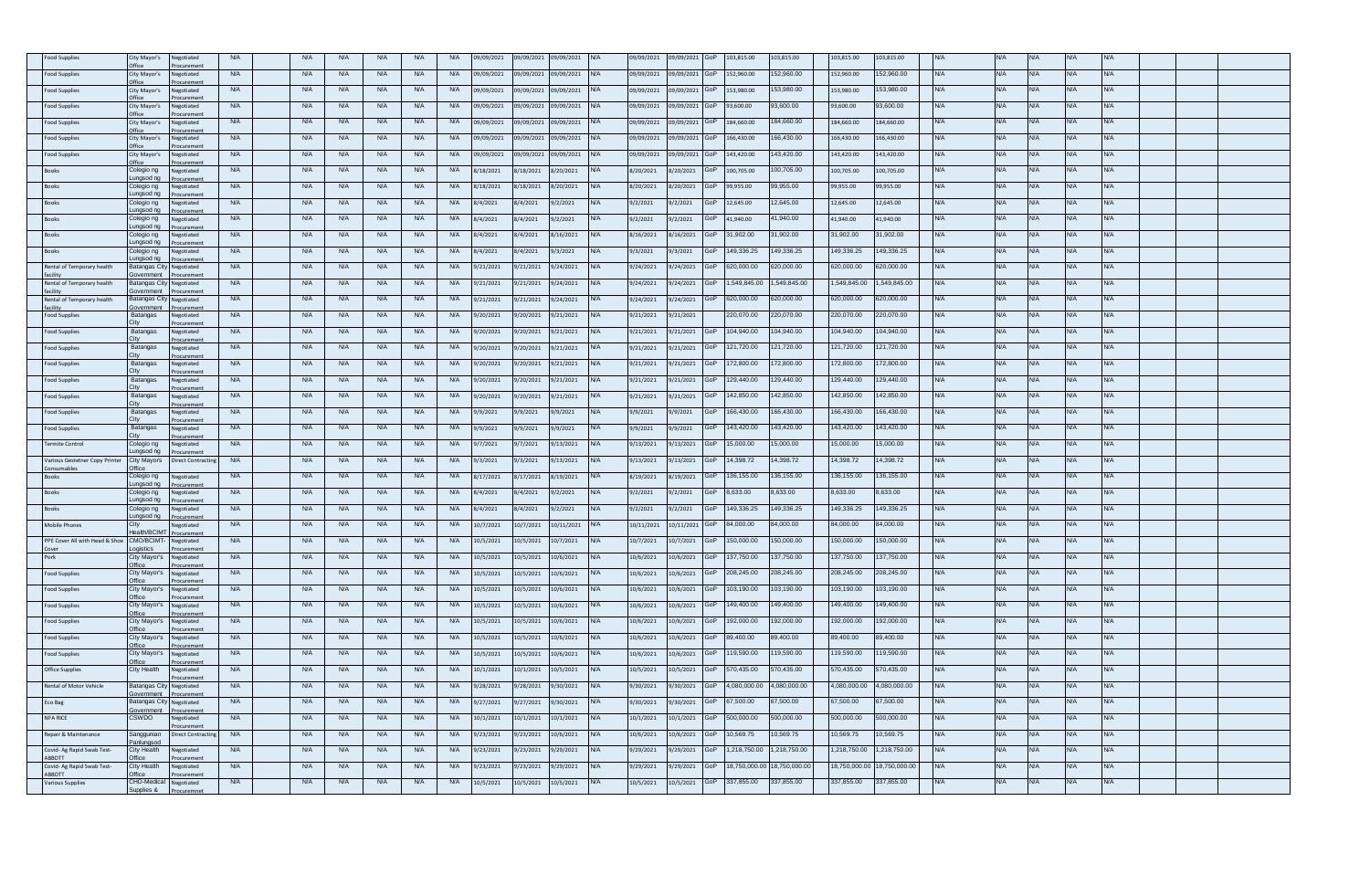| ood Supplies                              | City Mayor's                              | legotiated                  | <b>N/A</b> | <b>N/A</b> | <b>N/A</b> | <b>N/A</b> | <b>N/A</b> | <b>N/A</b> | 9/09/2021  | 09/09/2021 | 9/09/2021  |            | 9/09/2021  | 9/09/2021  |     | 03,815.00    | 103.815.00  | 103.815.00    | 03,815.00    |            |            |            |            |            |  |  |
|-------------------------------------------|-------------------------------------------|-----------------------------|------------|------------|------------|------------|------------|------------|------------|------------|------------|------------|------------|------------|-----|--------------|-------------|---------------|--------------|------------|------------|------------|------------|------------|--|--|
| ood Supplies                              | City Mayor's                              | Vegotiated                  | <b>N/A</b> | <b>N/A</b> | <b>N/A</b> | <b>N/A</b> | <b>N/A</b> | <b>N/A</b> | 9/09/2021  | 09/09/2021 | 9/09/2021  |            | 9/09/2021  | 9/09/2021  |     | 52,960.00    | 52,960.00   | 152,960.00    | 152,960.00   | <b>NA</b>  | <b>N/A</b> | <b>N/A</b> | <b>VA</b>  | N/A        |  |  |
| <b>Food Supplies</b>                      | rfice)<br>City Mayor's                    | curemen<br>Vegotiated       | <b>N/A</b> | <b>N/A</b> | <b>N/A</b> | <b>N/A</b> | <b>N/A</b> | <b>N/A</b> | 19/09/2021 | 09/09/2021 | 9/09/2021  |            | 09/09/2021 | 9/09/2021  |     | 153,980.00   | 53,980.00   | 153,980.00    | 53,980.00    | VΑ         | N/A        |            |            | N/A        |  |  |
| ood Supplies                              | City Mayor's                              | curemei<br>legotiated       | <b>N/A</b> | <b>N/A</b> | <b>N/A</b> | <b>N/A</b> | <b>N/A</b> | <b>N/A</b> | 9/09/2021  | 09/09/2021 | 9/09/2021  |            | 9/09/2021  | 9/09/2021  |     | 93,600.00    | 3,600.00    | 93,600.00     | 3,600.00     | <b>VA</b>  | <b>N/A</b> |            |            | <b>VA</b>  |  |  |
| <b>Food Supplies</b>                      | City Mayor's                              | legotiated                  | <b>N/A</b> | N/A        | <b>N/A</b> | <b>N/A</b> | <b>N/A</b> | <b>N/A</b> | 09/09/2021 | 09/09/2021 | 09/09/2021 | N/A        | 09/09/2021 | 09/09/2021 |     | 184,660.00   | 84,660.00   | 184,660.00    | 184,660.00   | WA.        | <b>N/A</b> | N/A        | N/A        | N/A        |  |  |
| Food Supplies                             | City Mayor's                              | legotiated                  | <b>N/A</b> | <b>N/A</b> | <b>N/A</b> | N/A        | <b>N/A</b> | <b>N/A</b> | 9/09/2021  | 09/09/2021 | 9/09/2021  |            | 09/09/2021 | 9/09/2021  |     | 166,430.00   | 66,430.00   | 166,430.00    | 66,430.00    | <b>VA</b>  | <b>N/A</b> |            |            | <b>N/A</b> |  |  |
|                                           | <b>Office</b>                             |                             | <b>N/A</b> |            |            | N/A        | <b>N/A</b> | <b>N/A</b> |            |            |            | $N/\Delta$ |            |            |     | 143.420.00   | 43,420.00   | 143,420.00    | 43.420.00    | <b>NA</b>  | <b>N/A</b> | N/A        | N/A        | <b>N/A</b> |  |  |
| Food Supplies                             | City Mayor's                              | legotiated                  |            | <b>N/A</b> | <b>N/A</b> |            |            |            | 9/09/2021  | 09/09/2021 | 9/09/2021  |            | 09/09/2021 | 9/09/2021  |     |              |             |               |              |            |            |            |            |            |  |  |
| Books                                     | Colegio ng<br>Lungsod ng                  | legotiated                  | <b>N/A</b> | <b>N/A</b> | <b>N/A</b> | N/A        | <b>N/A</b> | <b>N/A</b> | /18/2021   | 8/18/2021  | /20/2021   |            | 8/20/2021  | /20/2021   |     | 100,705.00   | 00,705.00   | 100,705.00    | 00,705.00    |            | <b>N/A</b> |            |            | VA.        |  |  |
| <b>Books</b>                              | Colegio ng<br>ungsod ng                   | legotiated                  | <b>N/A</b> | <b>N/A</b> | <b>N/A</b> | <b>N/A</b> | <b>N/A</b> | <b>N/A</b> | /18/2021   | 8/18/2021  | 3/20/2021  |            | 8/20/2021  | /20/2021   |     | 99,955.00    | 99,955.00   | 99,955.00     | 99,955.00    | <b>NA</b>  | <b>N/A</b> | N/A        | VA.        | <b>N/A</b> |  |  |
| <b>Books</b>                              | Colegio ng<br>Lungsod ng                  | egotiated<br><b>Curemen</b> | <b>N/A</b> | <b>N/A</b> | <b>N/A</b> | <b>N/A</b> | <b>N/A</b> | <b>N/A</b> | 3/4/2021   | 8/4/2021   | /2/2021    |            | 9/2/2021   | /2/2021    |     | 2,645.00     | 2,645.00    | 12,645.00     | 2,645.00     | <b>NA</b>  | <b>N/A</b> | <b>N/A</b> | <b>VA</b>  | <b>N/A</b> |  |  |
|                                           | Colegio ng<br>unasod na                   | egotiated                   | <b>N/A</b> | <b>N/A</b> | <b>N/A</b> | <b>N/A</b> | <b>N/A</b> | <b>N/A</b> | 8/4/2021   | 8/4/2021   | /2/2021    |            | 9/2/2021   | 9/2/2021   |     | 41,940.00    | 1,940.00    | 41,940.00     | 1,940.00     |            | <b>N/A</b> |            |            | N/A        |  |  |
| Books                                     | Colegio ng                                | legotiated                  | <b>N/A</b> | <b>N/A</b> | <b>N/A</b> | <b>N/A</b> | <b>N/A</b> | <b>N/A</b> | /4/2021    | 8/4/2021   | B/16/2021  |            | 8/16/2021  | /16/2021   |     | 31,902.00    | 1,902.00    | 31,902.00     | 1,902.00     | ΨA         | <b>N/A</b> |            | VA.        | <b>VA</b>  |  |  |
| <b>Books</b>                              | ungsod ng<br>Colegio ng                   | legotiated                  | <b>N/A</b> | <b>N/A</b> | <b>N/A</b> | <b>N/A</b> | <b>N/A</b> | <b>N/A</b> | 3/4/2021   | 8/4/2021   | 9/3/2021   | N/A        | 9/3/2021   | /3/2021    |     | 49,336.25    | 49,336.25   | 149,336.25    | 49.336.25    | N/A        | <b>N/A</b> | N/A        | N/A        | <b>N/A</b> |  |  |
| Rental of Temporary health                | ungsod ng<br><b>Batangas City</b>         | Vegotiated                  | <b>N/A</b> | <b>N/A</b> | <b>N/A</b> | <b>N/A</b> | <b>N/A</b> | <b>N/A</b> | 1/21/2021  | 9/21/2021  | 9/24/2021  |            | 9/24/2021  | 3/24/2021  |     | 320,000.00   | 20,000.00   | 620,000.00    | 320,000.00   | <b>NA</b>  | <b>N/A</b> | N/A        |            | N/A        |  |  |
| Rental of Temporary health                | overnment<br>Batangas City                | egotiated                   | <b>N/A</b> | <b>N/A</b> | <b>N/A</b> | <b>N/A</b> | <b>N/A</b> | <b>N/A</b> | 1/21/2021  | 9/21/2021  | 9/24/2021  | $N/\Delta$ | 9/24/2021  | 9/24/2021  |     | 1.549.845.00 | .549.845.00 | 1,549,845.00  | .549.845.00  | N/A        | N/A        | N/A        | N/A        | <b>N/A</b> |  |  |
| Rental of Temporary health                | <b>Batangas City</b>                      | legotiated                  | <b>N/A</b> | <b>N/A</b> | <b>N/A</b> | <b>N/A</b> | <b>N/A</b> | <b>N/A</b> | /21/2021   | 9/21/2021  | 9/24/2021  |            | 9/24/2021  | /24/2021   |     | 620,000.00   | 20,000.00   | 620,000.00    | 00.000.00    |            | <b>N/A</b> |            |            | <b>VA</b>  |  |  |
| cility                                    | overnment                                 | ocurement                   | <b>N/A</b> | <b>N/A</b> |            |            | <b>N/A</b> | <b>N/A</b> |            |            |            |            |            |            |     |              |             |               |              |            | <b>N/A</b> | JΙΔ.       |            | N/A        |  |  |
| <b>Food Supplies</b>                      | Batangas<br>`itv                          | Vegotiated<br>curemer       |            |            | <b>N/A</b> | N/A        |            |            | /20/2021   | 9/20/2021  | 9/21/2021  |            | 9/21/2021  | 9/21/2021  |     | 220,070.00   | 20,070.00   | 220,070.00    | 220,070.00   | ΨA.        |            |            | VA.        |            |  |  |
| Food Supplies                             | Batangas                                  | legotiated<br>ocurement     | <b>N/A</b> | <b>N/A</b> | <b>N/A</b> | <b>N/A</b> | <b>N/A</b> | <b>N/A</b> | /20/2021   | 9/20/2021  | 9/21/2021  | N/A        | 9/21/2021  | 9/21/2021  |     | 104,940.00   | 04,940.00   | 104,940.00    | 04,940.00    | <b>NA</b>  | <b>N/A</b> | <b>N/A</b> | <b>VA</b>  | N/A        |  |  |
| <b>Food Supplies</b>                      | Batangas                                  | legotiated                  | <b>N/A</b> | N/A        | <b>N/A</b> | <b>N/A</b> | <b>N/A</b> | <b>N/A</b> | /20/2021   | 9/20/2021  | 9/21/2021  | $N/\Delta$ | 9/21/2021  | 9/21/2021  |     | 121.720.00   | 121.720.00  | 121,720.00    | 121.720.00   | <b>N/A</b> | N/A        | N/A        | N/A        | <b>N/A</b> |  |  |
| ood Supplies                              | Batangas                                  | legotiated                  | <b>N/A</b> | <b>N/A</b> | <b>N/A</b> | <b>N/A</b> | <b>N/A</b> | <b>N/A</b> | /20/2021   | 9/20/2021  | 9/21/2021  |            | 9/21/2021  | 9/21/2021  |     | 72,800.00    | 72,800.00   | 172,800.00    | 72,800.00    |            | <b>N/A</b> |            |            | <b>VA</b>  |  |  |
| Food Supplies                             | Batangas                                  | legotiated                  | <b>N/A</b> | <b>N/A</b> | <b>N/A</b> | <b>N/A</b> | <b>N/A</b> | <b>N/A</b> | /20/2021   | 9/20/2021  | /21/2021   |            | 9/21/2021  | /21/2021   |     | 129,440.00   | 29,440.00   | 129,440.00    | 129.440.00   | N/A        | <b>N/A</b> | N/A        | <b>VA</b>  | N/A        |  |  |
| Food Supplies                             | Batangas                                  | legotiated                  | <b>N/A</b> | <b>N/A</b> | <b>N/A</b> | N/A        | <b>N/A</b> | <b>N/A</b> | /20/2021   | 9/20/2021  | 9/21/2021  |            | 9/21/2021  | 9/21/2021  |     | 42,850.00    | 42,850.00   | 42,850.00     | 42,850.00    |            | <b>N/A</b> | <b>VA</b>  |            | <b>N/A</b> |  |  |
| <b>Food Supplies</b>                      | Batangas                                  | legotiated                  | <b>N/A</b> | <b>N/A</b> | <b>N/A</b> | <b>N/A</b> | <b>N/A</b> | <b>N/A</b> | /9/2021    | 9/9/2021   | 9/9/2021   |            | 9/9/2021   | /9/2021    |     | 66,430.00    | 66,430.00   | 166,430.00    | 66,430.00    | VΑ         | <b>N/A</b> | NΙ/Δ       | VΑ         | N/A        |  |  |
| ood Supplies                              | Batangas                                  | legotiated                  | <b>N/A</b> | <b>N/A</b> | <b>N/A</b> | <b>N/A</b> | <b>N/A</b> | <b>N/A</b> | /9/2021    | 9/9/2021   | /9/2021    |            | 9/9/2021   | 9/9/2021   |     | 43,420.00    | 43,420.00   | 143,420.00    | 43,420.00    |            | <b>N/A</b> |            |            | <b>VA</b>  |  |  |
| <b>Fermite Control</b>                    | Colegio ng                                | legotiated                  | <b>N/A</b> | <b>N/A</b> | N/A        | N/A        | <b>N/A</b> | <b>N/A</b> | /7/2021    | 9/7/2021   | /13/2021   |            | 9/13/2021  | 9/13/2021  |     | 5.000.00     | 5,000.00    | 15.000.00     | 5.000.00     | <b>N/A</b> | <b>N/A</b> | NΙ/Δ       | J/A        | N/A        |  |  |
| Various Gestetner Copy Printe             | ungsod ng<br><b>City Mayors</b>           | Direct Contracting          | <b>N/A</b> | <b>N/A</b> | <b>N/A</b> | <b>N/A</b> | <b>N/A</b> | <b>N/A</b> | 3/2021     | 9/3/2021   | 9/13/2021  |            | 9/13/2021  | 9/13/2021  |     | 4,398.72     | 4,398.72    | 4,398.72      | 4,398.72     |            | <b>N/A</b> | N/A        | VA.        | N/A        |  |  |
| Consumables<br>Books                      | <b>Office</b><br>Colegio ng               | legotiated                  | <b>N/A</b> | <b>N/A</b> | <b>N/A</b> | N/A        | <b>N/A</b> | <b>N/A</b> | 8/17/2021  | 8/17/2021  | 8/19/2021  |            | 8/19/2021  | 8/19/2021  |     | 136,155.00   | 36,155.00   | 136,155.00    | 136,155.00   | N/A        | <b>N/A</b> | N/A        | N/A        | <b>N/A</b> |  |  |
|                                           | ungsod ng<br>Colegio ng                   | curemei<br>legotiated       | <b>N/A</b> | <b>N/A</b> | <b>N/A</b> | <b>N/A</b> | <b>N/A</b> | <b>N/A</b> | /4/2021    | 8/4/2021   | /2/2021    |            | 9/2/2021   | /2/2021    |     | 8,633.00     | ,633.00     | 3,633.00      | .633.00      |            | <b>N/A</b> |            |            | <b>VA</b>  |  |  |
| Books                                     | Lungsod ng                                |                             |            |            |            |            |            |            |            |            |            |            |            |            |     | 49,336.25    | 49,336.25   | 149,336.25    | 49,336.25    |            |            | JΙA.       |            |            |  |  |
| Books                                     | Colegio ng<br>ungsod ng                   | legotiated                  | <b>N/A</b> | <b>N/A</b> | <b>N/A</b> | <b>N/A</b> | <b>N/A</b> | <b>N/A</b> | 3/4/2021   | 8/4/2021   | 9/2/2021   |            | 9/2/2021   | 9/2/2021   |     |              |             |               |              | VΑ         | N/A        |            | VΑ         | VA.        |  |  |
| Mobile Phones                             | City<br>lealth/BCIMT                      | Vegotiated                  | <b>N/A</b> | <b>N/A</b> | <b>N/A</b> | N/A        | <b>N/A</b> | <b>N/A</b> | 0/7/2021   | 10/7/2021  | 0/11/2021  |            | 10/11/2021 | 0/11/2021  |     | 34,000.00    | 4,000.00    | 84,000.00     | 34,000.00    | <b>VA</b>  | <b>N/A</b> |            |            | <b>N/A</b> |  |  |
| PPE Cover All with Head & Shoe            | CMO/BCIMT<br>ogistics                     | legotiated                  | <b>N/A</b> | <b>N/A</b> | <b>N/A</b> | N/A        | <b>N/A</b> | <b>N/A</b> | 0/5/2021   | 10/5/2021  | 10/7/2021  |            | 10/7/2021  | 0/7/2021   |     | 150,000.00   | 50,000.00   | 150,000.00    | 50,000.00    | <b>NA</b>  | <b>N/A</b> | N/A        | N/A        | <b>N/A</b> |  |  |
| Pork                                      | City Mayor's<br><b>Tfice</b>              | legotiated                  | <b>N/A</b> | <b>N/A</b> | <b>N/A</b> | <b>N/A</b> | <b>N/A</b> | <b>N/A</b> | 0/5/2021   | 10/5/2021  | 0/6/2021   |            | 10/6/2021  | 10/6/2021  |     | 137,750.00   | 37,750.00   | 137,750.00    | 37,750.00    |            | <b>N/A</b> |            |            | VA.        |  |  |
| <b>Food Supplies</b>                      | City Mayor's                              | Negotiated                  | <b>N/A</b> | <b>N/A</b> | <b>N/A</b> | <b>N/A</b> | <b>N/A</b> | <b>N/A</b> | 0/5/2021   | 10/5/2021  | 0/6/2021   |            | 10/6/2021  | 0/6/2021   |     | 208,245.00   | 08,245.00   | 208.245.00    | 208.245.00   | N/A        | <b>N/A</b> | N/A        | <b>N/A</b> | <b>N/A</b> |  |  |
| Food Supplies                             | City Mayor's<br>Office                    | Vegotiated                  | <b>N/A</b> | <b>N/A</b> | <b>N/A</b> | <b>N/A</b> | <b>N/A</b> | <b>N/A</b> | 0/5/2021   | 10/5/2021  | 10/6/2021  |            | 10/6/2021  | 10/6/2021  |     | 03,190.00    | 03,190.00   | 103,190.00    | 03,190.00    | <b>NA</b>  | <b>N/A</b> | <b>N/A</b> | <b>VA</b>  | <b>N/A</b> |  |  |
| Food Supplies                             | City Mayor's                              | Vegotiated                  | <b>N/A</b> | <b>N/A</b> | <b>N/A</b> | <b>N/A</b> | <b>N/A</b> | <b>N/A</b> | 0/5/2021   | 10/5/2021  | 0/6/2021   | NI/A       | 10/6/2021  | 0/6/2021   |     | 149,400.00   | 49,400.00   | 149,400.00    | 49,400.00    | N/A        | <b>N/A</b> | <b>N/A</b> | J/A        | <b>N/A</b> |  |  |
| ood Supplies                              | City Mayor's                              | Vegotiated                  | <b>N/A</b> | <b>N/A</b> | <b>N/A</b> | <b>N/A</b> | <b>N/A</b> | <b>N/A</b> | 0/5/2021   | 10/5/2021  | 0/6/2021   |            | 10/6/2021  | 0/6/2021   |     | 92,000.00    | 92,000.00   | 192,000.00    | 92,000.00    | <b>VA</b>  | <b>N/A</b> |            | VA.        | WA.        |  |  |
| Food Supplies                             | )ffice<br>City Mayor's                    | Vegotiated                  | <b>N/A</b> | <b>N/A</b> | <b>N/A</b> | <b>N/A</b> | <b>N/A</b> | <b>N/A</b> | 0/5/2021   | 10/5/2021  | 10/6/2021  |            | 10/6/2021  | 0/6/2021   |     | 89.400.00    | 9.400.00    | 89.400.00     | 39.400.00    | N/A.       | <b>N/A</b> | N/A        | N/A        | <b>N/A</b> |  |  |
| Food Supplies                             | City Mayor's                              | Vegotiated                  | <b>N/A</b> | <b>N/A</b> | <b>N/A</b> | N/A        | <b>N/A</b> | <b>N/A</b> | 10/5/2021  | 10/5/2021  | 0/6/2021   | N/A        | 10/6/2021  | 0/6/2021   |     | 19,590.00    | 19,590.00   | 19,590.00     | 19,590.00    | <b>VA</b>  | <b>N/A</b> | <b>VA</b>  |            | N/A        |  |  |
| Office Supplies                           | <b>Office</b><br>City Health              | legotiated                  | <b>N/A</b> | <b>N/A</b> | <b>N/A</b> | <b>N/A</b> | <b>N/A</b> | <b>N/A</b> | 0/1/2021   | 10/1/2021  | 10/5/2021  | $N/\Delta$ | 10/5/2021  | 10/5/2021  |     | 570.435.00   | 70,435.00   | 570,435.00    | 570.435.00   | <b>NA</b>  | N/A        | N/A        | N/A        | <b>N/A</b> |  |  |
| Rental of Motor Vehicle                   | Batangas City                             |                             | <b>N/A</b> | <b>N/A</b> | <b>N/A</b> | <b>N/A</b> | <b>N/A</b> | <b>N/A</b> | /28/2021   |            | /30/2021   |            |            | /30/2021   |     | 1,080,000.00 | ,080,000.00 | 1,080,000.00  | ,080,000.00  |            | <b>N/A</b> |            |            | <b>VA</b>  |  |  |
|                                           | overnment                                 | legotiated                  |            |            |            |            |            |            |            | 9/28/2021  |            |            | 9/30/2021  |            |     |              |             |               |              |            |            |            |            |            |  |  |
| Eco Bag                                   | <b>Batangas City</b><br><b>Sovernment</b> | Negotiated<br>ocuremer      | <b>N/A</b> | <b>N/A</b> | <b>N/A</b> | <b>N/A</b> | <b>N/A</b> | <b>N/A</b> | /27/2021   | 9/27/2021  | /30/2021   | N/A        | 9/30/2021  | /30/2021   |     | 67,500.00    | 7,500.00    | 67,500.00     | 37,500.00    | N/A        | <b>N/A</b> | N/A        | VA.        | <b>N/A</b> |  |  |
| NFA RICE                                  | CSWDO                                     | Vegotiated                  | <b>N/A</b> | <b>N/A</b> | <b>N/A</b> | <b>N/A</b> | <b>N/A</b> | <b>N/A</b> | 10/1/2021  | 10/1/2021  | 10/1/2021  | N/A        | 10/1/2021  | 0/1/2021   |     | 500,000.00   | 00,000.00   | 500,000.00    | 00,000.00    | <b>VA</b>  | <b>N/A</b> | <b>N/A</b> | <b>VA</b>  | N/A        |  |  |
| Repair & Maintenance                      | Sanggunian<br>anlungso                    | Direct Contracti            | <b>N/A</b> | <b>N/A</b> | <b>N/A</b> | <b>N/A</b> | <b>N/A</b> | <b>N/A</b> | 9/23/2021  | 9/23/2021  | 10/6/2021  |            | 10/6/2021  | 0/6/2021   |     | 0,569.75     | 0,569.75    | 10,569.75     | 0.569.75     |            | <b>N/A</b> |            |            | VA.        |  |  |
| Covid- Ag Rapid Swab Test<br><b>RROTT</b> | City Health<br>fice                       | legotiated                  | <b>N/A</b> | <b>N/A</b> | <b>N/A</b> | <b>N/A</b> | <b>N/A</b> | <b>N/A</b> | /23/2021   | 9/23/2021  | /29/2021   | N/A        | 9/29/2021  | /29/2021   |     | ,218,750.00  | ,218,750.00 | 1,218,750.00  | ,218,750.00  |            | <b>N/A</b> |            |            | <b>VA</b>  |  |  |
| Covid- Ag Rapid Swab Test-                | City Health                               | legotiated                  | <b>N/A</b> | <b>N/A</b> | <b>N/A</b> | <b>N/A</b> | <b>N/A</b> | <b>N/A</b> | /23/2021   | 9/23/2021  | /29/2021   |            | 9/29/2021  | /29/2021   |     | 8,750,000.   | 8,750,000.0 | 18.750.000.00 | 18,750,000.0 | N/A        | <b>N/A</b> | N/A        | <b>VA</b>  | N/A        |  |  |
| <b>BBOTT</b><br>Various Supplies          | Office<br>CHO-Medical                     | Negotiated                  | <b>N/A</b> | <b>N/A</b> | <b>N/A</b> | <b>N/A</b> | <b>N/A</b> | <b>N/A</b> | 10/5/2021  | 10/5/2021  | .0/5/2021  |            | 10/5/2021  | 10/5/2021  | GoP | 337,855.00   | 37,855.00   | 337,855.00    | 337,855.00   |            | <b>N/A</b> |            |            | <b>VA</b>  |  |  |
|                                           | Supplies &                                |                             |            |            |            |            |            |            |            |            |            |            |            |            |     |              |             |               |              |            |            |            |            |            |  |  |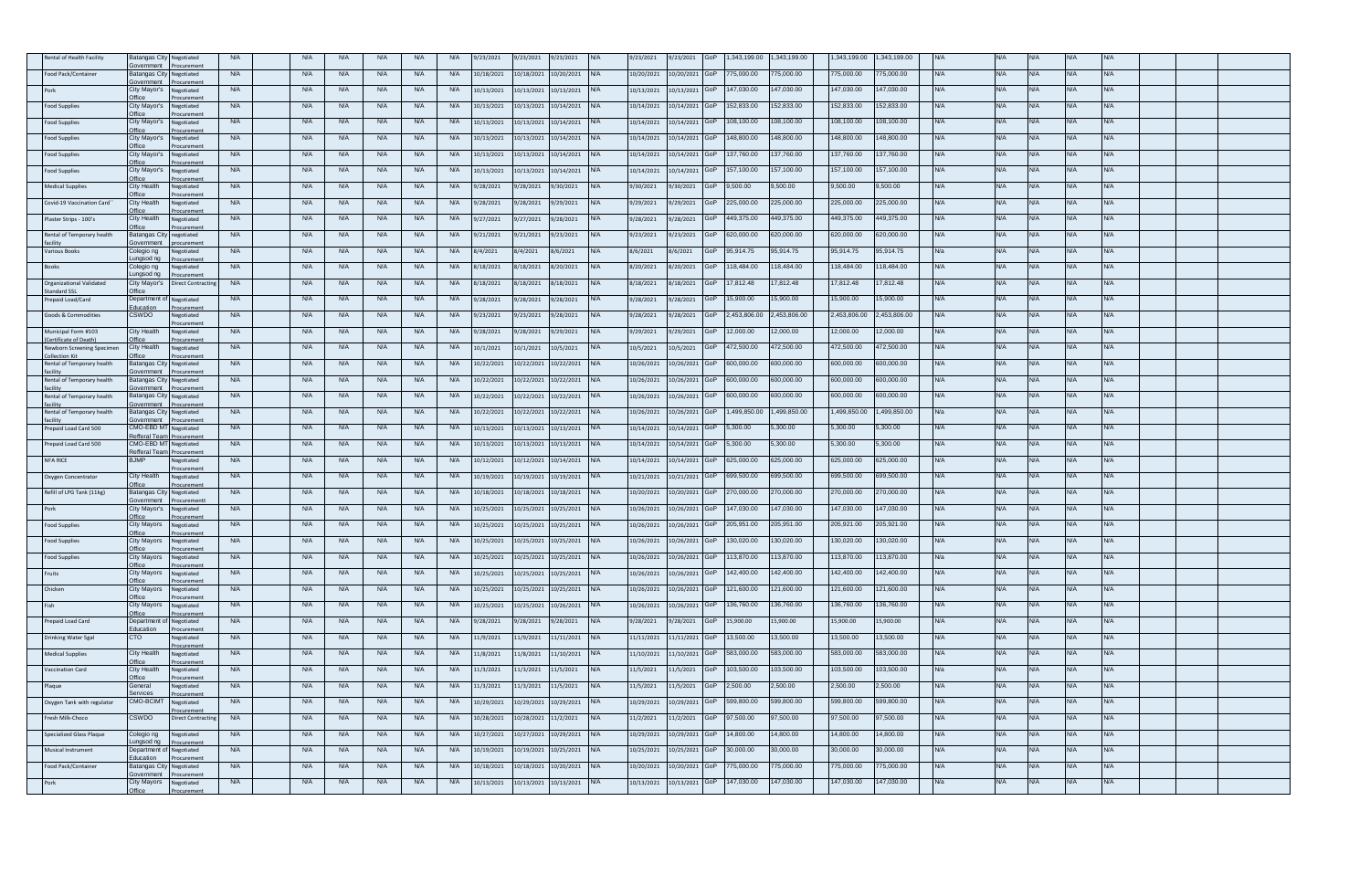| ntal of Health Facilit                       | atangas City<br>vernment               | egotiate                   | <b>N/A</b> | <b>N/A</b> | N/A        | <b>N/A</b> | <b>N/A</b> | <b>N/A</b> | 9/23/2021  | 9/23/2021  | /23/2021   |            | /23/2021   | /23/2021       |     | ,343,199.00 | ,343,199.00 | ,343,199.00  | 1,343,199.00 |            |            |            |            |            |  |
|----------------------------------------------|----------------------------------------|----------------------------|------------|------------|------------|------------|------------|------------|------------|------------|------------|------------|------------|----------------|-----|-------------|-------------|--------------|--------------|------------|------------|------------|------------|------------|--|
| Food Pack/Container                          | <b>Batangas City</b>                   | ocureme<br>Vegotiated      | <b>N/A</b> | <b>N/A</b> | <b>N/A</b> | <b>N/A</b> | <b>N/A</b> | <b>N/A</b> | 10/18/2021 | 10/18/2021 | 10/20/2021 | N/A        | 10/20/2021 | 10/20/2021     | GoF | 775,000.00  | 75,000.00   | 75,000.00    | 75,000.00    | <b>NA</b>  | <b>N/A</b> | <b>N/A</b> | N/A        | <b>N/A</b> |  |
|                                              | vernment<br>City Mayor's               | gotiated                   | <b>N/A</b> | <b>N/A</b> | <b>N/A</b> | <b>N/A</b> | <b>N/A</b> | <b>N/A</b> | 10/13/2021 | 10/13/2021 | 0/13/2021  |            | 10/13/2021 | 0/13/2021      |     | 147.030.00  | 47.030.00   | 47,030.00    | 147,030.00   |            |            |            |            |            |  |
| Food Supplies                                | City Mayor's                           | pentiated                  | <b>N/A</b> | <b>N/A</b> | N/A        | <b>N/A</b> | <b>N/A</b> | <b>N/A</b> | 10/13/2021 | 10/13/2021 | 10/14/2021 |            | 10/14/2021 | 0/14/2021      |     | 152,833.00  | 52,833.00   | 52,833.00    | 52,833.00    | N/A.       | <b>N/A</b> | IJΑ        |            | N/A        |  |
| Food Supplies                                | ffice<br>City Mayor's                  | legotiated                 | <b>N/A</b> | <b>N/A</b> | <b>N/A</b> | <b>N/A</b> | <b>N/A</b> | <b>N/A</b> | 10/13/2021 | 10/13/2021 | 10/14/2021 |            | 10/14/2021 | 0/14/2021      | GoF | 108.100.00  | 08,100.00   | 08.100.00    | 108,100.00   | <b>N/A</b> | <b>N/A</b> | N/A        | <b>N/A</b> | <b>N/A</b> |  |
| <b>Food Supplies</b>                         | ffice<br>City Mayor's                  | curemen<br>legotiated      | <b>N/A</b> | <b>N/A</b> | <b>N/A</b> | <b>N/A</b> | <b>N/A</b> | <b>N/A</b> | 10/13/2021 | 10/13/2021 | 10/14/2021 | N/A        | 10/14/2021 | 10/14/2021 GoF |     | 148,800.00  | 48,800.00   | 48,800.00    | 148,800.00   | <b>N/A</b> | <b>N/A</b> | <b>N/A</b> |            | <b>N/A</b> |  |
|                                              | <b>Office</b>                          | uremen                     |            |            |            |            |            |            |            |            |            |            |            |                |     |             |             |              |              |            | N/A        | $N/\Delta$ |            | N/A        |  |
| ood Supplies                                 | City Mayor's                           | gotiated                   | <b>N/A</b> | <b>N/A</b> | <b>N/A</b> | <b>N/A</b> | <b>N/A</b> | <b>N/A</b> | 10/13/2021 | 10/13/2021 | 10/14/2021 |            | 10/14/2021 | 10/14/2021 GoP |     | 137,760.00  | 37,760.00   | 137,760.00   | 37,760.00    | N/A        |            |            |            |            |  |
| ood Supplies                                 | City Mayor's<br>)ffice                 | egotiated                  | <b>N/A</b> | <b>N/A</b> | <b>N/A</b> | <b>N/A</b> | <b>N/A</b> | <b>N/A</b> | 10/13/2021 | 10/13/2021 | 0/14/2021  |            | 10/14/2021 | 10/14/2021     | ЭoF | 157,100.00  | 57,100.00   | 57,100.00    | 57,100.00    | WA         | <b>N/A</b> |            |            | <b>N/A</b> |  |
| <b>Medical Supplies</b>                      | City Health                            | egotiated                  | <b>N/A</b> | <b>N/A</b> | <b>N/A</b> | <b>N/A</b> | <b>N/A</b> | <b>N/A</b> | 3/28/2021  | 9/28/2021  | /30/2021   | $N/\Delta$ | 9/30/2021  | /30/2021       | GoP | 9,500.00    | ,500.00     | ,500.00      | ,500.00      | <b>N/A</b> | N/A        | $M/\Delta$ |            | <b>N/A</b> |  |
| Covid-19 Vaccination Card                    | City Health<br>ffice                   | legotiated<br>curemen      | <b>N/A</b> | <b>N/A</b> | <b>N/A</b> | <b>N/A</b> | <b>N/A</b> | <b>N/A</b> | 9/28/2021  | 9/28/2021  | 9/29/2021  | N/A        | 9/29/2021  | 9/29/2021      | GoP | 225,000.00  | 25,000.00   | 225,000.00   | 225,000.00   | <b>N/A</b> | <b>N/A</b> | <b>N/A</b> | <b>N/A</b> | <b>N/A</b> |  |
| Plaster Strips - 100's                       | City Health                            | egotiate                   | <b>N/A</b> | <b>N/A</b> | <b>N/A</b> | <b>N/A</b> | <b>N/A</b> | <b>N/A</b> | 3/27/2021  | 9/27/2021  | /28/2021   |            | 9/28/2021  | /28/2021       |     | 449,375.00  | 49,375.00   | 149,375.00   | 449,375.00   |            |            |            |            |            |  |
| tental of Temporary health                   | <b>Batangas City</b>                   | egotiated                  | <b>N/A</b> | <b>N/A</b> | <b>N/A</b> | <b>N/A</b> | <b>N/A</b> | <b>N/A</b> | 3/21/2021  | 9/21/2021  | /23/2021   |            | 9/23/2021  | /23/2021       |     | 620,000.00  | 20,000.00   | 20,000.00    | 320,000.00   | WА         | <b>N/A</b> |            |            | N/A        |  |
| <b>Various Books</b>                         | vernment<br>Colegio ng                 | gotiated                   | <b>N/A</b> | <b>N/A</b> | <b>N/A</b> | <b>N/A</b> | <b>N/A</b> | <b>N/A</b> | 8/4/2021   | 8/4/2021   | /6/2021    | $N/\Delta$ | 8/6/2021   | B/6/2021       | ∍∩P | 95,914.75   | 5,914.75    | 95,914.75    | 95,914.75    | N/a        | <b>N/A</b> | N/A        | N/Δ        | <b>N/A</b> |  |
| <b>Books</b>                                 | ungsod ng<br>Colegio ng                | curemen<br>egotiated       | <b>N/A</b> | <b>N/A</b> | N/         | <b>N/A</b> | <b>N/A</b> | <b>N/A</b> | 8/18/2021  | 8/18/2021  | 8/20/2021  | VA         | 8/20/2021  | 8/20/2021      |     | 18,484.00   | 18,484.00   | 18,484.00    | 18,484.00    | <b>NA</b>  | <b>N/A</b> |            |            | <b>N/A</b> |  |
| Organizational Validated                     | ungsod ng<br>City Mayor's              | urement<br>irect Contracti | N/A        | <b>N/A</b> | <b>N/A</b> | <b>N/A</b> | <b>N/A</b> | <b>N/A</b> | 8/18/2021  | 8/18/2021  | 8/18/2021  | $N/\Delta$ | 8/18/2021  | 3/18/2021      | GoP | 17.812.48   | 7,812.48    | 7.812.48     | 7,812.48     | <b>N/A</b> | N/A        | $N/\Delta$ |            | N/A        |  |
| <b>Standard SSL</b><br>repaid Load/Card      | ffice<br>Department o                  | legotiated                 | <b>N/A</b> | <b>N/A</b> | <b>N/A</b> | <b>N/A</b> | <b>N/A</b> | <b>N/A</b> | 3/28/2021  | 9/28/2021  | 3/28/2021  |            | 9/28/2021  | /28/2021       |     | 5,900.00    | 5,900.00    | 5,900.00     | 5,900.00     | WA.        | <b>N/A</b> |            |            | N/A        |  |
| Goods & Commodities                          | ducation<br><b>SWDO</b>                | urement<br>egotiated       | <b>N/A</b> | <b>N/A</b> | <b>N/A</b> | <b>N/A</b> | <b>N/A</b> | <b>N/A</b> | 3/23/2021  | 9/23/2021  | /28/2021   |            | 9/28/2021  | /28/2021       |     | 2.453.806.0 | .453.806.00 | 2.453.806.00 | .453.806.00  | WА         | <b>N/A</b> |            |            | N/A        |  |
|                                              |                                        |                            |            |            |            |            |            |            |            |            |            | N/A        |            |                | GoF |             |             |              |              | <b>N/A</b> | <b>N/A</b> | N/A        |            |            |  |
| Municipal Form #103<br>Certificate of Death! | <b>City Health</b><br>)ffice           | egotiated                  | <b>N/A</b> | <b>N/A</b> | N/A        | <b>N/A</b> | <b>N/A</b> | <b>N/A</b> | 9/28/2021  | 9/28/2021  | 9/29/2021  |            | 9/29/2021  | 9/29/2021      |     | 12,000.00   | 2,000.00    | 12,000.00    | 2,000.00     |            |            |            |            | <b>N/A</b> |  |
| Newborn Screening Specimer<br>ollection Kit  | City Health                            | egotiated                  | <b>N/A</b> | <b>N/A</b> | <b>N/A</b> | <b>N/A</b> | <b>N/A</b> | <b>N/A</b> | 10/1/2021  | 10/1/2021  | 0/5/2021   | $N/\Delta$ | 10/5/2021  | 0/5/2021       |     | 472,500.00  | 72,500.00   | 72,500.00    | 472,500.00   | <b>N/A</b> | <b>N/A</b> | N/A        |            | N/A        |  |
| Rental of Temporary health                   | atangas City<br>ernment                | egotiated                  | <b>N/A</b> | <b>N/A</b> | <b>N/A</b> | N/A        | <b>N/A</b> | <b>N/A</b> | 10/22/2021 | 10/22/2021 | 10/22/2021 |            | 10/26/2021 | 0/26/2021      |     | 00,000.00   | 00,000.00   | 00,000.00    | 00,000.00    | ۷A         | WΑ         |            |            | VA.        |  |
| Rental of Temporary health                   | <b>Batangas City</b><br>vernment       | egotiated                  | <b>N/A</b> | N/A        | N/A        | <b>N/A</b> | <b>N/A</b> | <b>N/A</b> | 10/22/2021 | 10/22/2021 | 10/22/2021 | $N/\Delta$ | 10/26/2021 | 10/26/2021 GoP |     | 600,000.00  | 00,000.00   | 00.000,006   | 600,000.00   | N/A        | N/A        | N/A        |            | N/A        |  |
| Rental of Temporary health                   | <b>Batangas City</b><br>vernment       | egotiated<br>curemen       | <b>N/A</b> | <b>N/A</b> | <b>N/A</b> | <b>N/A</b> | <b>N/A</b> | <b>N/A</b> | 10/22/2021 | 10/22/2021 | 10/22/2021 |            | 10/26/2021 | 0/26/2021      | GoF | 600,000.00  | 00,000.00   | 00,000.00    | 00,000.00    | <b>NA</b>  | <b>N/A</b> | N/A        |            | <b>N/A</b> |  |
| Rental of Temporary health                   | <b>Batangas City</b>                   | gotiated                   | <b>N/A</b> | <b>N/A</b> | <b>N/A</b> | <b>N/A</b> | <b>N/A</b> | <b>N/A</b> | 10/22/2021 | 10/22/2021 | 10/22/2021 |            | 10/26/2021 | 0/26/2021      |     | 1.499.850.0 | .499.850.00 | .499.850.00  | ,499,850.00  | N/a        | <b>N/A</b> | N/A        |            | N/A        |  |
| repaid Load Card 500                         | vernment<br>CMO-EBD MT                 | ocureme<br>legotiated      | <b>N/A</b> | <b>N/A</b> | <b>N/A</b> | <b>N/A</b> | <b>N/A</b> | <b>N/A</b> | 10/13/2021 | 10/13/2021 | 10/13/2021 |            | 10/14/2021 | 10/14/2021     | GoP | 5,300.00    | ,300.00     | ,300.00      | 5,300.00     | N/A        | N/A        | ٧A         |            | N/A        |  |
| Prepaid Load Card 500                        | Refferal Tear<br>CMO-EBD MT Negotiated |                            | <b>N/A</b> | <b>N/A</b> | <b>N/A</b> | <b>N/A</b> | <b>N/A</b> | <b>N/A</b> | 10/13/2021 | 10/13/2021 | 10/13/2021 | N/A        | 10/14/2021 | 10/14/2021 GoP |     | 5.300.00    | ,300.00     | 5.300.00     | 5,300.00     | <b>N/A</b> | <b>N/A</b> | N/A        | N/A        | <b>N/A</b> |  |
| <b>NFA RICE</b>                              | efferal Tean<br><b>R.IMP</b>           | hetatoge                   | <b>N/A</b> | <b>N/A</b> | N/         | <b>N/A</b> | <b>N/A</b> | <b>N/A</b> | 10/12/2021 | 10/12/2021 | 10/14/2021 |            | 10/14/2021 | 10/14/2021     | GoF | 625,000.00  | 25,000.00   | 25,000.00    | 625,000.00   | VA         | <b>VA</b>  | N/A        |            | <b>N/A</b> |  |
| Oxygen Concentrator                          | City Health                            | gotiated                   | <b>N/A</b> | <b>N/A</b> | <b>N/A</b> | <b>N/A</b> | <b>N/A</b> | <b>N/A</b> | 10/19/2021 | 10/19/2021 | 0/19/2021  |            | 10/21/2021 | 0/21/2021      | GoF | 699,500.00  | 99,500.00   | 99,500.00    | 99,500.00    | <b>N/A</b> | <b>N/A</b> | $M/\Delta$ |            | $N/\Delta$ |  |
| Refill of LPG Tank (11kg)                    | <b>Batangas City</b>                   | egotiated                  | N/A        | <b>N/A</b> | <b>N/A</b> | <b>N/A</b> | <b>N/A</b> | <b>N/A</b> | 10/18/2021 | 10/18/2021 | 10/18/2021 |            | 10/20/2021 | 0/20/2021      | ЭoР | 270,000.00  | 70,000.00   | 70,000.00    | 70,000.00    | WA         | <b>N/A</b> |            |            | <b>N/A</b> |  |
| Pork                                         | vernment<br>City Mayor's               | egotiated                  | <b>N/A</b> | <b>N/A</b> | <b>N/A</b> | <b>N/A</b> | <b>N/A</b> | <b>N/A</b> | 10/25/2021 | 10/25/2021 | 10/25/2021 |            | 10/26/2021 | 10/26/2021     | GoP | 147.030.00  | 47.030.00   | 47.030.00    | 147.030.00   | N/A        | <b>N/A</b> | <b>N/A</b> |            | N/A        |  |
| Food Supplies                                | City Mayors                            | legotiated                 | <b>N/A</b> | <b>N/A</b> | <b>N/A</b> | <b>N/A</b> | <b>N/A</b> | <b>N/A</b> | 10/25/2021 | 10/25/2021 | 10/25/2021 |            | 0/26/2021  | 0/26/2021      | GoF | 205,951.00  | 05,951.00   | 05,921.00    | 105,921.00   | <b>N/A</b> | <b>N/A</b> |            |            | <b>N/A</b> |  |
|                                              | <b>Office</b>                          |                            |            |            |            |            |            |            |            |            |            |            |            |                |     | 130.020.00  | 30.020.00   | 130.020.00   |              |            | <b>N/A</b> | N/A        |            | N/A        |  |
| ood Supplies                                 | City Mayors                            | egotiated<br><b>curem</b>  | <b>N/A</b> | <b>N/A</b> | <b>N/A</b> | <b>N/A</b> | <b>N/A</b> | <b>N/A</b> | 10/25/2021 | 10/25/2021 | 10/25/2021 |            | 0/26/2021  | 10/26/2021     |     |             |             |              | 130.020.00   | <b>N/A</b> |            |            | N/A        |            |  |
| ood Supplies                                 | City Mayors<br><b>Office</b>           | legotiated                 | <b>N/A</b> | <b>N/A</b> | <b>N/A</b> | <b>N/A</b> | <b>N/A</b> | <b>N/A</b> | 10/25/2021 | 10/25/2021 | 10/25/2021 |            | 10/26/2021 | 10/26/2021     |     | 13,870.00   | 13,870.00   | 13,870.00    | 13,870.00    |            | <b>VA</b>  |            |            | VA.        |  |
| <b>Fruits</b>                                | <b>City Mayors</b>                     | legotiated                 | <b>N/A</b> | <b>N/A</b> | <b>N/A</b> | <b>N/A</b> | <b>N/A</b> | <b>N/A</b> | 10/25/2021 | 10/25/2021 | 0/25/2021  | N/A        | 10/26/2021 | 0/26/2021      | GoP | 142.400.00  | 42,400.00   | 42,400.00    | 142,400.00   | N/A        | <b>N/A</b> | <b>N/A</b> | <b>N/A</b> | <b>N/A</b> |  |
| Chicken                                      | City Mayors<br><b>T</b> fice           | egotiated                  | <b>N/A</b> | <b>N/A</b> | <b>N/A</b> | <b>N/A</b> | <b>N/A</b> | <b>N/A</b> | 10/25/2021 | 10/25/2021 | 10/25/2021 | N/A        | 10/26/2021 | 10/26/2021     | GoF | 121,600.00  | 21,600.00   | 21,600.00    | 21,600.00    | <b>NA</b>  | <b>N/A</b> | <b>N/A</b> | N/A        | <b>N/A</b> |  |
|                                              | City Mayors                            | gotiated                   | <b>N/A</b> | <b>N/A</b> | <b>N/A</b> | N/A        | <b>N/A</b> | <b>N/A</b> | 10/25/2021 | 10/25/2021 | 0/26/2021  | NI/A       | 10/26/2021 | 0/26/2021      | GoF | 136,760.00  | 36,760.00   | 36,760.00    | 36,760.00    | N/A        | N/A        | <b>N/A</b> |            | $N/\Delta$ |  |
| repaid Load Card                             | Department o<br>ducation               | legotiated                 | <b>N/A</b> | <b>N/A</b> | <b>N/A</b> | <b>N/A</b> | <b>N/A</b> | <b>N/A</b> | /28/2021   | /28/2021   | /28/2021   |            | 9/28/2021  | /28/2021       |     | 15,900.00   | 5,900.00    | 5,900.00     | 5,900.00     | WA         | <b>N/A</b> | <b>VA</b>  |            | <b>N/A</b> |  |
| Drinking Water 5gal                          | <b>CTO</b>                             | eotiated                   | <b>N/A</b> | <b>N/A</b> | <b>N/A</b> | <b>N/A</b> | <b>N/A</b> | <b>N/A</b> | 11/9/2021  | 11/9/2021  | 1/11/2021  | N/A        | 11/11/2021 | 11/11/2021     | GOP | 13.500.00   | 3,500.00    | 13.500.00    | 3.500.00     | N/A        | <b>N/A</b> | N/A        | N/A        | <b>N/A</b> |  |
| Medical Supplies                             | City Health                            | egotiated                  | <b>N/A</b> | <b>N/A</b> | <b>N/A</b> | <b>N/A</b> | <b>N/A</b> | <b>N/A</b> | 11/8/2021  | 11/8/2021  | 11/10/2021 |            | 1/10/2021  | 1/10/2021      | GoF | 583,000.00  | 83,000.00   | 583,000.00   | 683,000.00   | <b>NA</b>  | <b>N/A</b> |            |            | <b>N/A</b> |  |
| Vaccination Card                             | <b>Office</b><br>City Health           | eotiated                   | <b>N/A</b> | <b>N/A</b> | <b>N/A</b> | <b>N/A</b> | <b>N/A</b> | <b>N/A</b> | 11/3/2021  | 11/3/2021  | 11/5/2021  | N/A        | 11/5/2021  | 11/5/2021      | GoP | 103.500.00  | 03,500.00   | 103.500.00   | 103.500.00   | <b>Na</b>  | <b>N/A</b> | N/A        | <b>V/A</b> | N/A        |  |
| ague                                         | <b>Hice</b><br>General                 | egotiated                  | <b>N/A</b> | <b>N/A</b> | <b>N/A</b> | <b>N/A</b> | <b>N/A</b> | <b>N/A</b> | 11/3/2021  | 11/3/2021  | 1/5/2021   |            | 11/5/2021  | 1/5/2021       |     | 2,500.00    | ,500.00     | ,500.00      | 500.00       |            | <b>N/A</b> |            |            |            |  |
| Oxygen Tank with regulator                   | Services<br>CMO-BCIMT                  | legotiated                 | <b>N/A</b> | <b>N/A</b> | <b>N/A</b> | <b>N/A</b> | <b>N/A</b> | <b>N/A</b> | 10/29/2021 | 10/29/2021 | 0/29/2021  | N/A        | 10/29/2021 | 0/29/2021 GoP  |     | 599,800.00  | 99,800.00   | 99,800.00    | 599,800.00   | <b>N/A</b> | <b>N/A</b> | N/A        | <b>N/A</b> | <b>N/A</b> |  |
| resh Milk-Choco                              | <b>SWDO</b>                            | Direct Contracti           | <b>N/A</b> | <b>N/A</b> | <b>N/A</b> | <b>N/A</b> | <b>N/A</b> | <b>N/A</b> | 10/28/2021 | 10/28/2021 | 11/2/2021  | N/A        | 1/2/2021   | 1/2/2021       | GoF | 97,500.00   | 7,500.00    | 7,500.00     | 7,500.00     | <b>NA</b>  | <b>N/A</b> | <b>N/A</b> | N/A        | <b>N/A</b> |  |
|                                              |                                        | <b>Potiated</b>            | <b>N/A</b> | <b>N/A</b> | <b>N/A</b> | N/A        | <b>N/A</b> | <b>N/A</b> |            |            |            |            |            |                |     | 4.800.00    | 4.800.00    | 4.800.00     | 4.800.00     |            | JΙ         |            |            | N/A        |  |
| ecialized Glass Plaque                       | olegio ng<br>unasod na                 |                            |            |            |            |            |            |            | 10/27/2021 | 10/27/2021 | 0/29/2021  |            | 10/29/2021 | 0/29/2021      |     |             |             |              |              |            |            |            |            |            |  |
| Ausical Instrument                           | Department o<br>ducation               | legotiated                 | <b>N/A</b> | <b>N/A</b> | <b>N/A</b> | <b>N/A</b> | <b>N/A</b> | <b>N/A</b> | 10/19/2021 | 10/19/2021 | 0/25/2021  | <b>VA</b>  | 0/25/2021  | 0/25/2021      | ЭoF | 30,000.00   | 0,000.00    | 80,000.00    | 0,000.00     | WA.        | <b>N/A</b> |            |            | <b>N/A</b> |  |
| Food Pack/Container                          | <b>Batangas City</b><br>vernment       | betatoge                   | <b>N/A</b> | <b>N/A</b> | <b>N/A</b> | <b>N/A</b> | <b>N/A</b> | <b>N/A</b> | 0/18/2021  | 10/18/2021 | 0/20/2021  | N/A        | 10/20/2021 | 0/20/2021      | GoP | 75,000.00   | 75,000.00   | 75,000.00    | 75.000.00    | N/A        | <b>N/A</b> | N/A        | <b>N/A</b> | <b>N/A</b> |  |
|                                              | City Mayors                            | legotiated                 | <b>N/A</b> | <b>N/A</b> | <b>N/A</b> | <b>N/A</b> | <b>N/A</b> | <b>N/A</b> | 10/13/2021 | 10/13/2021 | 10/13/2021 | N/A        | 10/13/2021 | 10/13/2021 GoP |     | 147,030.00  | 47,030.00   | 47,030.00    | 47,030.00    |            |            | <b>WA</b>  |            | <b>N/A</b> |  |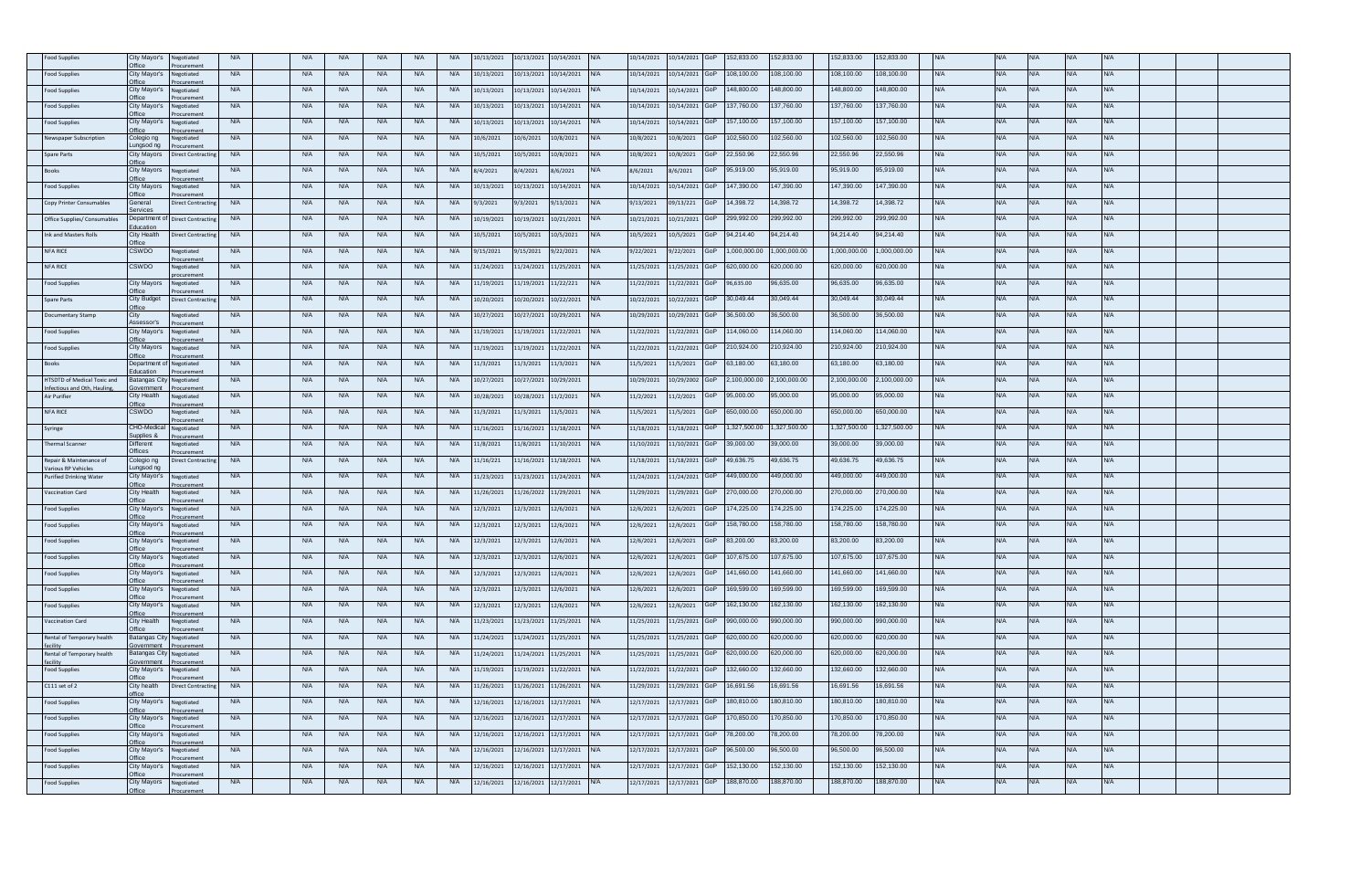| ood Supplies                              | City Mayor's<br><b>Mice</b>               | Vegotiated                    | <b>N/A</b> | <b>N/A</b> | $N$ /      |            | N/A        | <b>N/A</b> | 0/13/2021  | 10/13/2021            | 0/14/2021  |            | 10/14/2021 | 0/14/2021  |     | 52,833.00    | 52,833.00   | 52,833.00    | 52,833.00   |            |            |            |            |            |  |  |
|-------------------------------------------|-------------------------------------------|-------------------------------|------------|------------|------------|------------|------------|------------|------------|-----------------------|------------|------------|------------|------------|-----|--------------|-------------|--------------|-------------|------------|------------|------------|------------|------------|--|--|
| ood Supplies                              | City Mavor's                              | legotiated                    | <b>N/A</b> | <b>N/A</b> | <b>N/A</b> | <b>N/A</b> | <b>N/A</b> | <b>N/A</b> | 10/13/2021 | 10/13/2021            | 10/14/2021 | N/A        | 10/14/2021 | 10/14/2021 |     | 08,100.00    | 08,100.00   | 108,100.00   | 08,100.00   | WА         | <b>N/A</b> | N/A        |            | N/A        |  |  |
| ood Supplies                              | City Mayor's                              | legotiated                    | <b>N/A</b> | <b>N/A</b> | <b>N/A</b> | <b>N/A</b> | <b>N/A</b> | <b>N/A</b> | 0/13/2021  | 10/13/2021            | 0/14/2021  |            | 10/14/2021 | 0/14/2021  |     | 48,800.00    | 48,800.00   | 48,800.00    | 48,800.00   |            |            |            |            |            |  |  |
| ood Supplies                              | <b>Office</b><br>City Mayor's             | curemen<br>Vegotiated         | <b>N/A</b> | <b>N/A</b> | <b>N/A</b> | <b>N/A</b> | <b>N/A</b> | <b>N/A</b> | 10/13/2021 | 10/13/2021            | 10/14/2021 |            | 10/14/2021 | 10/14/2021 |     | 137.760.00   | 37,760.00   | 137,760,00   | 137.760.00  | WA.        | <b>N/A</b> | N/A.       | VA.        | <b>N/A</b> |  |  |
| Food Supplies                             | <b>Hice</b><br>City Mayor's               | Vegotiated                    | <b>N/A</b> | <b>N/A</b> | <b>N/A</b> | <b>N/A</b> | <b>N/A</b> | <b>N/A</b> | 10/13/2021 | 10/13/2021            | 10/14/2021 |            | 10/14/2021 | 0/14/2021  |     | 157,100.00   | 57,100.00   | 157,100.00   | 157,100.00  | <b>NA</b>  | <b>N/A</b> | <b>N/A</b> | N/A        | N/A        |  |  |
|                                           | )ffice                                    | egotiated                     | <b>N/A</b> |            | <b>N/A</b> | N/A        | <b>N/A</b> | <b>N/A</b> |            |                       |            |            | 10/8/2021  |            |     | 102,560.00   | 02,560.00   | 102,560.00   | 02,560.00   | N/A        | N/A        | NIA        | J/A        | N/A        |  |  |
| ewspaper Subscripti                       | Colegio ng<br>unasod na                   |                               |            | <b>N/A</b> |            |            |            |            | 0/6/2021   | 10/6/2021             | 0/8/2021   |            |            | 0/8/2021   |     |              |             |              |             |            |            |            |            |            |  |  |
| pare Parts                                | City Mayors<br>ffice                      | Direct Contractir             | <b>N/A</b> | <b>N/A</b> | <b>N/A</b> | <b>N/A</b> | <b>N/A</b> | <b>N/A</b> | 0/5/2021   | 10/5/2021             | 0/8/2021   |            | 0/8/2021   | 0/8/2021   |     | 22,550.96    | 2,550.96    | 22,550.96    | 2,550.96    |            | <b>N/A</b> |            |            |            |  |  |
| <b>Rooks</b>                              | <b>City Mayors</b><br><b>Hice</b>         | legotiated                    | <b>N/A</b> | <b>N/A</b> | <b>N/A</b> | <b>N/A</b> | <b>N/A</b> | <b>N/A</b> | 3/4/2021   | 8/4/2021              | 3/6/2021   |            | 8/6/2021   | 3/6/2021   |     | 95.919.00    | 15,919.00   | 95,919.00    | 95.919.00   |            | <b>N/A</b> | WA         |            | VA.        |  |  |
| ood Supplies                              | <b>City Mayors</b><br><b>Mice</b>         | Vegotiated<br><b>Curemen</b>  | <b>N/A</b> | <b>N/A</b> | N/A        | N/A        | N/A        | <b>N/A</b> | 0/13/2021  | 10/13/2021            | 0/14/2021  |            | 10/14/2021 | 0/14/2021  |     | 147,390.00   | 47,390.00   | 147,390.00   | 47,390.00   | <b>N/A</b> | <b>N/A</b> | N/A        |            | N/A        |  |  |
| Copy Printer Consumables                  | General<br>Services                       | <b>Direct Contractin</b>      | <b>N/A</b> | <b>N/A</b> | <b>N/A</b> | N/A        | <b>N/A</b> | <b>N/A</b> | 9/3/2021   | 9/3/2021              | 9/13/2021  | N/A        | 9/13/2021  | 09/13/221  |     | 14.398.72    | 4.398.72    | 14.398.72    | 4.398.72    | WA         | <b>N/A</b> | N/A        | N/A        | <b>N/A</b> |  |  |
| ffice Supplies/ Consumable                | <b>Department</b>                         | Direct Contractin             | <b>N/A</b> | <b>N/A</b> | <b>N/A</b> | N/A        | <b>N/A</b> | <b>N/A</b> | 0/19/2021  | 10/19/2021            | 0/21/2021  |            | 10/21/2021 | 0/21/2021  |     | 299,992.00   | 99,992.00   | 299,992.00   | 99,992.00   |            |            |            |            |            |  |  |
| <b>Ink and Masters Rolls</b>              | ducation<br>City Health                   | Direct Contractin             | <b>N/A</b> | <b>N/A</b> | <b>N/A</b> | <b>N/A</b> | <b>N/A</b> | <b>N/A</b> | 0/5/2021   | 10/5/2021             | 0/5/2021   |            | 10/5/2021  | 0/5/2021   |     | 94.214.40    | 4,214.40    | 94.214.40    | 94.214.40   | JΙA        | <b>N/A</b> | JΙA.       | VA.        | N/A        |  |  |
| NFA RICE                                  | <b>Hice</b><br>CSWDO                      | egotiated                     | <b>N/A</b> | <b>N/A</b> | <b>N/A</b> | <b>N/A</b> | <b>N/A</b> | <b>N/A</b> | /15/2021   | 9/15/2021             | /22/2021   |            | 9/22/2021  | /22/2021   |     | ,000,000.00  | ,000,000.00 | ,000,000.00  | ,000,000.00 | <b>NA</b>  | <b>N/A</b> | <b>N/A</b> | <b>VA</b>  | N/A        |  |  |
| NFA RICE                                  | CSWDO                                     | legotiated                    | <b>N/A</b> | <b>N/A</b> | <b>N/A</b> | <b>N/A</b> | <b>N/A</b> | <b>N/A</b> | 1/24/2021  | 11/24/2021 11/25/2021 |            |            | 11/25/2021 | 11/25/2021 |     | 620,000.00   | 20,000.00   | 620,000.00   | 320,000.00  |            | <b>N/A</b> |            |            | VA.        |  |  |
| ood Supplies                              | City Mayors                               | legotiated                    | <b>N/A</b> | <b>N/A</b> | <b>N/A</b> | <b>N/A</b> | <b>N/A</b> | <b>N/A</b> | 1/19/2021  | 11/19/2021            | 11/22/221  |            | 11/22/2021 | 1/22/2021  |     | 96,635.00    | 6,635.00    | 96,635.00    | 6,635.00    |            | <b>N/A</b> |            |            | <b>VA</b>  |  |  |
| Spare Parts                               | ffice<br>City Budget                      | Direct Contracti              | <b>N/A</b> | <b>N/A</b> | <b>N/A</b> | <b>N/A</b> | <b>N/A</b> | <b>N/A</b> | 0/20/2021  | 10/20/2021            | 10/22/2021 |            | 10/22/2021 | 0/22/2021  |     | 30.049.44    | 0,049.44    | 30,049.44    | 30,049.44   |            | N/A        |            |            | VA.        |  |  |
|                                           | Office                                    |                               |            |            |            |            |            |            |            |                       |            |            |            |            |     |              |             |              |             |            |            | $\Delta U$ | I/A        |            |  |  |
| Documentary Stamp                         | City<br>Assessor's                        | legotiated<br>curement        | <b>N/A</b> | <b>N/A</b> | <b>N/A</b> | <b>N/A</b> | <b>N/A</b> | <b>N/A</b> | 0/27/2021  | 10/27/2021            | 0/29/2021  |            | 10/29/2021 | 0/29/2021  |     | 36,500.00    | 6,500.00    | 36,500.00    | 6,500.00    |            | <b>N/A</b> |            |            | N/A        |  |  |
| Food Supplies                             | City Mayor's<br><b>T</b> fice             | legotiated<br>curement        | <b>N/A</b> | <b>N/A</b> | <b>N/A</b> | N/A        | <b>N/A</b> | <b>N/A</b> | 11/19/2021 | 11/19/2021 11/22/2021 |            | N/A        | 11/22/2021 | 11/22/2021 |     | 14.060.00    | 14,060.00   | 114.060.00   | 14.060.00   | WA         | <b>N/A</b> | N/A        | N/A        | <b>N/A</b> |  |  |
| ood Supplies                              | City Mayors<br>Office                     | Vegotiated                    | <b>N/A</b> | <b>N/A</b> | <b>N/A</b> | <b>N/A</b> | <b>N/A</b> | <b>N/A</b> | 1/19/2021  | 11/19/2021            | 1/22/2021  |            | 11/22/2021 | 1/22/2021  |     | 210,924.00   | 10,924.00   | 210,924.00   | 10,924.00   |            | N/A        |            |            | N/A        |  |  |
| Books                                     | Department<br>ducation                    | legotiated                    | <b>N/A</b> | <b>N/A</b> | <b>N/A</b> | <b>N/A</b> | <b>N/A</b> | <b>N/A</b> | 1/3/2021   | 11/3/2021             | 1/3/2021   |            | 11/5/2021  | 1/5/2021   |     | 63,180.00    | 3,180.00    | 63,180.00    | 3,180.00    |            | ۷A         |            |            |            |  |  |
| HTSDTD of Medical Toxic and               | Batangas Cit                              | egotiated                     | <b>N/A</b> | <b>N/A</b> | <b>N/A</b> | <b>N/A</b> | <b>N/A</b> | <b>N/A</b> | 0/27/2021  | 10/27/2021            | 10/29/2021 |            | 10/29/2021 | 0/29/2002  |     | 2,100,000.00 | ,100,000.00 | 2,100,000.00 | ,100,000.00 |            | <b>N/A</b> | N/A        | <b>J/A</b> | N/A        |  |  |
| fectious and Oth, Hauling<br>Air Purifier | overnment<br>City Health                  | betaineel                     | <b>N/A</b> | <b>N/A</b> | <b>N/A</b> | <b>N/A</b> | <b>N/A</b> | <b>N/A</b> | 10/28/2021 | 10/28/2021            | 11/2/2021  | N/A        | 11/2/2021  | 11/2/2021  |     | 95,000.00    | 15,000.00   | 95,000.00    | 95,000.00   |            | <b>N/A</b> | N/A        | <b>N/A</b> | <b>N/A</b> |  |  |
| NFA RICE                                  | <b>Hice</b><br>CSWDO                      | uremen<br>legotiated          | <b>N/A</b> | <b>N/A</b> | <b>N/A</b> | <b>N/A</b> | <b>N/A</b> | <b>N/A</b> | 1/3/2021   | 11/3/2021             | 11/5/2021  |            | 11/5/2021  | 1/5/2021   |     | 650,000.00   | 50,000.00   | 650,000.00   | 50,000.00   |            | N/A        | N/A        | J/A        | VA.        |  |  |
| Syringe                                   | CHO-Medical                               | legotiated                    | <b>N/A</b> | <b>N/A</b> | <b>N/A</b> | <b>N/A</b> | <b>N/A</b> | <b>N/A</b> | 1/16/2021  | 11/16/2021            | 1/18/2021  |            | 11/18/2021 | 1/18/2021  |     | ,327,500.00  | ,327,500.00 | 1,327,500.00 | ,327,500.00 | VА         | <b>N/A</b> | N/A        |            | VA.        |  |  |
| Thermal Scanner                           | Supplies &<br>Different                   | curement<br>Vegotiated        | <b>N/A</b> | <b>N/A</b> | N/A        | <b>N/A</b> | <b>N/A</b> | <b>N/A</b> | 1/8/2021   | 11/8/2021             | 1/10/2021  |            | 11/10/2021 | 1/10/2021  |     | 39,000.00    | 39,000.00   | 39.000.00    | 39,000.00   | N/A        | N/A        | NΙ/Δ       | <b>N/A</b> | <b>N/A</b> |  |  |
| Repair & Maintenance of                   | Offices<br>Colegio ng                     | curement<br>Direct Contractin | <b>N/A</b> | <b>N/A</b> | N/A        | <b>N/A</b> | <b>N/A</b> | <b>N/A</b> | 11/16/221  | 11/16/2021 11/18/2021 |            |            | 11/18/2021 | 11/18/2021 |     | 49,636.75    | 9,636.75    | 49,636.75    | 19,636.75   |            | <b>NA</b>  | N/A        | VΑ         | VA.        |  |  |
| arious RP Vehicles                        | ungsod ng                                 |                               |            |            |            |            |            |            |            |                       |            |            |            |            |     |              |             |              |             |            |            |            |            |            |  |  |
| Purified Drinking Wate                    | City Mayor's<br>ffice                     | egotiated<br>curemer          | <b>N/A</b> | <b>N/A</b> | <b>N/A</b> | <b>N/A</b> | <b>N/A</b> | <b>N/A</b> | 1/23/2021  | 11/23/2021            | 11/24/2021 |            | 11/24/2021 | 1/24/2021  |     | 449,000.00   | 49,000.00   | 449,000.00   | 49,000.00   |            | N/A        |            |            | N/A        |  |  |
| <b>Vaccination Card</b>                   | City Health<br><b>Hice</b>                | legotiated                    | <b>N/A</b> | <b>N/A</b> | <b>N/A</b> | <b>N/A</b> | <b>N/A</b> | <b>N/A</b> | 1/26/2021  | 11/26/2022            | 1/29/2021  |            | 11/29/2021 | 1/29/2021  |     | 270,000.00   | 70,000.00   | 270,000.00   | 70,000.00   | Wa         | <b>N/A</b> | <b>VA</b>  | VА         | N/A        |  |  |
| Food Supplies                             | City Mayor's<br>Office                    | legotiated                    | <b>N/A</b> | <b>N/A</b> | <b>N/A</b> | <b>N/A</b> | <b>N/A</b> | <b>N/A</b> | 2/3/2021   | 12/3/2021             | 12/6/2021  |            | 12/6/2021  | 2/6/2021   |     | 74,225.00    | 74,225.00   | 74,225.00    | 74,225.00   |            | N/A        | ΔW.        | J/A        | VA.        |  |  |
| Food Supplies                             | City Mayor's<br>Office                    | Vegotiated                    | <b>N/A</b> | <b>N/A</b> | <b>N/A</b> | <b>N/A</b> | <b>N/A</b> | <b>N/A</b> | 12/3/2021  | 12/3/2021             | 2/6/2021   |            | 12/6/2021  | 12/6/2021  |     | 58,780.00    | 58,780.00   | 158,780.00   | 58,780.00   |            | <b>N/A</b> |            |            | <b>N/A</b> |  |  |
| ood Supplies                              | City Mayor's<br>ffic€                     | Vegotiated                    | <b>N/A</b> | <b>N/A</b> | <b>N/A</b> | <b>N/A</b> | <b>N/A</b> | <b>N/A</b> | 12/3/2021  | 12/3/2021             | 12/6/2021  |            | 12/6/2021  | 2/6/2021   |     | 83,200.00    | 3,200.00    | 83,200.00    | 33,200.00   | WA         | <b>N/A</b> | N/A        | N/A        | <b>N/A</b> |  |  |
| Food Supplies                             | City Mayor's                              | curemei<br>Vegotiated         | <b>N/A</b> | <b>N/A</b> | <b>N/A</b> | <b>N/A</b> | <b>N/A</b> | <b>N/A</b> | 12/3/2021  | 12/3/2021             | 2/6/2021   |            | 12/6/2021  | 2/6/2021   |     | 07,675.00    | 07,675.00   | 07,675.00    | 07,675.00   |            | <b>VA</b>  |            |            | VA.        |  |  |
| ood Supplies                              | <b>Office</b><br>City Mayor's             | uremer<br>Negotiated          | <b>N/A</b> | <b>N/A</b> | <b>N/A</b> | <b>N/A</b> | N/A        | <b>N/A</b> | 2/3/2021   | 12/3/2021             | 2/6/2021   |            | 12/6/2021  | 2/6/2021   |     | 141,660.00   | 41,660.00   | 141,660.00   | 41,660.00   | N/A        | <b>N/A</b> | $N/\Delta$ | <b>N/A</b> | N/A        |  |  |
| Food Supplies                             | <b>Mfice</b><br>City Mayor's              | Vegotiated                    | <b>N/A</b> | <b>N/A</b> | <b>N/A</b> | <b>N/A</b> | <b>N/A</b> | <b>N/A</b> | 12/3/2021  | 12/3/2021             | 12/6/2021  |            | 12/6/2021  | 12/6/2021  |     | 69,599.00    | 69,599.00   | 169,599.00   | 69,599.00   | <b>VA</b>  | <b>N/A</b> | <b>N/A</b> | <b>VA</b>  | N/A        |  |  |
| ood Supplies                              | <b>Hice</b><br>City Mayor's               | legotiated                    | <b>N/A</b> | <b>N/A</b> | <b>N/A</b> | <b>N/A</b> | <b>N/A</b> | <b>N/A</b> | 12/3/2021  | 12/3/2021             | 2/6/2021   |            | 12/6/2021  | 2/6/2021   |     | 162,130.00   | 62,130.00   | 62,130.00    | 62,130.00   |            | <b>N/A</b> | $\sqrt{4}$ |            | <b>VA</b>  |  |  |
| accination Card                           | City Health                               | Vegotiated                    | <b>N/A</b> | <b>N/A</b> | <b>N/A</b> | <b>N/A</b> | <b>N/A</b> | <b>N/A</b> | 1/23/2021  | 11/23/2021            | 1/25/2021  | <b>N/A</b> | 11/25/2021 | 1/25/2021  |     | 990,000.00   | 90,000.00   | 990,000.00   | 00.000,096  | ΨA         | <b>NA</b>  | <b>VA</b>  | VА         | N/A        |  |  |
| Rental of Temporary health                | <b>Batangas City</b>                      | Vegotiated                    | <b>N/A</b> | <b>N/A</b> | <b>N/A</b> | <b>N/A</b> | <b>N/A</b> | <b>N/A</b> | 1/24/2021  | 11/24/2021 11/25/2021 |            |            | 11/25/2021 | 1/25/2021  |     | 620,000.00   | 20,000.00   | 620.000.00   | 620,000.00  | WA.        | <b>N/A</b> | <b>N/A</b> | N/A        | <b>N/A</b> |  |  |
|                                           | overnmen                                  |                               |            |            |            |            |            |            |            |                       |            |            |            |            |     |              |             |              |             |            | <b>N/A</b> |            |            | N/A        |  |  |
| Rental of Temporary health                | <b>Batangas City</b><br><b>Sovernment</b> | legotiated                    | <b>N/A</b> | <b>N/A</b> | <b>N/A</b> | <b>N/A</b> | N/A        | <b>N/A</b> | 1/24/2021  | 11/24/2021            | 1/25/2021  |            | 11/25/2021 | 11/25/2021 |     | 620,000.00   | 20,000.00   | 620,000.00   | 620,000.00  |            |            |            |            |            |  |  |
| <b>Food Supplies</b>                      | City Mayor's                              | egotiated                     | <b>N/A</b> | <b>N/A</b> | <b>N/A</b> | <b>N/A</b> | <b>N/A</b> | <b>N/A</b> | 1/19/2021  | 11/19/2021 11/22/2021 |            |            | 11/22/2021 | 11/22/2021 |     | 132,660.00   | 32,660.00   | 132,660.00   | 32,660.00   | WA         | <b>N/A</b> | N/A        | <b>N/A</b> | <b>N/A</b> |  |  |
| C111 set of 2                             | City health<br>ffice                      | Direct Contractin             | <b>N/A</b> | <b>N/A</b> | <b>N/A</b> | <b>N/A</b> | <b>N/A</b> | <b>N/A</b> | 1/26/2021  | 11/26/2021            | 1/26/2021  |            | 11/29/2021 | 1/29/2021  |     | 16,691.56    | 6,691.56    | 16,691.56    | 6,691.56    |            | <b>N/A</b> |            |            | VA.        |  |  |
| <b>Food Supplies</b>                      | City Mayor's<br><b>Mfice</b>              | Negotiated                    | <b>N/A</b> | <b>N/A</b> | <b>N/A</b> | <b>N/A</b> | <b>N/A</b> | <b>N/A</b> | 2/16/2021  | 12/16/2021            | 12/17/2021 | $N/\Delta$ | 12/17/2021 | 2/17/2021  |     | 80,810.00    | 80,810.00   | 180,810.00   | 180,810.00  | Wa         | N/A        | $N/\Delta$ | VA.        | N/A        |  |  |
| Food Supplies                             | City Mayor's<br><b>T</b> fice             | Negotiated<br>uremen          | <b>N/A</b> | <b>N/A</b> | <b>N/A</b> | <b>N/A</b> | <b>N/A</b> | <b>N/A</b> | 12/16/2021 | 12/16/2021            | 12/17/2021 | N/A        | 12/17/2021 | 12/17/2021 |     | 70,850.00    | 70,850.00   | 70,850.00    | 70,850.00   | <b>VA</b>  | <b>N/A</b> | <b>N/A</b> | N/A        | N/A        |  |  |
| Food Supplies                             | City Mayor's                              | legotiated                    | <b>N/A</b> | <b>N/A</b> | <b>N/A</b> | <b>N/A</b> | <b>N/A</b> | <b>N/A</b> | 2/16/2021  | 12/16/2021            | 12/17/2021 |            | 12/17/2021 | 12/17/2021 |     | 8.200.00     | 8.200.00    | 78,200.00    | 8.200.00    |            | W۵         |            |            |            |  |  |
| ood Supplies                              | City Mayor's                              | Vegotiated                    | <b>N/A</b> | <b>N/A</b> | <b>N/A</b> | <b>N/A</b> | <b>N/A</b> | <b>N/A</b> | 2/16/2021  | 12/16/2021            | 2/17/2021  | <b>N/A</b> | 12/17/2021 | 12/17/2021 |     | 96,500.00    | 6,500.00    | 96,500.00    | 6,500.00    |            | <b>N/A</b> |            |            | <b>VA</b>  |  |  |
| Food Supplies                             | City Mayor's                              | legotiated                    | <b>N/A</b> | <b>N/A</b> | <b>N/A</b> | <b>N/A</b> | <b>N/A</b> | <b>N/A</b> | 2/16/2021  | 12/16/2021            | 2/17/2021  | N/A        | 12/17/2021 | 2/17/2021  |     | 52,130.00    | 52,130.00   | 152,130.00   | 52.130.00   | WA.        | <b>N/A</b> | <b>N/A</b> | VA.        | N/A        |  |  |
| Food Supplies                             | Office<br>City Mayors                     | Vegotiated                    | <b>N/A</b> | <b>N/A</b> | <b>N/A</b> | <b>N/A</b> | <b>N/A</b> | <b>N/A</b> | 12/16/2021 | 12/16/2021            | 12/17/2021 |            | 12/17/2021 | 12/17/2021 | GoP | 88,870.00    | 88,870.00   | 88,870.00    | 88,870.00   |            | <b>N/A</b> |            |            | <b>VA</b>  |  |  |
|                                           |                                           |                               |            |            |            |            |            |            |            |                       |            |            |            |            |     |              |             |              |             |            |            |            |            |            |  |  |